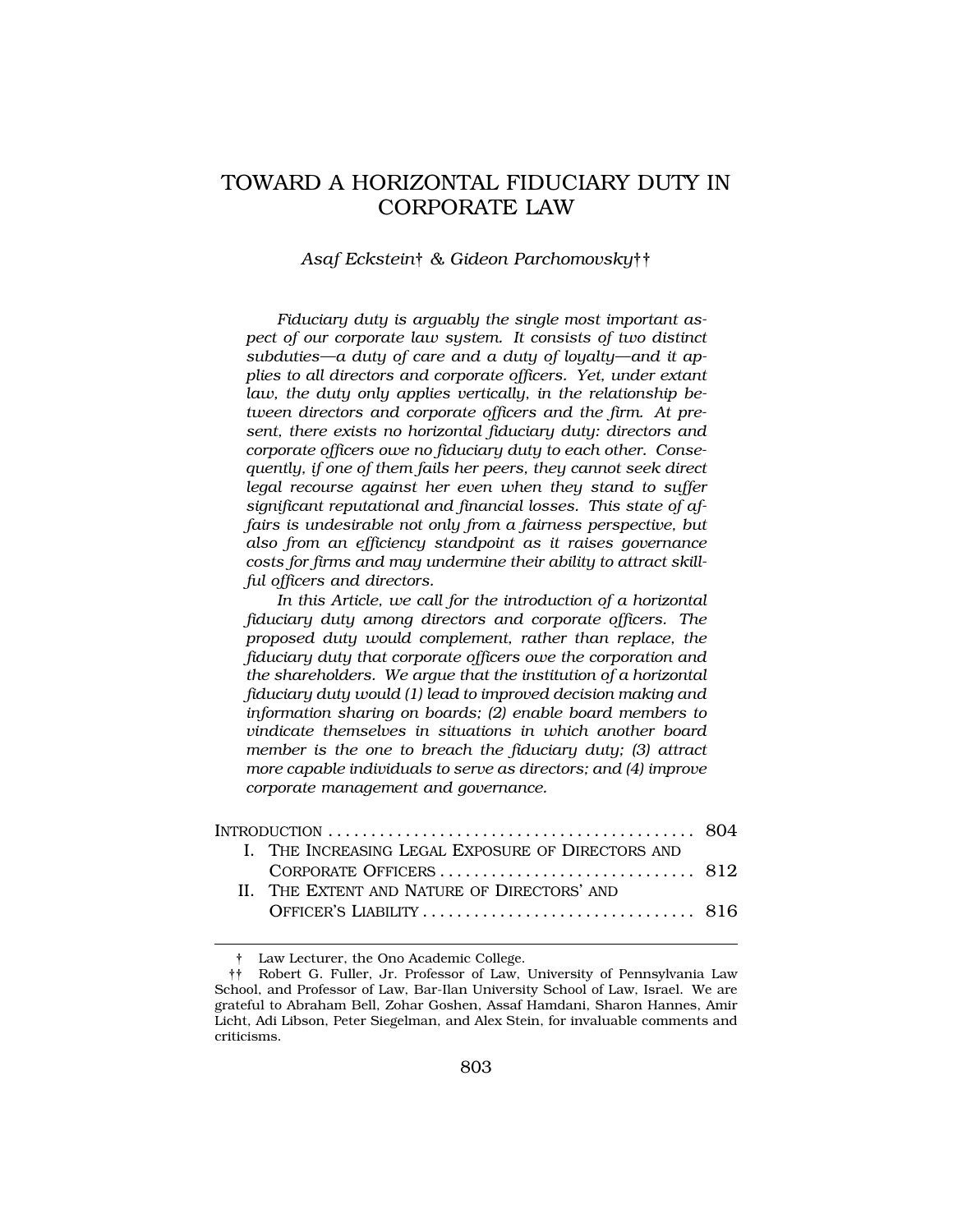# TOWARD A HORIZONTAL FIDUCIARY DUTY IN CORPORATE LAW

*Asaf Eckstein*† *& Gideon Parchomovsky*††

*Fiduciary duty is arguably the single most important aspect of our corporate law system. It consists of two distinct subduties—a duty of care and a duty of loyalty—and it applies to all directors and corporate officers. Yet, under extant law, the duty only applies vertically, in the relationship between directors and corporate officers and the firm. At present, there exists no horizontal fiduciary duty: directors and corporate officers owe no fiduciary duty to each other. Consequently, if one of them fails her peers, they cannot seek direct legal recourse against her even when they stand to suffer significant reputational and financial losses. This state of affairs is undesirable not only from a fairness perspective, but also from an efficiency standpoint as it raises governance costs for firms and may undermine their ability to attract skillful officers and directors.* 

*In this Article, we call for the introduction of a horizontal fiduciary duty among directors and corporate officers. The proposed duty would complement, rather than replace, the fiduciary duty that corporate officers owe the corporation and the shareholders. We argue that the institution of a horizontal fiduciary duty would (1) lead to improved decision making and information sharing on boards; (2) enable board members to vindicate themselves in situations in which another board member is the one to breach the fiduciary duty; (3) attract more capable individuals to serve as directors; and (4) improve corporate management and governance.* 

| INTRODUCTION $\ldots \ldots \ldots \ldots \ldots \ldots \ldots \ldots \ldots \ldots \ldots \ldots \ldots 804$ |                                                   |  |
|---------------------------------------------------------------------------------------------------------------|---------------------------------------------------|--|
|                                                                                                               | I. THE INCREASING LEGAL EXPOSURE OF DIRECTORS AND |  |
|                                                                                                               |                                                   |  |
|                                                                                                               | II. THE EXTENT AND NATURE OF DIRECTORS' AND       |  |
|                                                                                                               |                                                   |  |

† Law Lecturer, the Ono Academic College.

<sup>††</sup> Robert G. Fuller, Jr. Professor of Law, University of Pennsylvania Law School, and Professor of Law, Bar-Ilan University School of Law, Israel. We are grateful to Abraham Bell, Zohar Goshen, Assaf Hamdani, Sharon Hannes, Amir Licht, Adi Libson, Peter Siegelman, and Alex Stein, for invaluable comments and criticisms.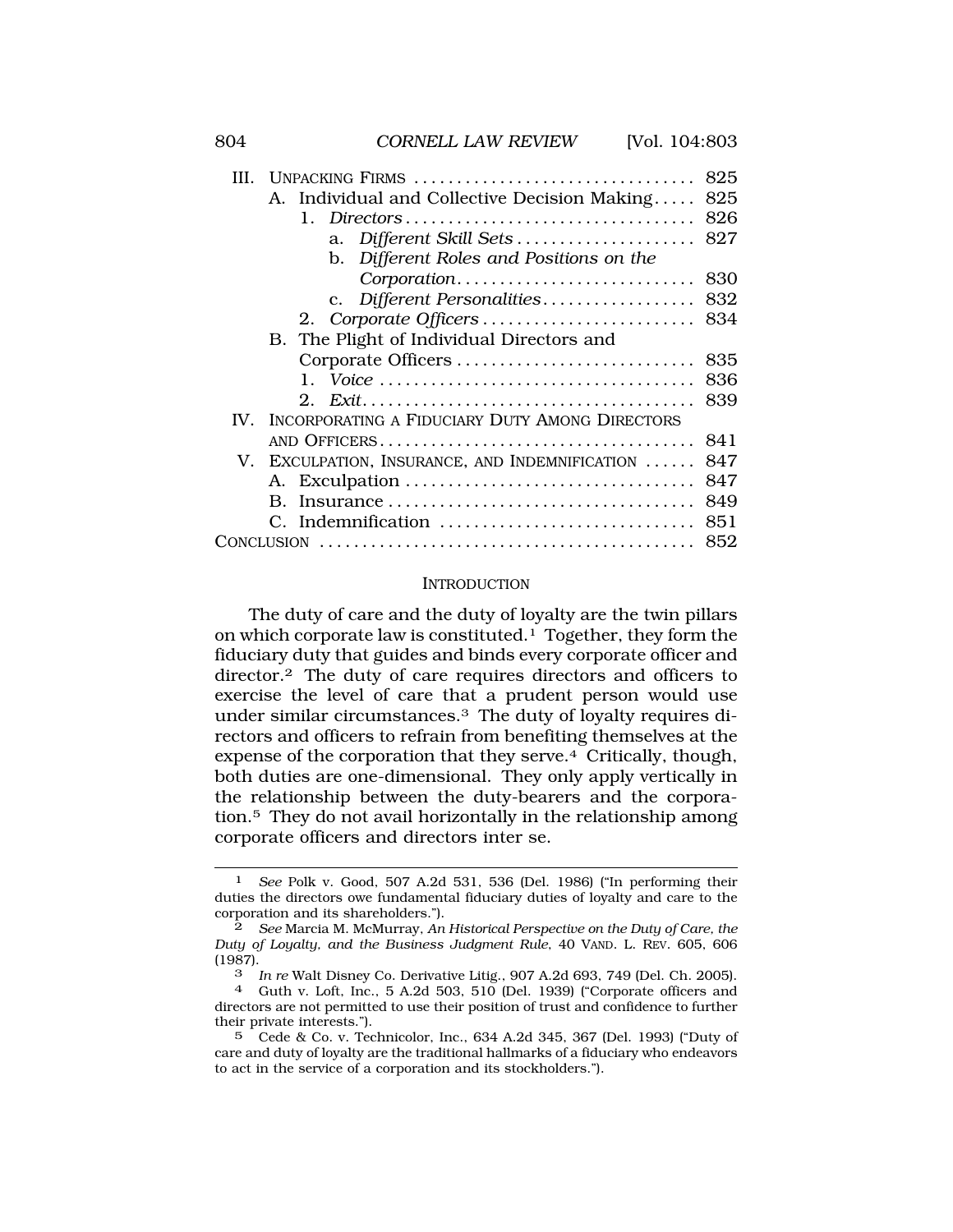| III.        | UNPACKING FIRMS                                | 825 |
|-------------|------------------------------------------------|-----|
|             | A. Individual and Collective Decision Making   | 825 |
|             | 1. Directors                                   | 826 |
|             | a. Different Skill Sets                        | 827 |
|             | b. Different Roles and Positions on the        |     |
|             | Corporation                                    | 830 |
|             | c. Different Personalities                     | 832 |
|             |                                                |     |
|             | B. The Plight of Individual Directors and      |     |
|             |                                                | 835 |
|             | 1.                                             | 836 |
|             | $2^{\circ}$                                    | 839 |
| $W_{\cdot}$ | INCORPORATING A FIDUCIARY DUTY AMONG DIRECTORS |     |
|             |                                                | 841 |
|             | V. EXCULPATION, INSURANCE, AND INDEMNIFICATION | 847 |
|             |                                                | 847 |
|             | $\mathbf{B}$ .                                 | 849 |
|             | C. Indemnification                             | 851 |
|             |                                                | 852 |
|             |                                                |     |

#### INTRODUCTION

The duty of care and the duty of loyalty are the twin pillars on which corporate law is constituted.1 Together, they form the fiduciary duty that guides and binds every corporate officer and director.2 The duty of care requires directors and officers to exercise the level of care that a prudent person would use under similar circumstances.3 The duty of loyalty requires directors and officers to refrain from benefiting themselves at the expense of the corporation that they serve.4 Critically, though, both duties are one-dimensional. They only apply vertically in the relationship between the duty-bearers and the corporacorporate officers and directors inter se. tion.5 They do not avail horizontally in the relationship among

<sup>1</sup> *See* Polk v. Good, 507 A.2d 531, 536 (Del. 1986) ("In performing their duties the directors owe fundamental fiduciary duties of loyalty and care to the corporation and its shareholders.").

<sup>2</sup> *See* Marcia M. McMurray, *An Historical Perspective on the Duty of Care, the Duty of Loyalty, and the Business Judgment Rule*, 40 VAND. L. REV. 605, 606  $\frac{(1987)}{3}$ 

<sup>3</sup>*In re* Walt Disney Co. Derivative Litig., 907 A.2d 693, 749 (Del. Ch. 2005). 4 Guth v. Loft, Inc., 5 A.2d 503, 510 (Del. 1939) ("Corporate officers and

directors are not permitted to use their position of trust and confidence to further their private interests.").

<sup>5</sup> Cede & Co. v. Technicolor, Inc., 634 A.2d 345, 367 (Del. 1993) ("Duty of care and duty of loyalty are the traditional hallmarks of a fiduciary who endeavors to act in the service of a corporation and its stockholders.").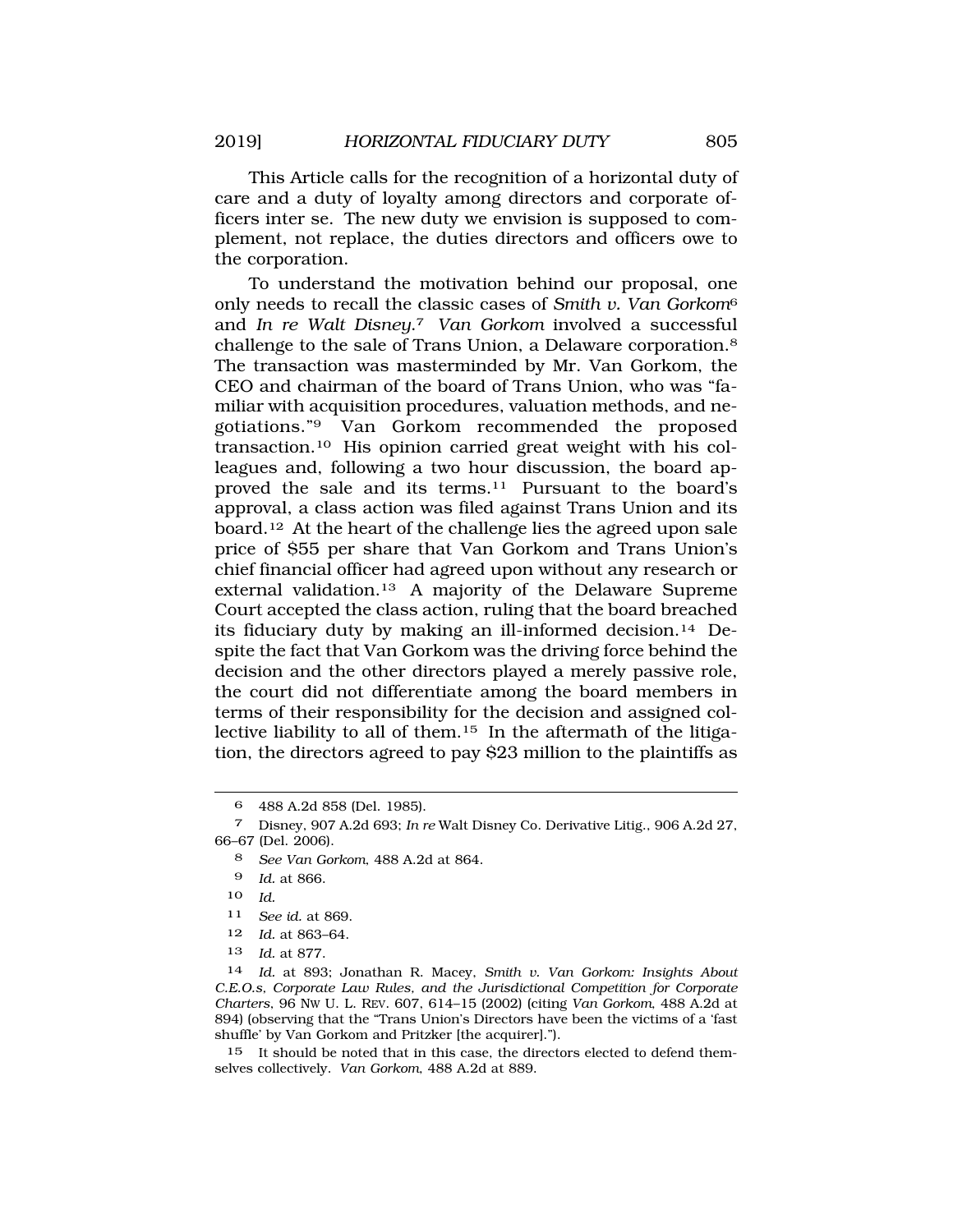This Article calls for the recognition of a horizontal duty of care and a duty of loyalty among directors and corporate officers inter se. The new duty we envision is supposed to complement, not replace, the duties directors and officers owe to the corporation.

To understand the motivation behind our proposal, one only needs to recall the classic cases of *Smith v. Van Gorkom*<sup>6</sup> and *In re Walt Disney*.7 *Van Gorkom* involved a successful challenge to the sale of Trans Union, a Delaware corporation.8 The transaction was masterminded by Mr. Van Gorkom, the CEO and chairman of the board of Trans Union, who was "familiar with acquisition procedures, valuation methods, and ne-<br>gotiations."<sup>9</sup> Van Gorkom recommended the proposed Van Gorkom recommended the proposed transaction.10 His opinion carried great weight with his colleagues and, following a two hour discussion, the board approved the sale and its terms.<sup>11</sup> Pursuant to the board's approval, a class action was filed against Trans Union and its board.12 At the heart of the challenge lies the agreed upon sale price of \$55 per share that Van Gorkom and Trans Union's chief financial officer had agreed upon without any research or external validation.13 A majority of the Delaware Supreme Court accepted the class action, ruling that the board breached its fiduciary duty by making an ill-informed decision.14 Despite the fact that Van Gorkom was the driving force behind the decision and the other directors played a merely passive role, the court did not differentiate among the board members in terms of their responsibility for the decision and assigned collective liability to all of them.15 In the aftermath of the litigation, the directors agreed to pay \$23 million to the plaintiffs as

- 10 *Id.*
- 11 *See id.* at 869.
- 12 *Id.* at 863–64.
- 13 *Id.* at 877.

14 *Id.* at 893; Jonathan R. Macey, *Smith v. Van Gorkom: Insights About C.E.O.s, Corporate Law Rules, and the Jurisdictional Competition for Corporate Charters*, 96 NW U. L. REV. 607, 614–15 (2002) (citing *Van Gorkom*, 488 A.2d at 894) (observing that the "Trans Union's Directors have been the victims of a 'fast shuffle' by Van Gorkom and Pritzker [the acquirer].").

15 It should be noted that in this case, the directors elected to defend themselves collectively. *Van Gorkom*, 488 A.2d at 889.

<sup>6 488</sup> A.2d 858 (Del. 1985).

<sup>7</sup> Disney, 907 A.2d 693; *In re* Walt Disney Co. Derivative Litig., 906 A.2d 27, 66–67 (Del. 2006).

<sup>8</sup> *See Van Gorkom*, 488 A.2d at 864.

<sup>9</sup> *Id.* at 866.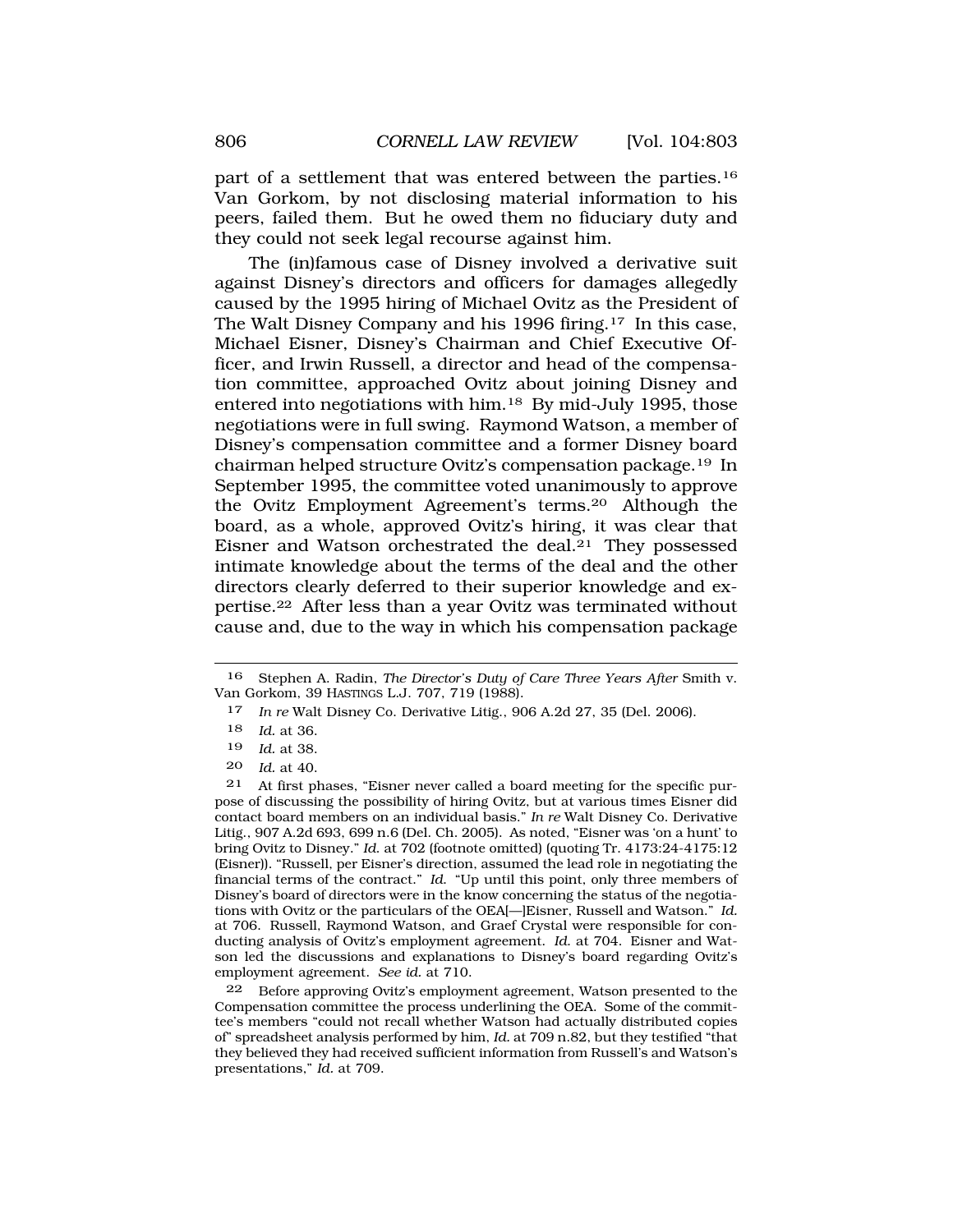part of a settlement that was entered between the parties.16 Van Gorkom, by not disclosing material information to his peers, failed them. But he owed them no fiduciary duty and they could not seek legal recourse against him.

The (in)famous case of Disney involved a derivative suit against Disney's directors and officers for damages allegedly caused by the 1995 hiring of Michael Ovitz as the President of The Walt Disney Company and his 1996 firing.<sup>17</sup> In this case, Michael Eisner, Disney's Chairman and Chief Executive Officer, and Irwin Russell, a director and head of the compensation committee, approached Ovitz about joining Disney and entered into negotiations with him.18 By mid-July 1995, those negotiations were in full swing. Raymond Watson, a member of Disney's compensation committee and a former Disney board chairman helped structure Ovitz's compensation package.19 In September 1995, the committee voted unanimously to approve the Ovitz Employment Agreement's terms.20 Although the board, as a whole, approved Ovitz's hiring, it was clear that Eisner and Watson orchestrated the deal.21 They possessed intimate knowledge about the terms of the deal and the other directors clearly deferred to their superior knowledge and expertise.22 After less than a year Ovitz was terminated without cause and, due to the way in which his compensation package

21 At first phases, "Eisner never called a board meeting for the specific purpose of discussing the possibility of hiring Ovitz, but at various times Eisner did contact board members on an individual basis." *In re* Walt Disney Co. Derivative Litig., 907 A.2d 693, 699 n.6 (Del. Ch. 2005). As noted, "Eisner was 'on a hunt' to bring Ovitz to Disney." *Id*. at 702 (footnote omitted) (quoting Tr. 4173:24-4175:12 (Eisner)). "Russell, per Eisner's direction, assumed the lead role in negotiating the financial terms of the contract." *Id*. "Up until this point, only three members of Disney's board of directors were in the know concerning the status of the negotiations with Ovitz or the particulars of the OEA[—]Eisner, Russell and Watson." *Id.*  at 706. Russell, Raymond Watson, and Graef Crystal were responsible for conducting analysis of Ovitz's employment agreement. *Id*. at 704. Eisner and Watson led the discussions and explanations to Disney's board regarding Ovitz's employment agreement. *See id.* at 710.

22 Before approving Ovitz's employment agreement, Watson presented to the Compensation committee the process underlining the OEA. Some of the committee's members "could not recall whether Watson had actually distributed copies of" spreadsheet analysis performed by him, *Id.* at 709 n.82, but they testified "that they believed they had received sufficient information from Russell's and Watson's presentations," *Id.* at 709.

<sup>16</sup> Stephen A. Radin, *The Director's Duty of Care Three Years After* Smith v. Van Gorkom, 39 HASTINGS L.J. 707, 719 (1988).

<sup>17</sup> *In re* Walt Disney Co. Derivative Litig., 906 A.2d 27, 35 (Del. 2006).

<sup>18</sup> *Id.* at 36.

<sup>19</sup> *Id.* at 38.

<sup>20</sup> *Id.* at 40.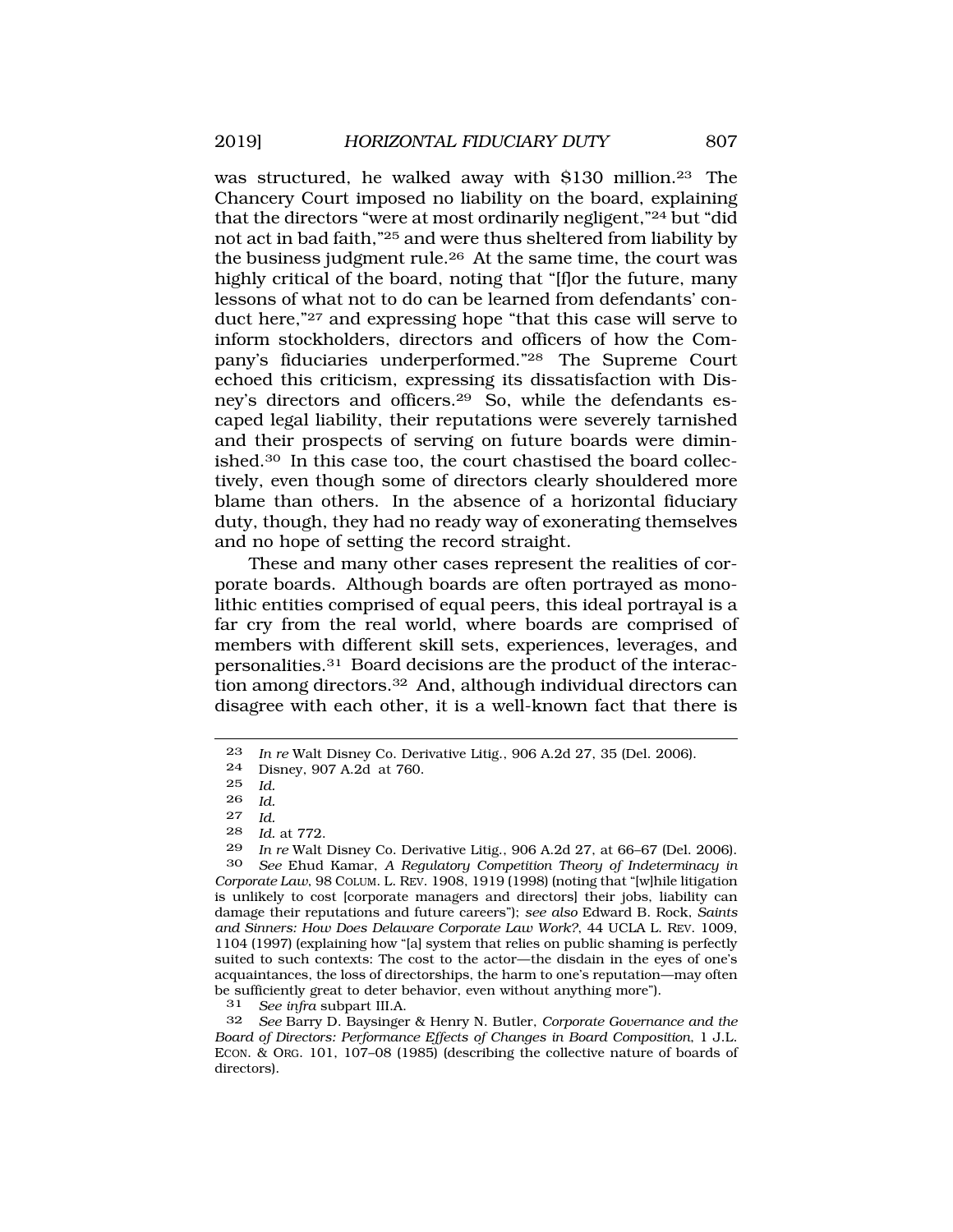was structured, he walked away with \$130 million.23 The Chancery Court imposed no liability on the board, explaining that the directors "were at most ordinarily negligent,"24 but "did not act in bad faith,"25 and were thus sheltered from liability by the business judgment rule.26 At the same time, the court was highly critical of the board, noting that "[f]or the future, many lessons of what not to do can be learned from defendants' conduct here,"27 and expressing hope "that this case will serve to inform stockholders, directors and officers of how the Company's fiduciaries underperformed."28 The Supreme Court echoed this criticism, expressing its dissatisfaction with Disney's directors and officers.29 So, while the defendants escaped legal liability, their reputations were severely tarnished and their prospects of serving on future boards were diminished.30 In this case too, the court chastised the board collectively, even though some of directors clearly shouldered more blame than others. In the absence of a horizontal fiduciary duty, though, they had no ready way of exonerating themselves and no hope of setting the record straight.

These and many other cases represent the realities of corporate boards. Although boards are often portrayed as monolithic entities comprised of equal peers, this ideal portrayal is a far cry from the real world, where boards are comprised of members with different skill sets, experiences, leverages, and personalities.31 Board decisions are the product of the interaction among directors.32 And, although individual directors can disagree with each other, it is a well-known fact that there is

28 *Id.* at 772.

29 *In re* Walt Disney Co. Derivative Litig., 906 A.2d 27, at 66–67 (Del. 2006). 30 *See* Ehud Kamar, *A Regulatory Competition Theory of Indeterminacy in Corporate Law*, 98 COLUM. L. REV. 1908, 1919 (1998) (noting that "[w]hile litigation is unlikely to cost [corporate managers and directors] their jobs, liability can damage their reputations and future careers"); *see also* Edward B. Rock, *Saints and Sinners: How Does Delaware Corporate Law Work?*, 44 UCLA L. REV. 1009, 1104 (1997) (explaining how "[a] system that relies on public shaming is perfectly suited to such contexts: The cost to the actor—the disdain in the eyes of one's acquaintances, the loss of directorships, the harm to one's reputation—may often be sufficiently great to deter behavior, even without anything more").

31 *See infra* subpart III.A.

32 *See* Barry D. Baysinger & Henry N. Butler, *Corporate Governance and the Board of Directors: Performance Effects of Changes in Board Composition*, 1 J.L. ECON. & ORG. 101, 107–08 (1985) (describing the collective nature of boards of directors).

<sup>23</sup> *In re* Walt Disney Co. Derivative Litig., 906 A.2d 27, 35 (Del. 2006).

<sup>24</sup> Disney, 907 A.2d at 760.<br>25 Id

*Id.* 

<sup>26</sup> *Id.* 

<sup>27</sup> *Id.*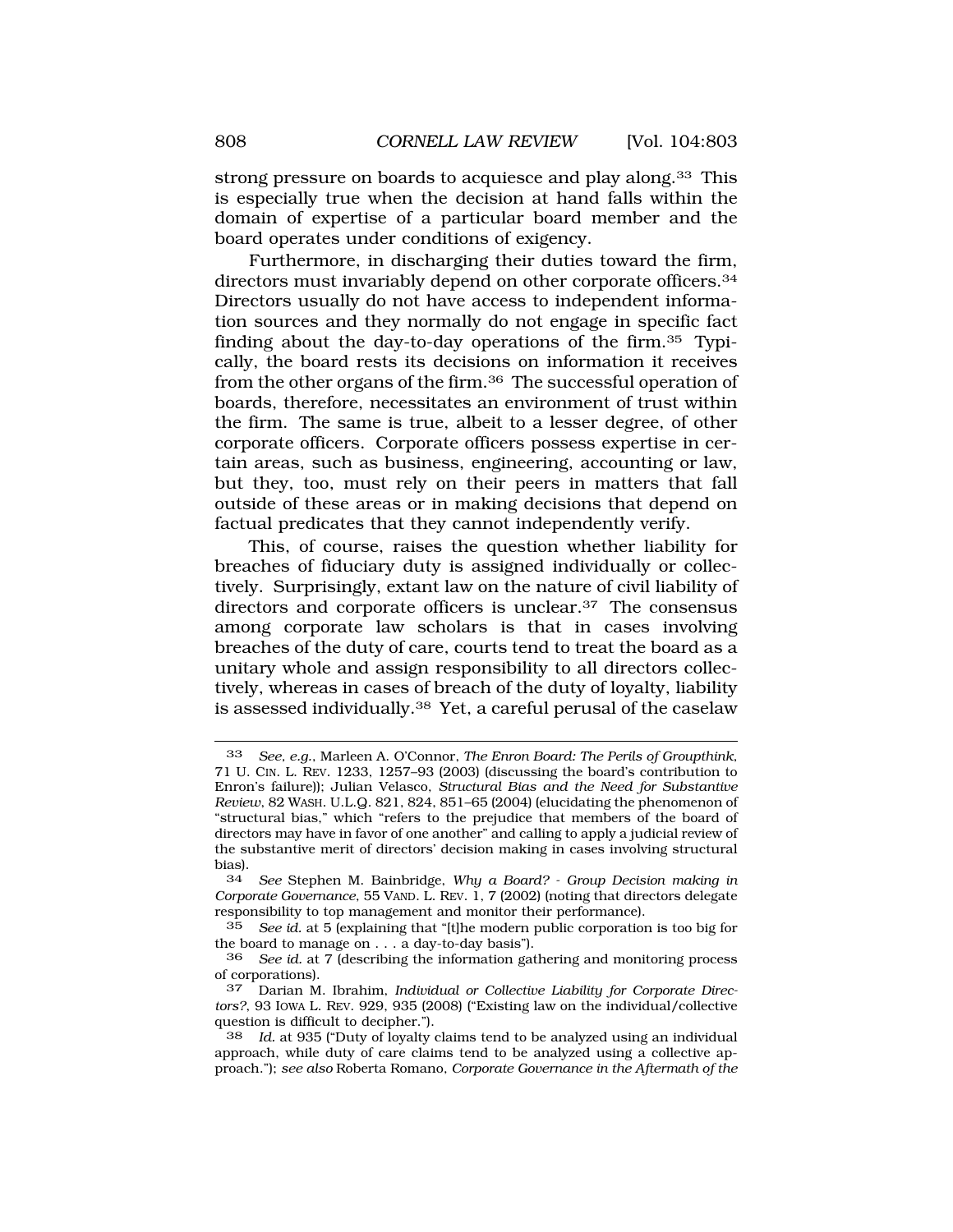strong pressure on boards to acquiesce and play along.<sup>33</sup> This is especially true when the decision at hand falls within the domain of expertise of a particular board member and the board operates under conditions of exigency.

Furthermore, in discharging their duties toward the firm, directors must invariably depend on other corporate officers.34 Directors usually do not have access to independent information sources and they normally do not engage in specific fact finding about the day-to-day operations of the firm.35 Typically, the board rests its decisions on information it receives from the other organs of the firm.36 The successful operation of boards, therefore, necessitates an environment of trust within the firm. The same is true, albeit to a lesser degree, of other corporate officers. Corporate officers possess expertise in certain areas, such as business, engineering, accounting or law, but they, too, must rely on their peers in matters that fall outside of these areas or in making decisions that depend on factual predicates that they cannot independently verify.

This, of course, raises the question whether liability for breaches of fiduciary duty is assigned individually or collectively. Surprisingly, extant law on the nature of civil liability of directors and corporate officers is unclear.<sup>37</sup> The consensus among corporate law scholars is that in cases involving breaches of the duty of care, courts tend to treat the board as a unitary whole and assign responsibility to all directors collectively, whereas in cases of breach of the duty of loyalty, liability is assessed individually.38 Yet, a careful perusal of the caselaw

<sup>33</sup> *See, e.g.*, Marleen A. O'Connor, *The Enron Board: The Perils of Groupthink*, 71 U. CIN. L. REV. 1233, 1257–93 (2003) (discussing the board's contribution to Enron's failure)); Julian Velasco, *Structural Bias and the Need for Substantive Review*, 82 WASH. U.L.Q. 821, 824, 851–65 (2004) (elucidating the phenomenon of "structural bias," which "refers to the prejudice that members of the board of directors may have in favor of one another" and calling to apply a judicial review of the substantive merit of directors' decision making in cases involving structural bias).<br> $34$ 

<sup>34</sup> *See* Stephen M. Bainbridge, *Why a Board? - Group Decision making in Corporate Governance*, 55 VAND. L. REV. 1, 7 (2002) (noting that directors delegate responsibility to top management and monitor their performance).<br>35 See id. at 5 (explaining that "filhe modern public corporation

<sup>35</sup> *See id.* at 5 (explaining that "[t]he modern public corporation is too big for the board to manage on  $\ldots$  a day-to-day basis").<br>36 See id. at 7 (describing the information gate

See id. at 7 (describing the information gathering and monitoring process of corporations).

Darian M. Ibrahim, *Individual or Collective Liability for Corporate Directors?*, 93 IOWA L. REV. 929, 935 (2008) ("Existing law on the individual/collective question is difficult to decipher.").

<sup>38</sup> *Id.* at 935 ("Duty of loyalty claims tend to be analyzed using an individual approach, while duty of care claims tend to be analyzed using a collective approach."); *see also* Roberta Romano, *Corporate Governance in the Aftermath of the*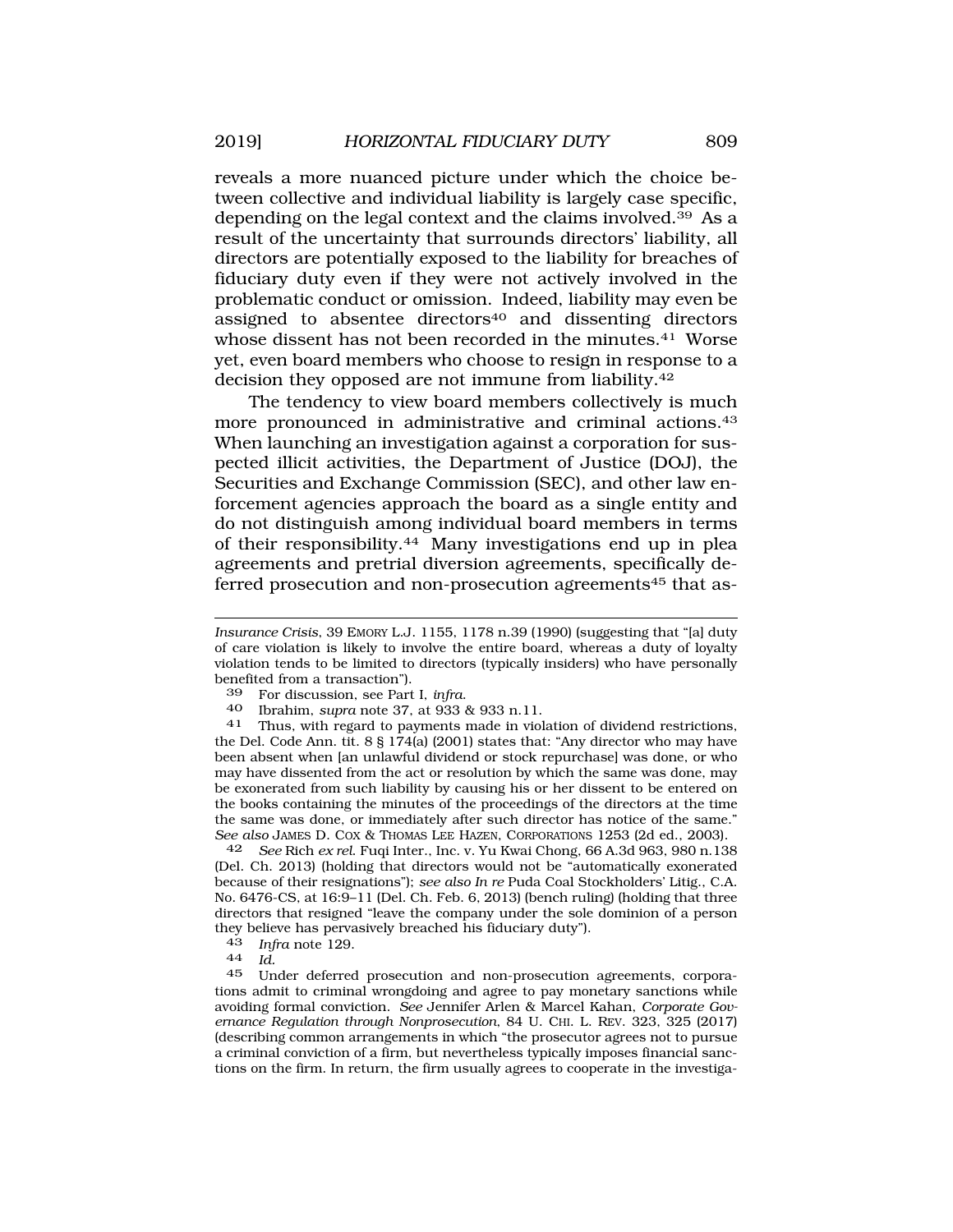reveals a more nuanced picture under which the choice between collective and individual liability is largely case specific, depending on the legal context and the claims involved.39 As a result of the uncertainty that surrounds directors' liability, all directors are potentially exposed to the liability for breaches of fiduciary duty even if they were not actively involved in the problematic conduct or omission. Indeed, liability may even be assigned to absentee directors<sup>40</sup> and dissenting directors whose dissent has not been recorded in the minutes.<sup>41</sup> Worse yet, even board members who choose to resign in response to a decision they opposed are not immune from liability.42

The tendency to view board members collectively is much more pronounced in administrative and criminal actions.43 When launching an investigation against a corporation for suspected illicit activities, the Department of Justice (DOJ), the Securities and Exchange Commission (SEC), and other law enforcement agencies approach the board as a single entity and do not distinguish among individual board members in terms of their responsibility.44 Many investigations end up in plea agreements and pretrial diversion agreements, specifically deferred prosecution and non-prosecution agreements<sup>45</sup> that as-

39 For discussion, see Part I, *infra*. 40 Ibrahim, *supra* note 37, at 933 & 933 n.11. 41 Thus, with regard to payments made in violation of dividend restrictions, the Del. Code Ann. tit. 8 § 174(a) (2001) states that: "Any director who may have been absent when [an unlawful dividend or stock repurchase] was done, or who may have dissented from the act or resolution by which the same was done, may be exonerated from such liability by causing his or her dissent to be entered on the books containing the minutes of the proceedings of the directors at the time the same was done, or immediately after such director has notice of the same." *See also* JAMES D. COX & THOMAS LEE HAZEN, CORPORATIONS 1253 (2d ed., 2003).

42 *See* Rich *ex rel*. Fuqi Inter., Inc. v. Yu Kwai Chong, 66 A.3d 963, 980 n.138 (Del. Ch. 2013) (holding that directors would not be "automatically exonerated because of their resignations"); *see also In re* Puda Coal Stockholders' Litig., C.A. No. 6476-CS, at 16:9–11 (Del. Ch. Feb. 6, 2013) (bench ruling) (holding that three directors that resigned "leave the company under the sole dominion of a person they believe has pervasively breached his fiduciary duty").

Under deferred prosecution and non-prosecution agreements, corporations admit to criminal wrongdoing and agree to pay monetary sanctions while avoiding formal conviction. *See* Jennifer Arlen & Marcel Kahan, *Corporate Governance Regulation through Nonprosecution*, 84 U. CHI. L. REV. 323, 325 (2017) (describing common arrangements in which "the prosecutor agrees not to pursue a criminal conviction of a firm, but nevertheless typically imposes financial sanctions on the firm. In return, the firm usually agrees to cooperate in the investiga-

*Insurance Crisis*, 39 EMORY L.J. 1155, 1178 n.39 (1990) (suggesting that "[a] duty of care violation is likely to involve the entire board, whereas a duty of loyalty violation tends to be limited to directors (typically insiders) who have personally benefited from a transaction").

<sup>43</sup>*Infra* note 129. 44 *Id.*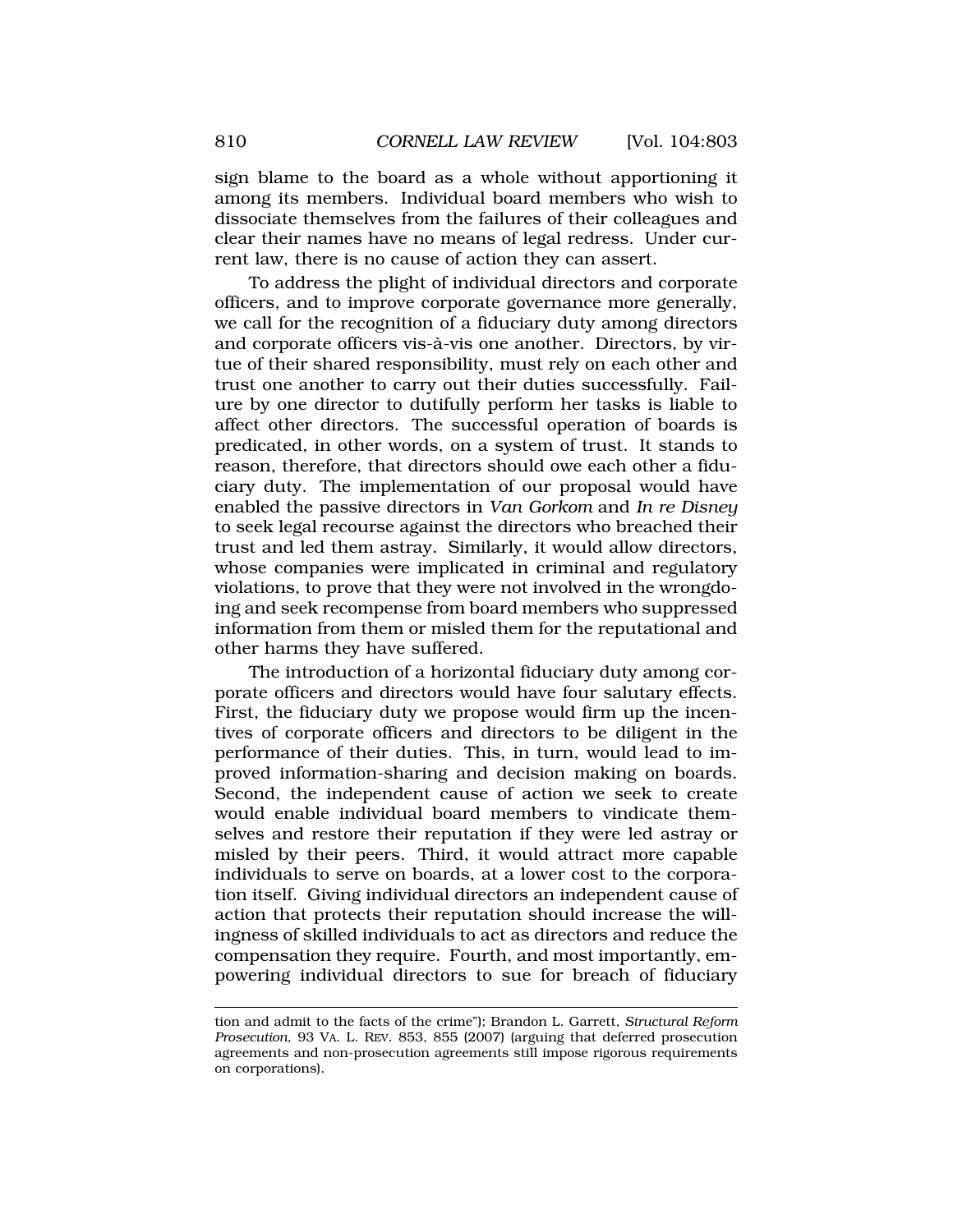sign blame to the board as a whole without apportioning it among its members. Individual board members who wish to dissociate themselves from the failures of their colleagues and clear their names have no means of legal redress. Under current law, there is no cause of action they can assert.

To address the plight of individual directors and corporate officers, and to improve corporate governance more generally, we call for the recognition of a fiduciary duty among directors and corporate officers vis-à-vis one another. Directors, by virtue of their shared responsibility, must rely on each other and trust one another to carry out their duties successfully. Failure by one director to dutifully perform her tasks is liable to affect other directors. The successful operation of boards is predicated, in other words, on a system of trust. It stands to reason, therefore, that directors should owe each other a fiduciary duty. The implementation of our proposal would have enabled the passive directors in *Van Gorkom* and *In re Disney*  to seek legal recourse against the directors who breached their trust and led them astray. Similarly, it would allow directors, whose companies were implicated in criminal and regulatory violations, to prove that they were not involved in the wrongdoing and seek recompense from board members who suppressed information from them or misled them for the reputational and other harms they have suffered.

The introduction of a horizontal fiduciary duty among corporate officers and directors would have four salutary effects. First, the fiduciary duty we propose would firm up the incentives of corporate officers and directors to be diligent in the performance of their duties. This, in turn, would lead to improved information-sharing and decision making on boards. Second, the independent cause of action we seek to create would enable individual board members to vindicate themselves and restore their reputation if they were led astray or misled by their peers. Third, it would attract more capable individuals to serve on boards, at a lower cost to the corporation itself. Giving individual directors an independent cause of action that protects their reputation should increase the willingness of skilled individuals to act as directors and reduce the compensation they require. Fourth, and most importantly, empowering individual directors to sue for breach of fiduciary

tion and admit to the facts of the crime"); Brandon L. Garrett, *Structural Reform Prosecution*, 93 VA. L. REV. 853, 855 (2007) (arguing that deferred prosecution agreements and non-prosecution agreements still impose rigorous requirements on corporations).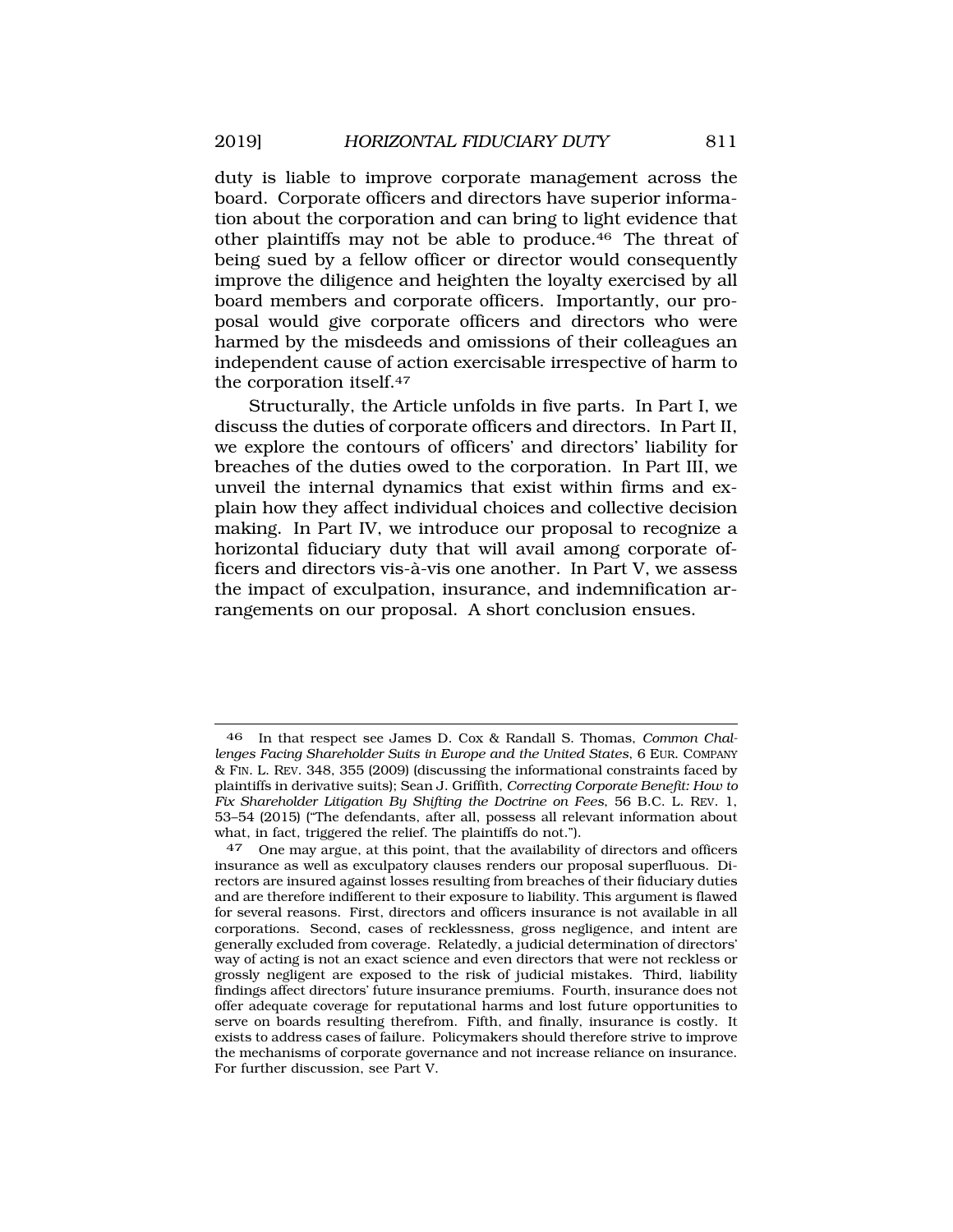duty is liable to improve corporate management across the board. Corporate officers and directors have superior information about the corporation and can bring to light evidence that other plaintiffs may not be able to produce.46 The threat of being sued by a fellow officer or director would consequently improve the diligence and heighten the loyalty exercised by all board members and corporate officers. Importantly, our proposal would give corporate officers and directors who were harmed by the misdeeds and omissions of their colleagues an independent cause of action exercisable irrespective of harm to the corporation itself.47

Structurally, the Article unfolds in five parts. In Part I, we discuss the duties of corporate officers and directors. In Part II, we explore the contours of officers' and directors' liability for breaches of the duties owed to the corporation. In Part III, we unveil the internal dynamics that exist within firms and explain how they affect individual choices and collective decision making. In Part IV, we introduce our proposal to recognize a horizontal fiduciary duty that will avail among corporate officers and directors vis-à-vis one another. In Part V, we assess the impact of exculpation, insurance, and indemnification arrangements on our proposal. A short conclusion ensues.

<sup>46</sup> In that respect see James D. Cox & Randall S. Thomas, *Common Challenges Facing Shareholder Suits in Europe and the United States*, 6 EUR. COMPANY & FIN. L. REV. 348, 355 (2009) (discussing the informational constraints faced by plaintiffs in derivative suits); Sean J. Griffith, *Correcting Corporate Benefit: How to Fix Shareholder Litigation By Shifting the Doctrine on Fees*, 56 B.C. L. REV. 1, 53–54 (2015) ("The defendants, after all, possess all relevant information about what, in fact, triggered the relief. The plaintiffs do not.").

<sup>47</sup> One may argue, at this point, that the availability of directors and officers insurance as well as exculpatory clauses renders our proposal superfluous. Directors are insured against losses resulting from breaches of their fiduciary duties and are therefore indifferent to their exposure to liability. This argument is flawed for several reasons. First, directors and officers insurance is not available in all corporations. Second, cases of recklessness, gross negligence, and intent are generally excluded from coverage. Relatedly, a judicial determination of directors' way of acting is not an exact science and even directors that were not reckless or grossly negligent are exposed to the risk of judicial mistakes. Third, liability findings affect directors' future insurance premiums. Fourth, insurance does not offer adequate coverage for reputational harms and lost future opportunities to serve on boards resulting therefrom. Fifth, and finally, insurance is costly. It exists to address cases of failure. Policymakers should therefore strive to improve the mechanisms of corporate governance and not increase reliance on insurance. For further discussion, see Part V.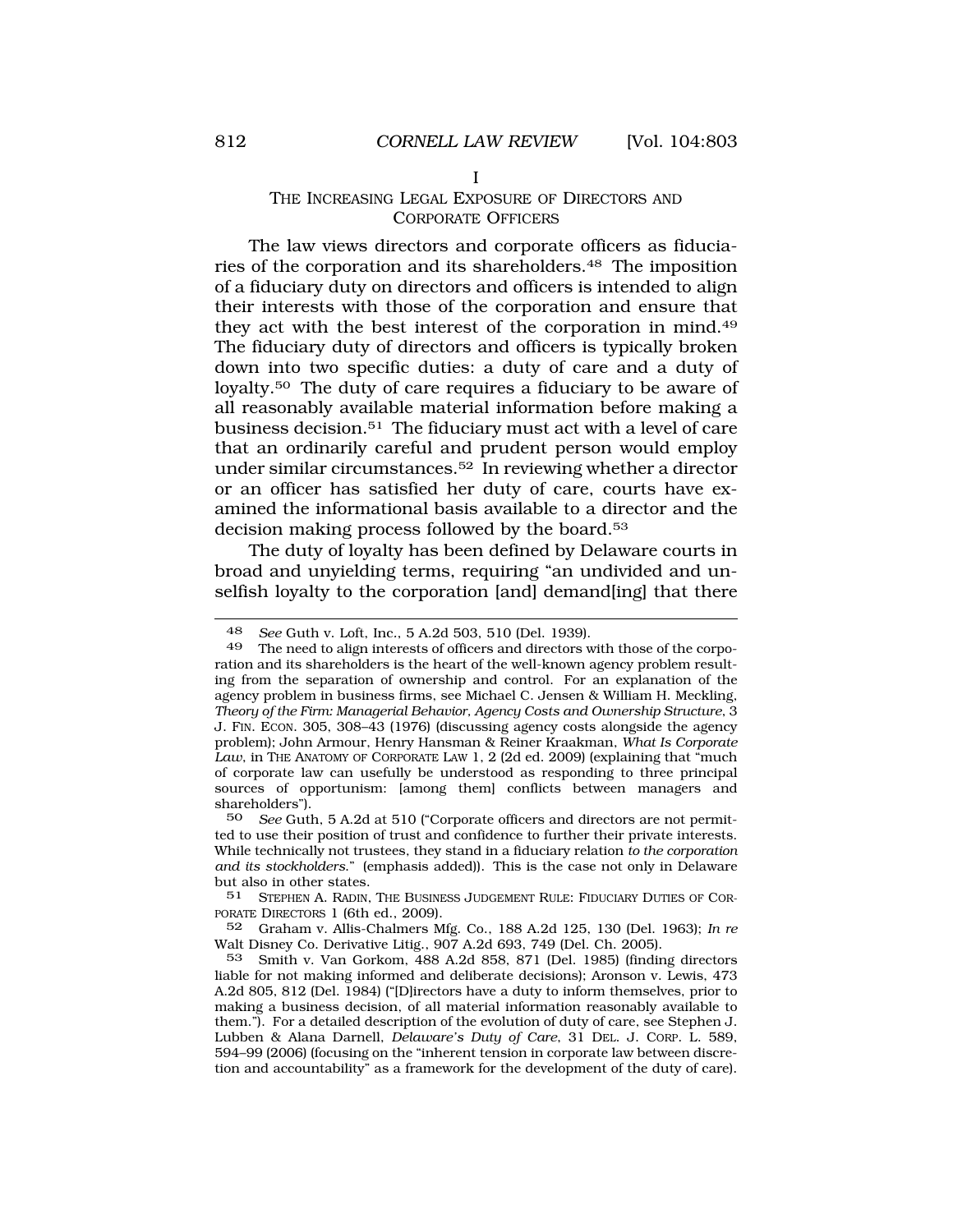### THE INCREASING LEGAL EXPOSURE OF DIRECTORS AND CORPORATE OFFICERS

The law views directors and corporate officers as fiduciaries of the corporation and its shareholders.48 The imposition of a fiduciary duty on directors and officers is intended to align their interests with those of the corporation and ensure that they act with the best interest of the corporation in mind.49 The fiduciary duty of directors and officers is typically broken down into two specific duties: a duty of care and a duty of loyalty.50 The duty of care requires a fiduciary to be aware of all reasonably available material information before making a business decision.51 The fiduciary must act with a level of care that an ordinarily careful and prudent person would employ under similar circumstances.52 In reviewing whether a director or an officer has satisfied her duty of care, courts have examined the informational basis available to a director and the decision making process followed by the board.<sup>53</sup>

The duty of loyalty has been defined by Delaware courts in broad and unyielding terms, requiring "an undivided and unselfish loyalty to the corporation [and] demand[ing] that there

<sup>48</sup> *See* Guth v. Loft, Inc*.*, 5 A.2d 503, 510 (Del. 1939).

The need to align interests of officers and directors with those of the corporation and its shareholders is the heart of the well-known agency problem resulting from the separation of ownership and control. For an explanation of the agency problem in business firms, see Michael C. Jensen & William H. Meckling, *Theory of the Firm: Managerial Behavior, Agency Costs and Ownership Structure*, 3 J. FIN. ECON. 305, 308–43 (1976) (discussing agency costs alongside the agency problem); John Armour, Henry Hansman & Reiner Kraakman, *What Is Corporate Law*, in THE ANATOMY OF CORPORATE LAW 1, 2 (2d ed. 2009) (explaining that "much of corporate law can usefully be understood as responding to three principal sources of opportunism: [among them] conflicts between managers and shareholders").<br>50 See Gutl

See Guth, 5 A.2d at 510 ("Corporate officers and directors are not permitted to use their position of trust and confidence to further their private interests. While technically not trustees, they stand in a fiduciary relation *to the corporation and its stockholders*." (emphasis added)). This is the case not only in Delaware but also in other states.

<sup>51</sup> STEPHEN A. RADIN, THE BUSINESS JUDGEMENT RULE: FIDUCIARY DUTIES OF COR-PORATE DIRECTORS 1 (6th ed., 2009).

<sup>52</sup> Graham v. Allis-Chalmers Mfg. Co., 188 A.2d 125, 130 (Del. 1963); *In re*  Walt Disney Co. Derivative Litig., 907 A.2d 693, 749 (Del. Ch. 2005).

<sup>53</sup> Smith v. Van Gorkom, 488 A.2d 858, 871 (Del. 1985) (finding directors liable for not making informed and deliberate decisions); Aronson v. Lewis, 473 A.2d 805, 812 (Del. 1984) ("[D]irectors have a duty to inform themselves, prior to making a business decision, of all material information reasonably available to them."). For a detailed description of the evolution of duty of care, see Stephen J. Lubben & Alana Darnell, *Delaware's Duty of Care*, 31 DEL. J. CORP. L. 589, 594–99 (2006) (focusing on the "inherent tension in corporate law between discretion and accountability" as a framework for the development of the duty of care).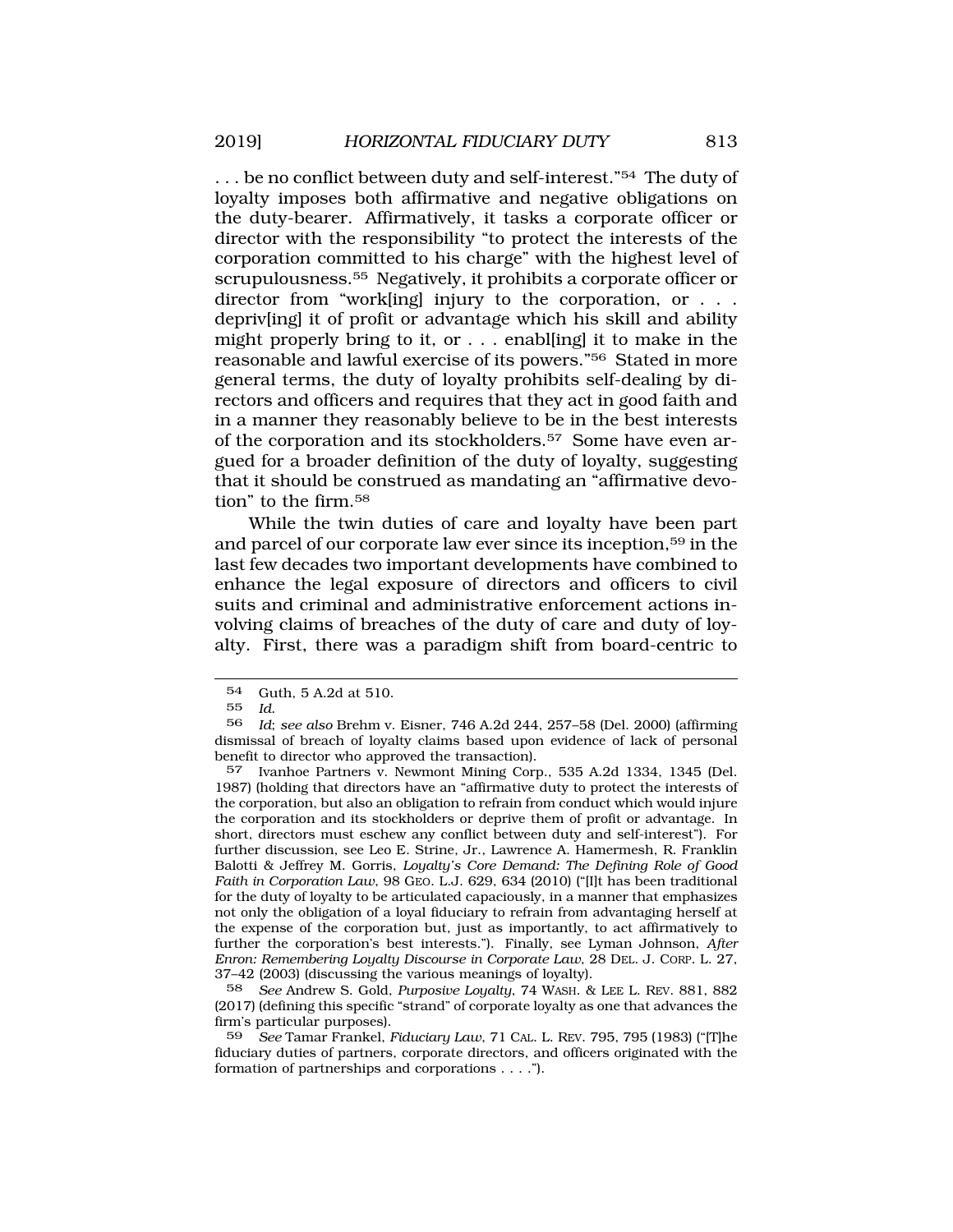... be no conflict between duty and self-interest."<sup>54</sup> The duty of loyalty imposes both affirmative and negative obligations on the duty-bearer. Affirmatively, it tasks a corporate officer or director with the responsibility "to protect the interests of the corporation committed to his charge" with the highest level of scrupulousness.55 Negatively, it prohibits a corporate officer or director from "work[ing] injury to the corporation, or . . . depriv[ing] it of profit or advantage which his skill and ability might properly bring to it, or . . . enabl[ing] it to make in the reasonable and lawful exercise of its powers."56 Stated in more general terms, the duty of loyalty prohibits self-dealing by directors and officers and requires that they act in good faith and in a manner they reasonably believe to be in the best interests of the corporation and its stockholders.57 Some have even argued for a broader definition of the duty of loyalty, suggesting that it should be construed as mandating an "affirmative devotion" to the firm.58

While the twin duties of care and loyalty have been part and parcel of our corporate law ever since its inception,59 in the last few decades two important developments have combined to enhance the legal exposure of directors and officers to civil suits and criminal and administrative enforcement actions involving claims of breaches of the duty of care and duty of loyalty. First, there was a paradigm shift from board-centric to

57 Ivanhoe Partners v. Newmont Mining Corp., 535 A.2d 1334, 1345 (Del. 1987) (holding that directors have an "affirmative duty to protect the interests of the corporation, but also an obligation to refrain from conduct which would injure the corporation and its stockholders or deprive them of profit or advantage. In short, directors must eschew any conflict between duty and self-interest"). For further discussion, see Leo E. Strine, Jr., Lawrence A. Hamermesh, R. Franklin Balotti & Jeffrey M. Gorris, *Loyalty's Core Demand: The Defining Role of Good Faith in Corporation Law*, 98 GEO. L.J. 629, 634 (2010) ("[I]t has been traditional for the duty of loyalty to be articulated capaciously, in a manner that emphasizes not only the obligation of a loyal fiduciary to refrain from advantaging herself at the expense of the corporation but, just as importantly, to act affirmatively to further the corporation's best interests."). Finally, see Lyman Johnson, *After Enron: Remembering Loyalty Discourse in Corporate Law*, 28 DEL. J. CORP. L. 27, 37–42 (2003) (discussing the various meanings of loyalty).

58 *See* Andrew S. Gold, *Purposive Loyalty*, 74 WASH. & LEE L. REV. 881, 882 (2017) (defining this specific "strand" of corporate loyalty as one that advances the firm's particular purposes).

59 *See* Tamar Frankel, *Fiduciary Law*, 71 CAL. L. REV. 795, 795 (1983) ("[T]he fiduciary duties of partners, corporate directors, and officers originated with the formation of partnerships and corporations . . . .").

<sup>54</sup> Guth, 5 A.2d at 510.<br>55  $Id$ 

<sup>55</sup>*Id*. 56 *Id*; *see also* Brehm v. Eisner, 746 A.2d 244, 257–58 (Del. 2000) (affirming dismissal of breach of loyalty claims based upon evidence of lack of personal benefit to director who approved the transaction).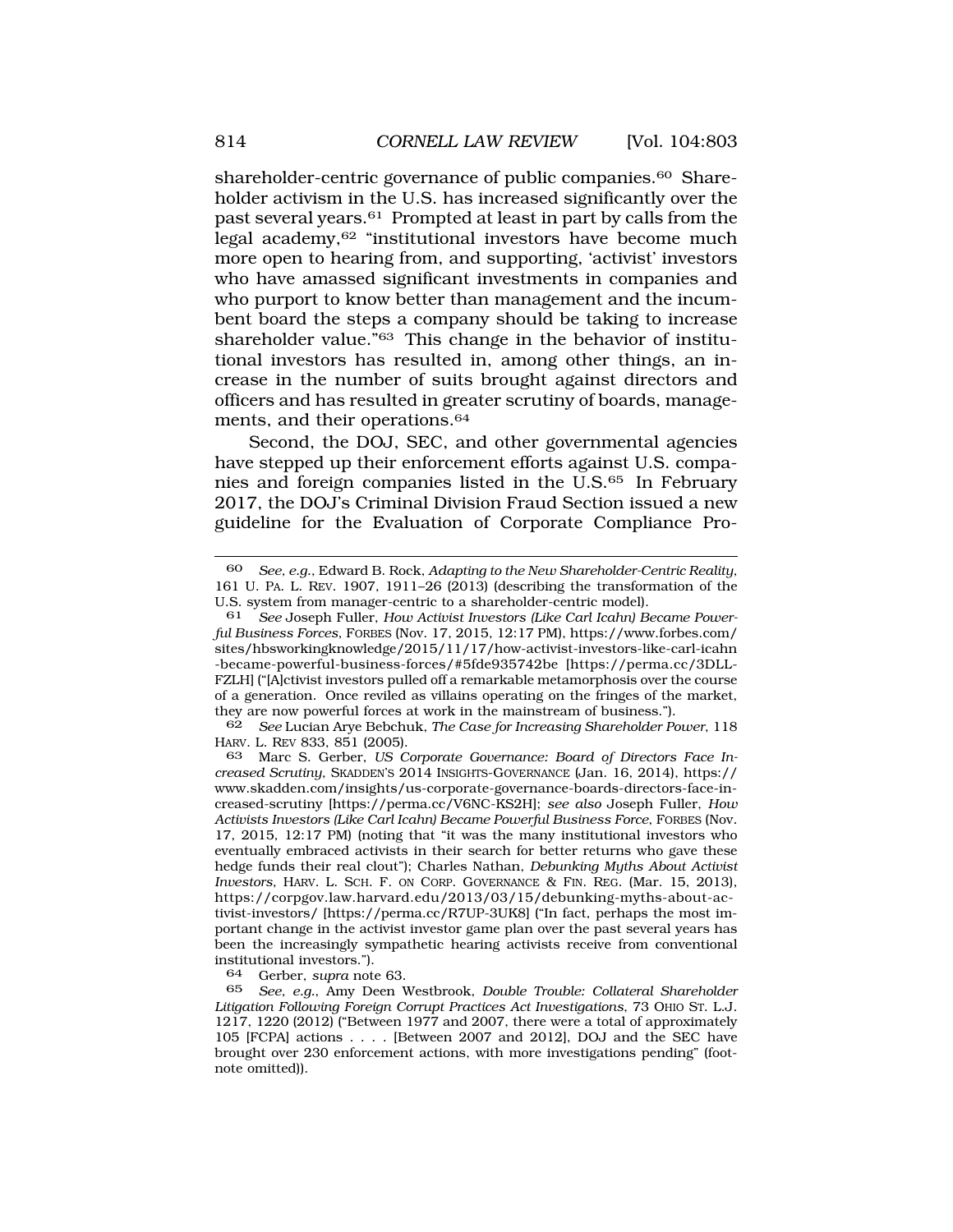shareholder-centric governance of public companies.<sup>60</sup> Shareholder activism in the U.S. has increased significantly over the past several years.61 Prompted at least in part by calls from the legal academy,62 "institutional investors have become much more open to hearing from, and supporting, 'activist' investors who have amassed significant investments in companies and who purport to know better than management and the incumbent board the steps a company should be taking to increase shareholder value."63 This change in the behavior of institutional investors has resulted in, among other things, an increase in the number of suits brought against directors and officers and has resulted in greater scrutiny of boards, managements, and their operations.<sup>64</sup>

Second, the DOJ, SEC, and other governmental agencies have stepped up their enforcement efforts against U.S. companies and foreign companies listed in the U.S.65 In February 2017, the DOJ's Criminal Division Fraud Section issued a new guideline for the Evaluation of Corporate Compliance Pro-

62 *See* Lucian Arye Bebchuk, *The Case for Increasing Shareholder Power*, 118 HARV. L. REV 833, 851 (2005).

64 Gerber, *supra* note 63.

<sup>60</sup> *See, e.g.*, Edward B. Rock, *Adapting to the New Shareholder-Centric Reality*, 161 U. PA. L. REV. 1907, 1911–26 (2013) (describing the transformation of the U.S. system from manager-centric to a shareholder-centric model).

See Joseph Fuller, *How Activist Investors (Like Carl Icahn) Became Powerful Business Forces*, FORBES (Nov. 17, 2015, 12:17 PM), https://www.forbes.com/ sites/hbsworkingknowledge/2015/11/17/how-activist-investors-like-carl-icahn -became-powerful-business-forces/#5fde935742be [https://perma.cc/3DLL-FZLH] ("[A]ctivist investors pulled off a remarkable metamorphosis over the course of a generation. Once reviled as villains operating on the fringes of the market, they are now powerful forces at work in the mainstream of business.").

<sup>63</sup> Marc S. Gerber, *US Corporate Governance: Board of Directors Face Increased Scrutiny*, SKADDEN'S 2014 INSIGHTS-GOVERNANCE (Jan. 16, 2014), https:// www.skadden.com/insights/us-corporate-governance-boards-directors-face-increased-scrutiny [https://perma.cc/V6NC-KS2H]; *see also* Joseph Fuller, *How Activists Investors (Like Carl Icahn) Became Powerful Business Force*, FORBES (Nov. 17, 2015, 12:17 PM) (noting that "it was the many institutional investors who eventually embraced activists in their search for better returns who gave these hedge funds their real clout"); Charles Nathan, *Debunking Myths About Activist Investors*, HARV. L. SCH. F. ON CORP. GOVERNANCE & FIN. REG. (Mar. 15, 2013), https://corpgov.law.harvard.edu/2013/03/15/debunking-myths-about-activist-investors/ [https://perma.cc/R7UP-3UK8] ("In fact, perhaps the most important change in the activist investor game plan over the past several years has been the increasingly sympathetic hearing activists receive from conventional institutional investors.").

<sup>65</sup> *See, e.g.*, Amy Deen Westbrook, *Double Trouble: Collateral Shareholder Litigation Following Foreign Corrupt Practices Act Investigations*, 73 OHIO ST. L.J. 1217, 1220 (2012) ("Between 1977 and 2007, there were a total of approximately 105 [FCPA] actions . . . . [Between 2007 and 2012], DOJ and the SEC have brought over 230 enforcement actions, with more investigations pending" (footnote omitted)).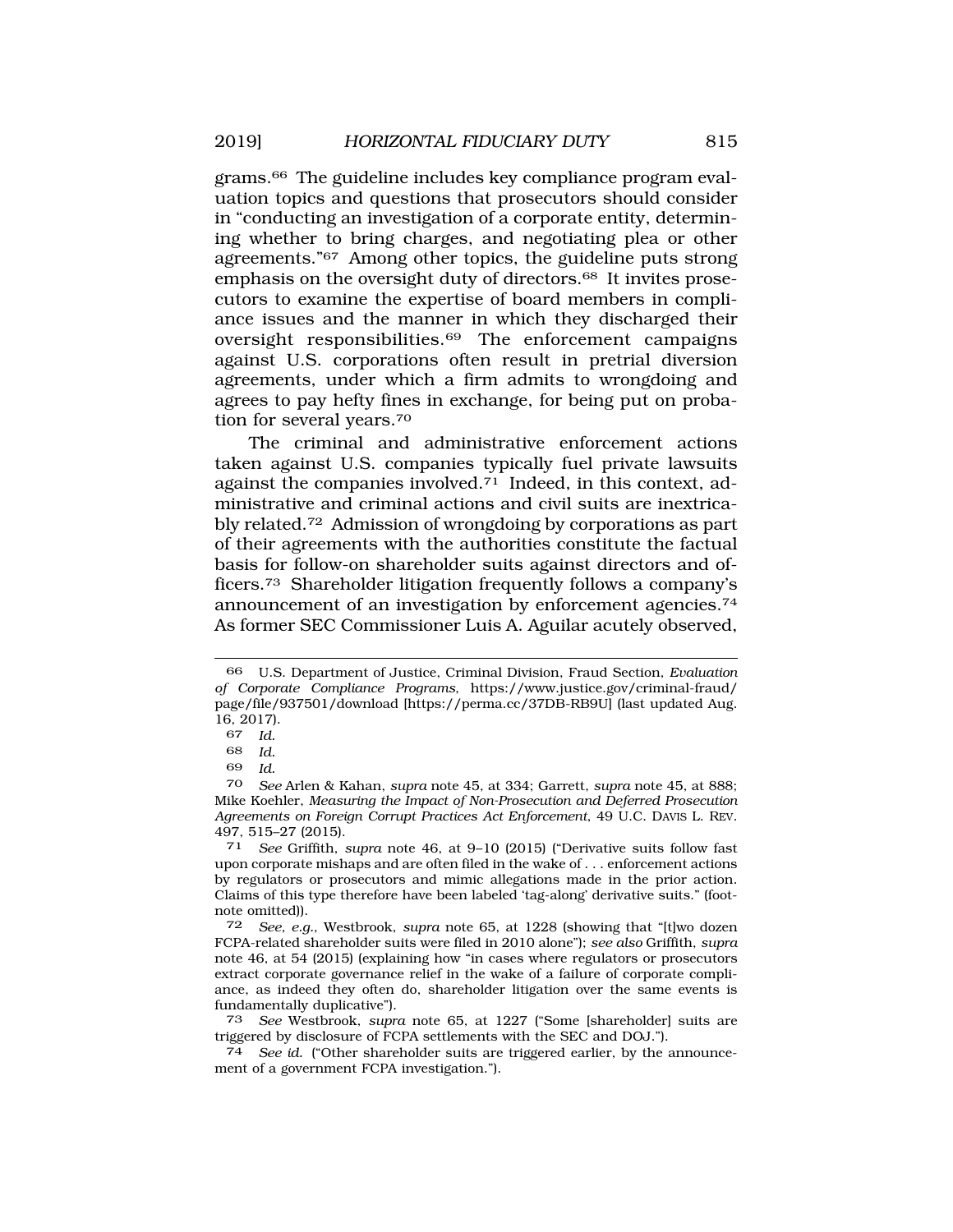grams.66 The guideline includes key compliance program evaluation topics and questions that prosecutors should consider in "conducting an investigation of a corporate entity, determining whether to bring charges, and negotiating plea or other agreements."67 Among other topics, the guideline puts strong emphasis on the oversight duty of directors.68 It invites prosecutors to examine the expertise of board members in compliance issues and the manner in which they discharged their oversight responsibilities.69 The enforcement campaigns against U.S. corporations often result in pretrial diversion agreements, under which a firm admits to wrongdoing and agrees to pay hefty fines in exchange, for being put on probation for several years.70

The criminal and administrative enforcement actions taken against U.S. companies typically fuel private lawsuits against the companies involved.71 Indeed, in this context, administrative and criminal actions and civil suits are inextricably related.72 Admission of wrongdoing by corporations as part of their agreements with the authorities constitute the factual basis for follow-on shareholder suits against directors and officers.73 Shareholder litigation frequently follows a company's announcement of an investigation by enforcement agencies.74 As former SEC Commissioner Luis A. Aguilar acutely observed,

69 *Id.* 

<sup>66</sup> U.S. Department of Justice, Criminal Division, Fraud Section, *Evaluation of Corporate Compliance Programs*, https://www.justice.gov/criminal-fraud/ page/file/937501/download [https://perma.cc/37DB-RB9U] (last updated Aug. 16, 2017).<br>67  $Id$ 

<sup>67</sup> *Id.* 

<sup>68</sup> *Id.* 

<sup>70</sup> *See* Arlen & Kahan, *supra* note 45, at 334; Garrett, *supra* note 45, at 888; Mike Koehler, *Measuring the Impact of Non-Prosecution and Deferred Prosecution Agreements on Foreign Corrupt Practices Act Enforcement*, 49 U.C. DAVIS L. REV. 497, 515–27 (2015).

<sup>71</sup> *See* Griffith, *supra* note 46, at 9–10 (2015) ("Derivative suits follow fast upon corporate mishaps and are often filed in the wake of . . . enforcement actions by regulators or prosecutors and mimic allegations made in the prior action. Claims of this type therefore have been labeled 'tag-along' derivative suits." (footnote omitted)).

<sup>72</sup> *See, e.g.*, Westbrook, *supra* note 65, at 1228 (showing that "[t]wo dozen FCPA-related shareholder suits were filed in 2010 alone"); *see also* Griffith, *supra*  note 46, at 54 (2015) (explaining how "in cases where regulators or prosecutors extract corporate governance relief in the wake of a failure of corporate compliance, as indeed they often do, shareholder litigation over the same events is fundamentally duplicative").

<sup>73</sup> *See* Westbrook, *supra* note 65, at 1227 ("Some [shareholder] suits are triggered by disclosure of FCPA settlements with the SEC and DOJ.").

<sup>74</sup> *See id.* ("Other shareholder suits are triggered earlier, by the announcement of a government FCPA investigation.").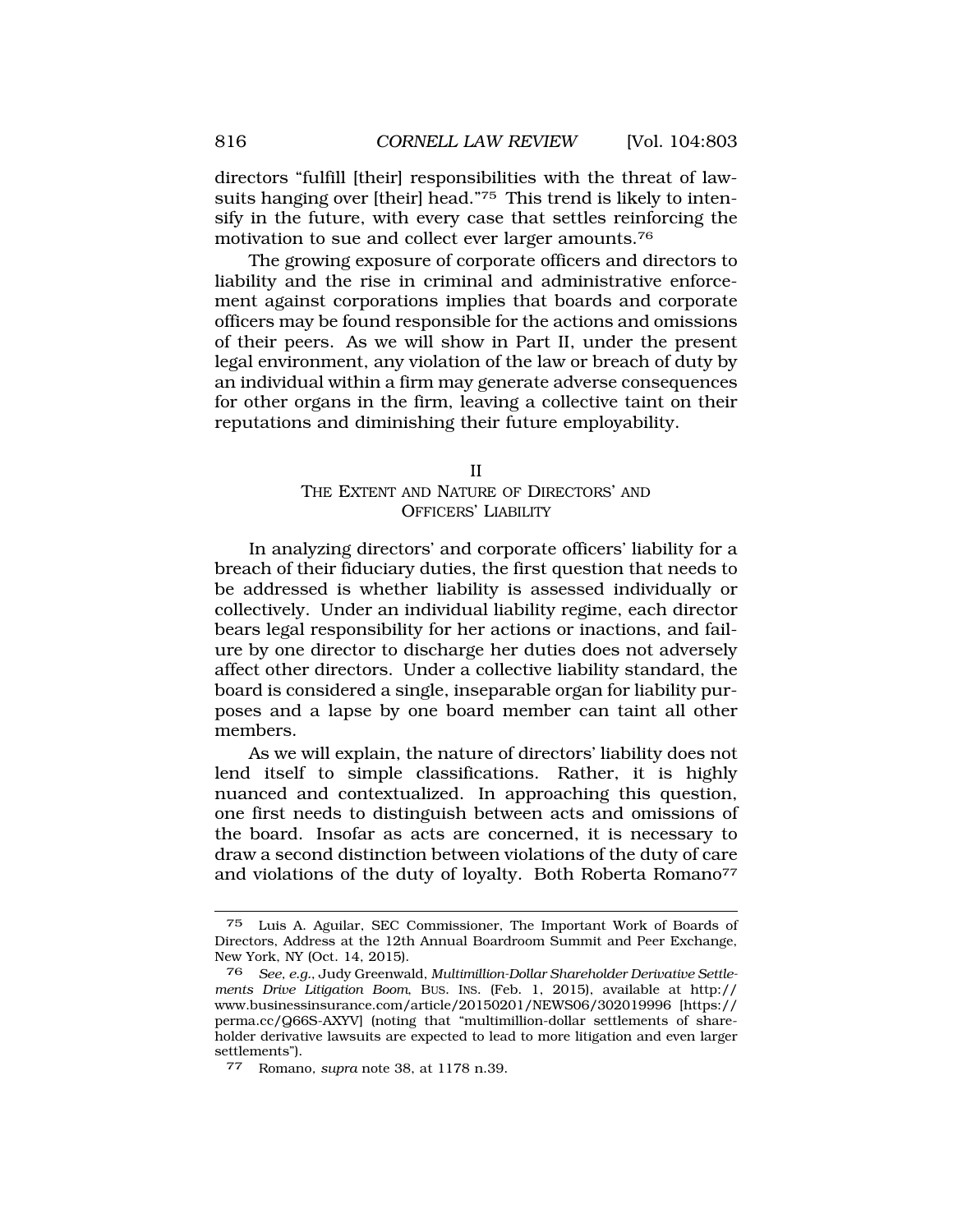directors "fulfill [their] responsibilities with the threat of lawsuits hanging over [their] head."75 This trend is likely to intensify in the future, with every case that settles reinforcing the motivation to sue and collect ever larger amounts.76

The growing exposure of corporate officers and directors to liability and the rise in criminal and administrative enforcement against corporations implies that boards and corporate officers may be found responsible for the actions and omissions of their peers. As we will show in Part II, under the present legal environment, any violation of the law or breach of duty by an individual within a firm may generate adverse consequences for other organs in the firm, leaving a collective taint on their reputations and diminishing their future employability.

#### II

# THE EXTENT AND NATURE OF DIRECTORS' AND OFFICERS' LIABILITY

In analyzing directors' and corporate officers' liability for a breach of their fiduciary duties, the first question that needs to be addressed is whether liability is assessed individually or collectively. Under an individual liability regime, each director bears legal responsibility for her actions or inactions, and failure by one director to discharge her duties does not adversely affect other directors. Under a collective liability standard, the board is considered a single, inseparable organ for liability purposes and a lapse by one board member can taint all other members.

As we will explain, the nature of directors' liability does not lend itself to simple classifications. Rather, it is highly nuanced and contextualized. In approaching this question, one first needs to distinguish between acts and omissions of the board. Insofar as acts are concerned, it is necessary to draw a second distinction between violations of the duty of care and violations of the duty of loyalty. Both Roberta Romano<sup>77</sup>

<sup>75</sup> Luis A. Aguilar, SEC Commissioner, The Important Work of Boards of Directors, Address at the 12th Annual Boardroom Summit and Peer Exchange, New York, NY (Oct. 14, 2015).

<sup>76</sup> *See, e.g.*, Judy Greenwald, *Multimillion-Dollar Shareholder Derivative Settlements Drive Litigation Boom*, BUS. INS. (Feb. 1, 2015), available at http:// www.businessinsurance.com/article/20150201/NEWS06/302019996 [https:// perma.cc/Q66S-AXYV] (noting that "multimillion-dollar settlements of shareholder derivative lawsuits are expected to lead to more litigation and even larger settlements").

<sup>77</sup> Romano*, supra* note 38, at 1178 n.39.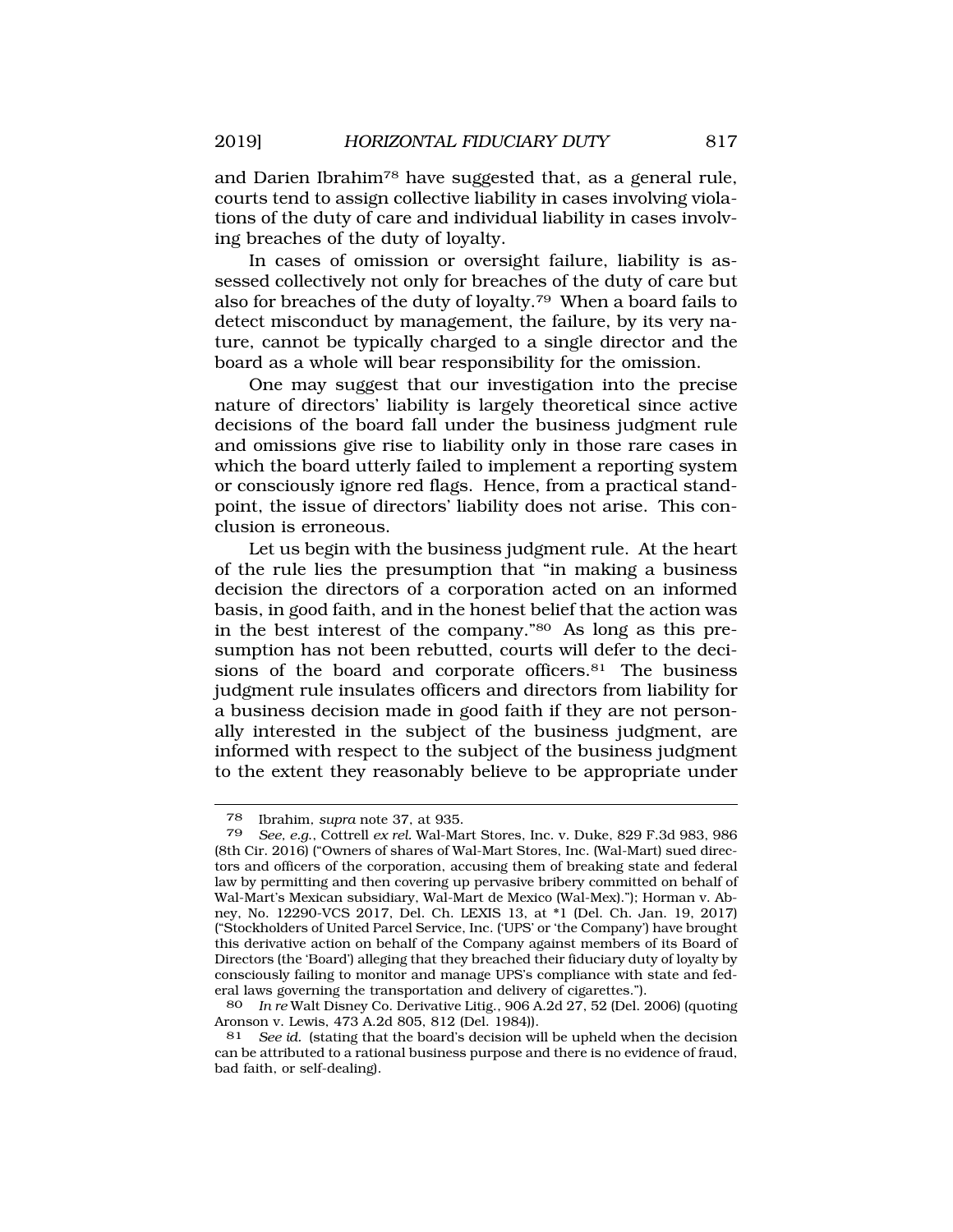and Darien Ibrahim78 have suggested that, as a general rule, courts tend to assign collective liability in cases involving violations of the duty of care and individual liability in cases involving breaches of the duty of loyalty.

In cases of omission or oversight failure, liability is assessed collectively not only for breaches of the duty of care but also for breaches of the duty of loyalty.79 When a board fails to detect misconduct by management, the failure, by its very nature, cannot be typically charged to a single director and the board as a whole will bear responsibility for the omission.

One may suggest that our investigation into the precise nature of directors' liability is largely theoretical since active decisions of the board fall under the business judgment rule and omissions give rise to liability only in those rare cases in which the board utterly failed to implement a reporting system or consciously ignore red flags. Hence, from a practical standpoint, the issue of directors' liability does not arise. This conclusion is erroneous.

Let us begin with the business judgment rule. At the heart of the rule lies the presumption that "in making a business decision the directors of a corporation acted on an informed basis, in good faith, and in the honest belief that the action was in the best interest of the company."80 As long as this presumption has not been rebutted, courts will defer to the decisions of the board and corporate officers.<sup>81</sup> The business judgment rule insulates officers and directors from liability for a business decision made in good faith if they are not personally interested in the subject of the business judgment, are informed with respect to the subject of the business judgment to the extent they reasonably believe to be appropriate under

<sup>78</sup> Ibrahim*, supra* note 37, at 935.

<sup>79</sup> *See, e.g*., Cottrell *ex rel.* Wal-Mart Stores, Inc. v. Duke, 829 F.3d 983, 986 (8th Cir. 2016) ("Owners of shares of Wal-Mart Stores, Inc. (Wal-Mart) sued directors and officers of the corporation, accusing them of breaking state and federal law by permitting and then covering up pervasive bribery committed on behalf of Wal-Mart's Mexican subsidiary, Wal-Mart de Mexico (Wal-Mex)."); Horman v. Abney, No. 12290-VCS 2017, Del. Ch. LEXIS 13, at \*1 (Del. Ch. Jan. 19, 2017) ("Stockholders of United Parcel Service, Inc. ('UPS' or 'the Company') have brought this derivative action on behalf of the Company against members of its Board of Directors (the 'Board') alleging that they breached their fiduciary duty of loyalty by consciously failing to monitor and manage UPS's compliance with state and federal laws governing the transportation and delivery of cigarettes.").

<sup>80</sup> *In re* Walt Disney Co. Derivative Litig., 906 A.2d 27, 52 (Del. 2006) (quoting Aronson v. Lewis, 473 A.2d 805, 812 (Del. 1984)).

<sup>81</sup> *See id.* (stating that the board's decision will be upheld when the decision can be attributed to a rational business purpose and there is no evidence of fraud, bad faith, or self-dealing).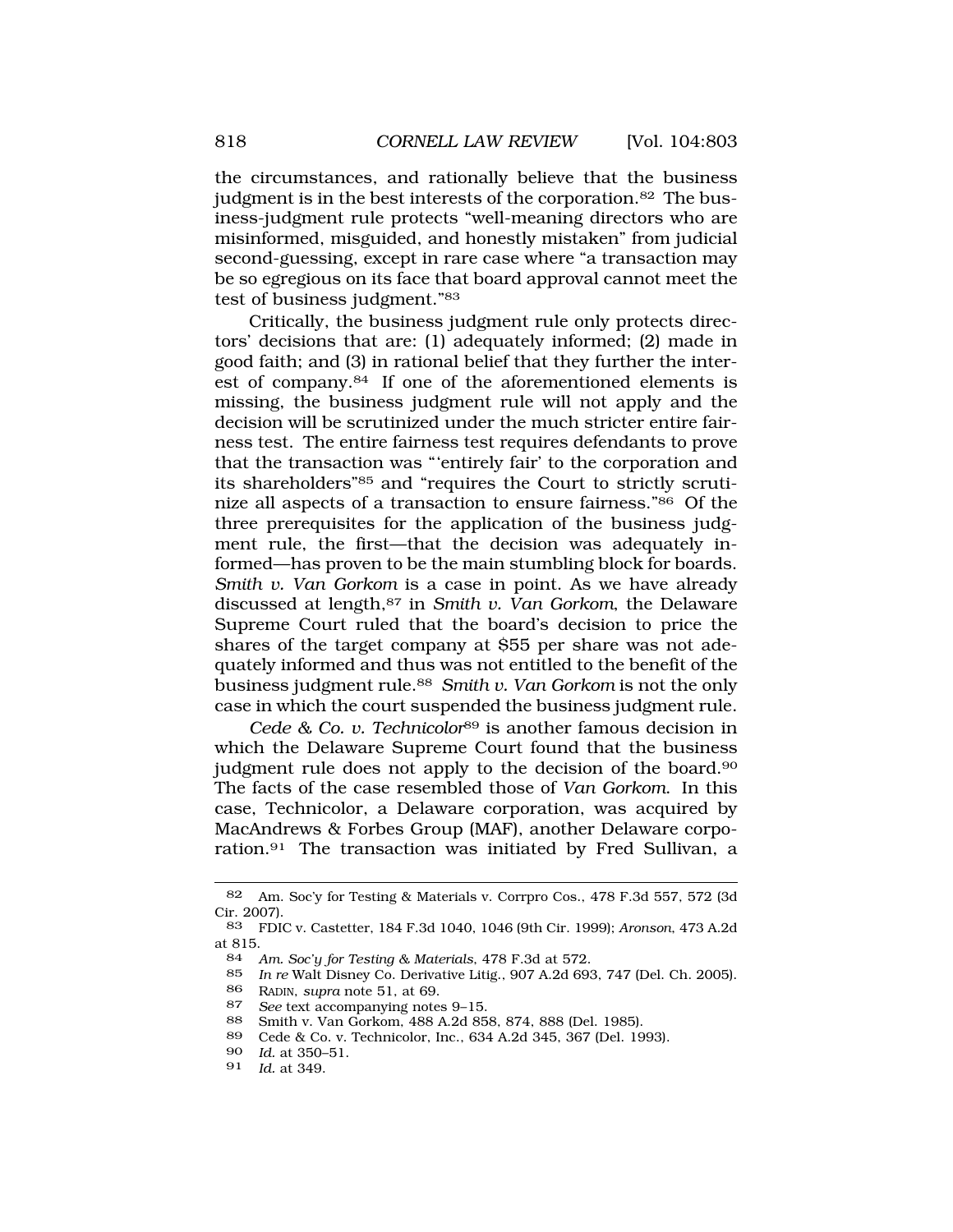the circumstances, and rationally believe that the business judgment is in the best interests of the corporation.<sup>82</sup> The business-judgment rule protects "well-meaning directors who are misinformed, misguided, and honestly mistaken" from judicial second-guessing, except in rare case where "a transaction may be so egregious on its face that board approval cannot meet the test of business judgment."83

Critically, the business judgment rule only protects directors' decisions that are: (1) adequately informed; (2) made in good faith; and (3) in rational belief that they further the interest of company.84 If one of the aforementioned elements is missing, the business judgment rule will not apply and the decision will be scrutinized under the much stricter entire fairness test. The entire fairness test requires defendants to prove that the transaction was "'entirely fair' to the corporation and its shareholders"85 and "requires the Court to strictly scrutinize all aspects of a transaction to ensure fairness."86 Of the three prerequisites for the application of the business judgment rule, the first—that the decision was adequately informed—has proven to be the main stumbling block for boards. *Smith v. Van Gorkom* is a case in point. As we have already discussed at length,87 in *Smith v. Van Gorkom*, the Delaware Supreme Court ruled that the board's decision to price the shares of the target company at \$55 per share was not adequately informed and thus was not entitled to the benefit of the business judgment rule.88 *Smith v. Van Gorkom* is not the only case in which the court suspended the business judgment rule.

*Cede & Co. v. Technicolor*89 is another famous decision in which the Delaware Supreme Court found that the business judgment rule does not apply to the decision of the board.90 The facts of the case resembled those of *Van Gorkom*. In this case, Technicolor, a Delaware corporation, was acquired by MacAndrews & Forbes Group (MAF), another Delaware corporation.91 The transaction was initiated by Fred Sullivan, a

*Id.* at 349.

<sup>82</sup> Am. Soc'y for Testing & Materials v. Corrpro Cos., 478 F.3d 557, 572 (3d Cir. 2007).<br>83 FDI

<sup>83</sup> FDIC v. Castetter, 184 F.3d 1040, 1046 (9th Cir. 1999); *Aronson*, 473 A.2d at 815.

<sup>84</sup> *Am. Soc'y for Testing & Materials*, 478 F.3d at 572.

<sup>85</sup> *In re* Walt Disney Co. Derivative Litig., 907 A.2d 693, 747 (Del. Ch. 2005).

<sup>86</sup> RADIN, *supra* note 51, at 69.

<sup>87</sup> *See* text accompanying notes 9–15.<br>88 Smith v Van Gorkom 488 4.2d 85

<sup>88</sup> Smith v. Van Gorkom, 488 A.2d 858, 874, 888 (Del. 1985).

<sup>89</sup> Cede & Co. v. Technicolor, Inc., 634 A.2d 345, 367 (Del. 1993).

<sup>90</sup> *Id.* at 350–51.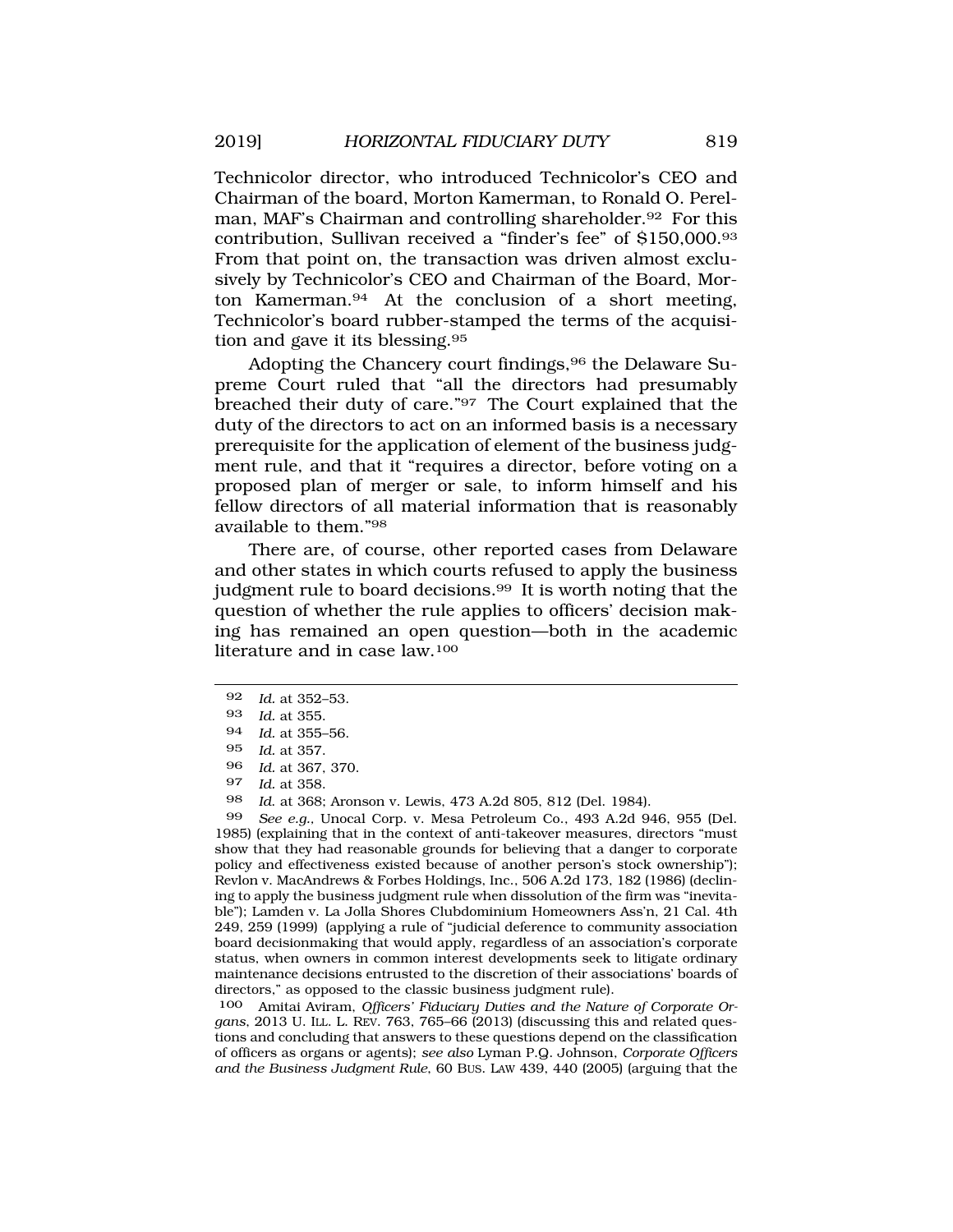Technicolor director, who introduced Technicolor's CEO and Chairman of the board, Morton Kamerman, to Ronald O. Perelman, MAF's Chairman and controlling shareholder.<sup>92</sup> For this contribution, Sullivan received a "finder's fee" of \$150,000.93 From that point on, the transaction was driven almost exclusively by Technicolor's CEO and Chairman of the Board, Morton Kamerman.94 At the conclusion of a short meeting, Technicolor's board rubber-stamped the terms of the acquisition and gave it its blessing.95

Adopting the Chancery court findings, <sup>96</sup> the Delaware Supreme Court ruled that "all the directors had presumably breached their duty of care."97 The Court explained that the duty of the directors to act on an informed basis is a necessary prerequisite for the application of element of the business judgment rule, and that it "requires a director, before voting on a proposed plan of merger or sale, to inform himself and his fellow directors of all material information that is reasonably available to them."98

There are, of course, other reported cases from Delaware and other states in which courts refused to apply the business judgment rule to board decisions.99 It is worth noting that the question of whether the rule applies to officers' decision making has remained an open question—both in the academic literature and in case law.100

98 *Id*. at 368; Aronson v. Lewis, 473 A.2d 805, 812 (Del. 1984).

99 *See e.g.,* Unocal Corp. v. Mesa Petroleum Co., 493 A.2d 946, 955 (Del. 1985) (explaining that in the context of anti-takeover measures, directors "must show that they had reasonable grounds for believing that a danger to corporate policy and effectiveness existed because of another person's stock ownership"); Revlon v. MacAndrews & Forbes Holdings, Inc., 506 A.2d 173, 182 (1986) (declining to apply the business judgment rule when dissolution of the firm was "inevitable"); Lamden v. La Jolla Shores Clubdominium Homeowners Ass'n, 21 Cal. 4th 249, 259 (1999) (applying a rule of "judicial deference to community association board decisionmaking that would apply, regardless of an association's corporate status, when owners in common interest developments seek to litigate ordinary maintenance decisions entrusted to the discretion of their associations' boards of directors," as opposed to the classic business judgment rule).

100 Amitai Aviram, *Officers' Fiduciary Duties and the Nature of Corporate Organs*, 2013 U. ILL. L. REV. 763, 765–66 (2013) (discussing this and related questions and concluding that answers to these questions depend on the classification of officers as organs or agents); *see also* Lyman P.Q. Johnson, *Corporate Officers and the Business Judgment Rule*, 60 BUS. LAW 439, 440 (2005) (arguing that the

<sup>92</sup> *Id.* at 352–53.

<sup>93</sup> *Id.* at 355.

<sup>94</sup> *Id.* at 355–56.

<sup>95</sup> *Id.* at 357.

<sup>96</sup> *Id.* at 367, 370.

<sup>97</sup> *Id.* at 358.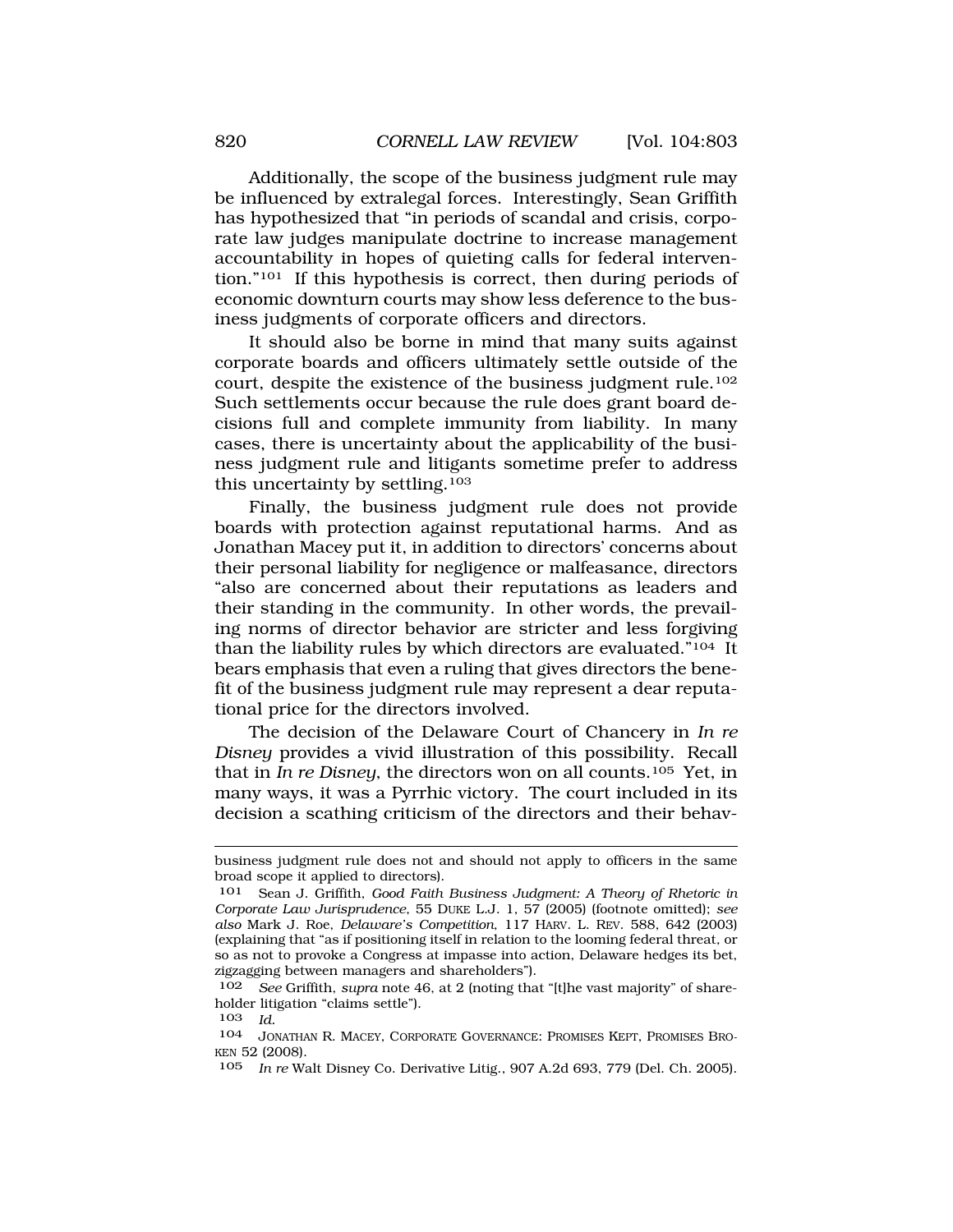Additionally, the scope of the business judgment rule may be influenced by extralegal forces. Interestingly, Sean Griffith has hypothesized that "in periods of scandal and crisis, corporate law judges manipulate doctrine to increase management accountability in hopes of quieting calls for federal intervention."101 If this hypothesis is correct, then during periods of economic downturn courts may show less deference to the business judgments of corporate officers and directors.

It should also be borne in mind that many suits against corporate boards and officers ultimately settle outside of the court, despite the existence of the business judgment rule.102 Such settlements occur because the rule does grant board decisions full and complete immunity from liability. In many cases, there is uncertainty about the applicability of the business judgment rule and litigants sometime prefer to address this uncertainty by settling.<sup>103</sup>

Finally, the business judgment rule does not provide boards with protection against reputational harms. And as Jonathan Macey put it, in addition to directors' concerns about their personal liability for negligence or malfeasance, directors "also are concerned about their reputations as leaders and their standing in the community. In other words, the prevailing norms of director behavior are stricter and less forgiving than the liability rules by which directors are evaluated."104 It bears emphasis that even a ruling that gives directors the benefit of the business judgment rule may represent a dear reputational price for the directors involved.

The decision of the Delaware Court of Chancery in *In re Disney* provides a vivid illustration of this possibility. Recall that in *In re Disney*, the directors won on all counts.105 Yet, in many ways, it was a Pyrrhic victory. The court included in its decision a scathing criticism of the directors and their behav-

business judgment rule does not and should not apply to officers in the same broad scope it applied to directors).

Sean J. Griffith, *Good Faith Business Judgment: A Theory of Rhetoric in Corporate Law Jurisprudence*, 55 DUKE L.J. 1, 57 (2005) (footnote omitted); *see also* Mark J. Roe, *Delaware's Competition*, 117 HARV. L. REV. 588, 642 (2003) (explaining that "as if positioning itself in relation to the looming federal threat, or so as not to provoke a Congress at impasse into action, Delaware hedges its bet, zigzagging between managers and shareholders").

<sup>102</sup> *See* Griffith, *supra* note 46, at 2 (noting that "[t]he vast majority" of shareholder litigation "claims settle").

<sup>103</sup> *Id.* 

<sup>104</sup> JONATHAN R. MACEY, CORPORATE GOVERNANCE: PROMISES KEPT, PROMISES BRO-KEN 52 (2008).

<sup>105</sup> *In re* Walt Disney Co. Derivative Litig., 907 A.2d 693, 779 (Del. Ch. 2005).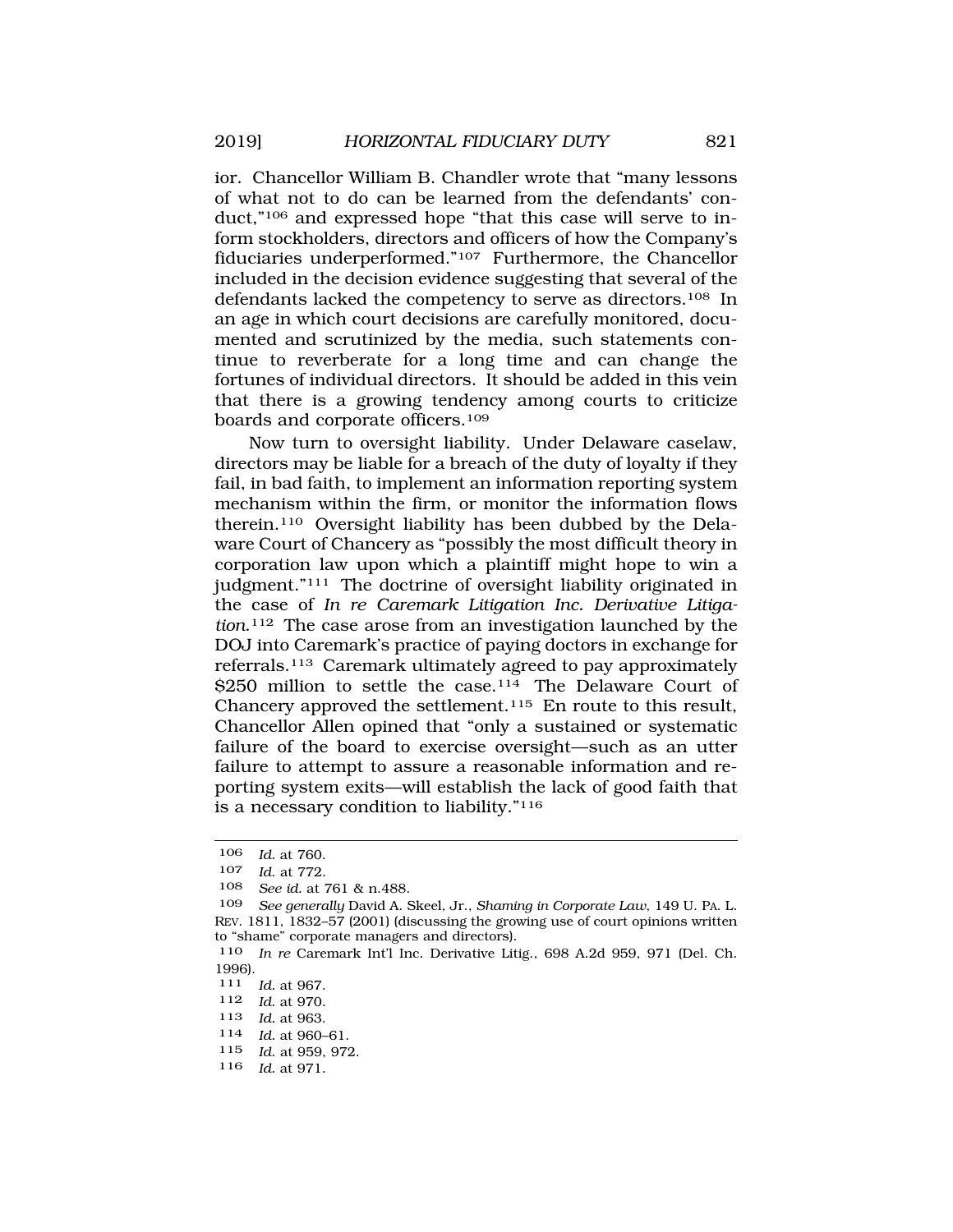ior. Chancellor William B. Chandler wrote that "many lessons of what not to do can be learned from the defendants' conduct,"106 and expressed hope "that this case will serve to inform stockholders, directors and officers of how the Company's fiduciaries underperformed."107 Furthermore, the Chancellor included in the decision evidence suggesting that several of the defendants lacked the competency to serve as directors.108 In an age in which court decisions are carefully monitored, documented and scrutinized by the media, such statements continue to reverberate for a long time and can change the fortunes of individual directors. It should be added in this vein that there is a growing tendency among courts to criticize boards and corporate officers.<sup>109</sup>

Now turn to oversight liability. Under Delaware caselaw, directors may be liable for a breach of the duty of loyalty if they fail, in bad faith, to implement an information reporting system mechanism within the firm, or monitor the information flows therein.110 Oversight liability has been dubbed by the Delaware Court of Chancery as "possibly the most difficult theory in corporation law upon which a plaintiff might hope to win a judgment."111 The doctrine of oversight liability originated in the case of *In re Caremark Litigation Inc. Derivative Litigation*.112 The case arose from an investigation launched by the DOJ into Caremark's practice of paying doctors in exchange for referrals.113 Caremark ultimately agreed to pay approximately \$250 million to settle the case.<sup>114</sup> The Delaware Court of Chancery approved the settlement.115 En route to this result, Chancellor Allen opined that "only a sustained or systematic failure of the board to exercise oversight—such as an utter failure to attempt to assure a reasonable information and reporting system exits—will establish the lack of good faith that is a necessary condition to liability."116

108 *See id.* at 761 & n.488.

- 112 *Id.* at 970. *Id.* at 963.
- 114 *Id.* at 960–61.
- 115 *Id*. at 959, 972.
- 116 *Id.* at 971.

<sup>106</sup> *Id.* at 760.

<sup>107</sup> *Id*. at 772.

<sup>109</sup> *See generally* David A. Skeel, Jr., *Shaming in Corporate Law*, 149 U. PA. L. REV. 1811, 1832–57 (2001) (discussing the growing use of court opinions written to "shame" corporate managers and directors).

<sup>110</sup> *In re* Caremark Int'l Inc. Derivative Litig., 698 A.2d 959, 971 (Del. Ch. 1996).<br>111

<sup>111</sup> *Id.* at 967.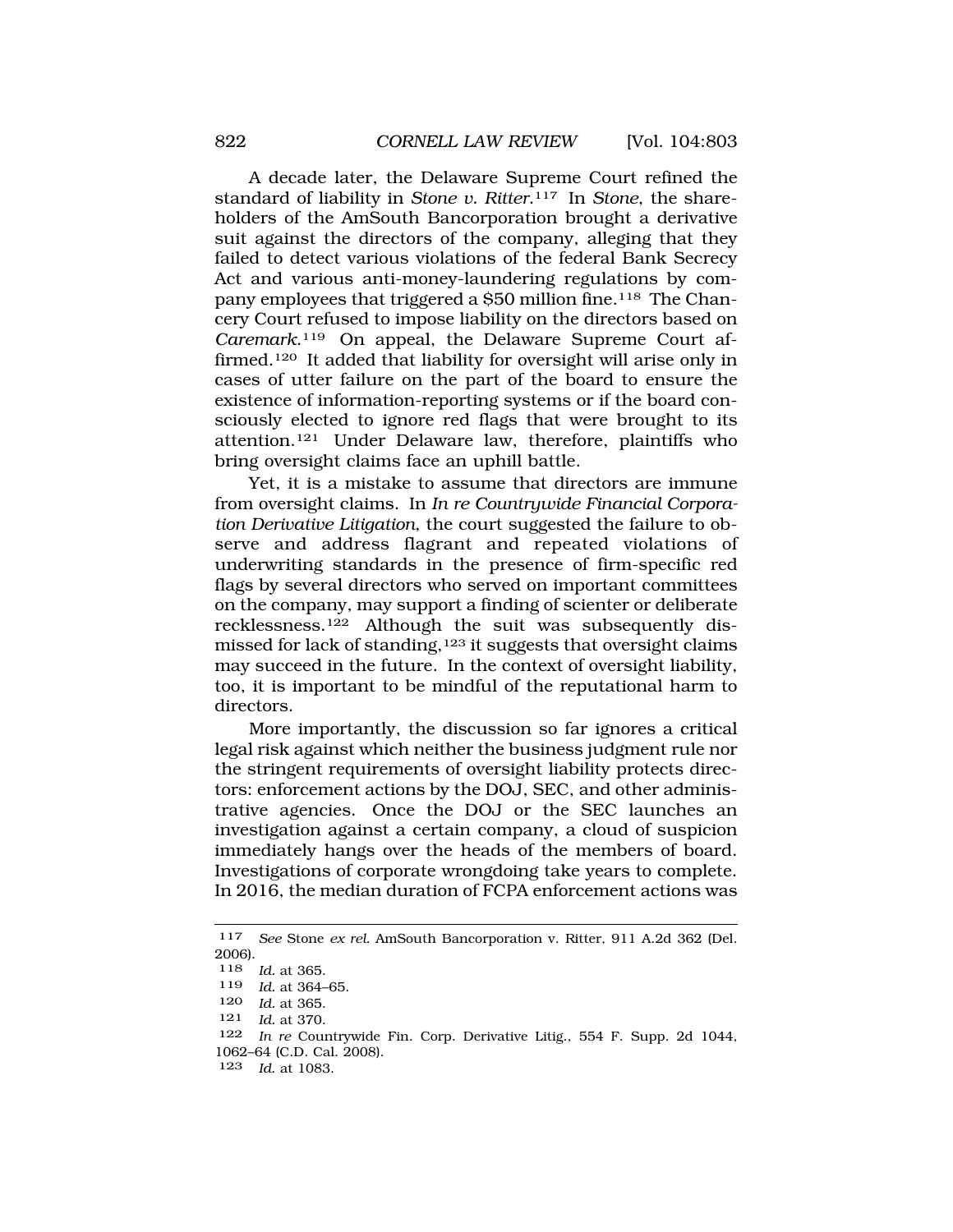A decade later, the Delaware Supreme Court refined the standard of liability in *Stone v. Ritter*.117 In *Stone*, the shareholders of the AmSouth Bancorporation brought a derivative suit against the directors of the company, alleging that they failed to detect various violations of the federal Bank Secrecy Act and various anti-money-laundering regulations by company employees that triggered a \$50 million fine.118 The Chancery Court refused to impose liability on the directors based on *Caremark*.119 On appeal, the Delaware Supreme Court affirmed.120 It added that liability for oversight will arise only in cases of utter failure on the part of the board to ensure the existence of information-reporting systems or if the board consciously elected to ignore red flags that were brought to its attention.121 Under Delaware law, therefore, plaintiffs who bring oversight claims face an uphill battle.

Yet, it is a mistake to assume that directors are immune from oversight claims. In *In re Countrywide Financial Corporation Derivative Litigation*, the court suggested the failure to observe and address flagrant and repeated violations of underwriting standards in the presence of firm-specific red flags by several directors who served on important committees on the company, may support a finding of scienter or deliberate recklessness.122 Although the suit was subsequently dismissed for lack of standing,123 it suggests that oversight claims may succeed in the future. In the context of oversight liability, too, it is important to be mindful of the reputational harm to directors.

More importantly, the discussion so far ignores a critical legal risk against which neither the business judgment rule nor the stringent requirements of oversight liability protects directors: enforcement actions by the DOJ, SEC, and other administrative agencies. Once the DOJ or the SEC launches an investigation against a certain company, a cloud of suspicion immediately hangs over the heads of the members of board. Investigations of corporate wrongdoing take years to complete. In 2016, the median duration of FCPA enforcement actions was

<sup>117</sup> *See* Stone *ex rel.* AmSouth Bancorporation v. Ritter, 911 A.2d 362 (Del. 2006). 118 *Id.* at 365. 119 *Id.* at 364–65. 120 *Id.* at 365. 121 *Id.* at 370. 122 *In re* Countrywide Fin. Corp. Derivative Litig., 554 F. Supp. 2d 1044, 1062–64 (C.D. Cal. 2008). 123 *Id*. at 1083.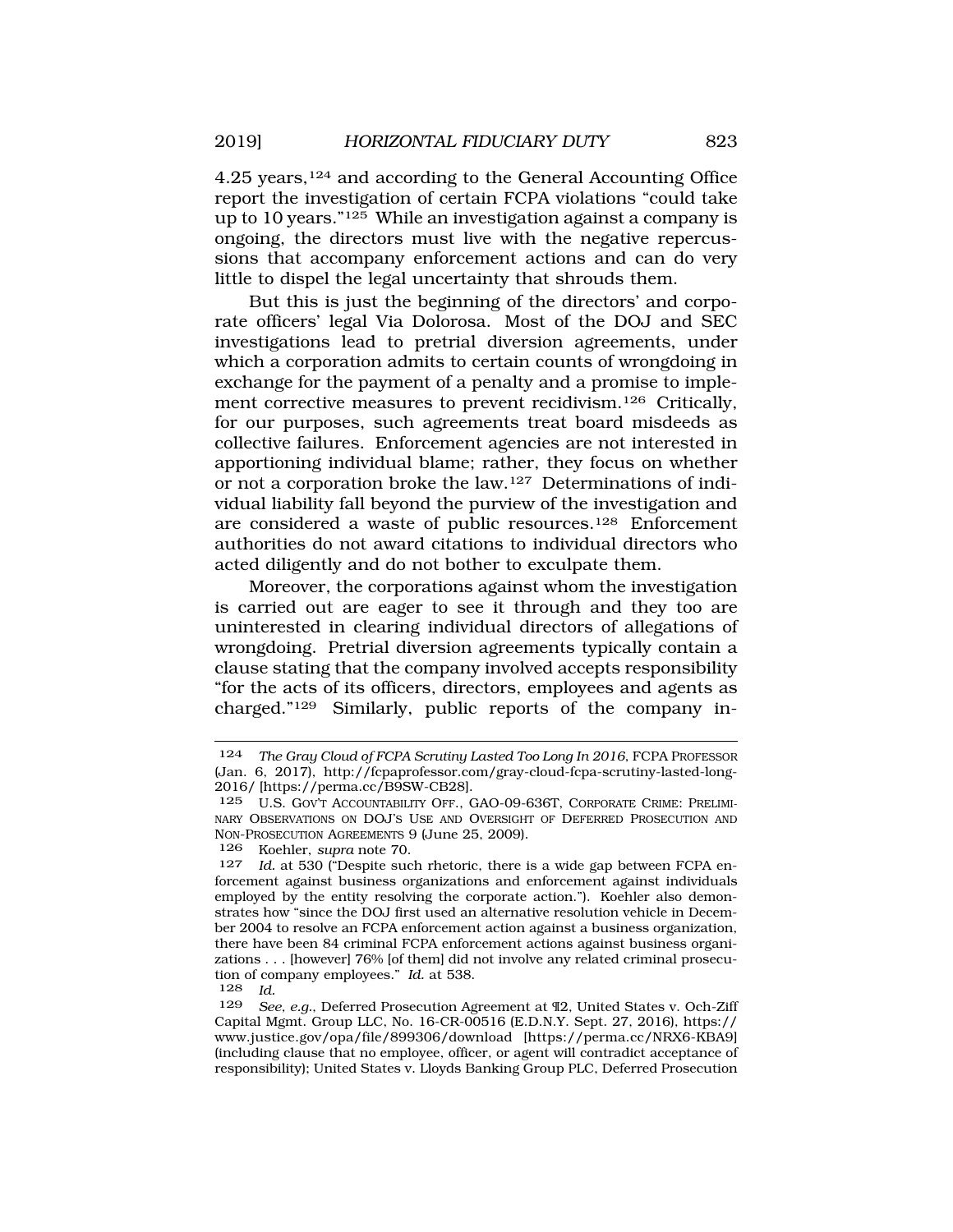4.25 years,124 and according to the General Accounting Office report the investigation of certain FCPA violations "could take up to 10 years."125 While an investigation against a company is ongoing, the directors must live with the negative repercussions that accompany enforcement actions and can do very little to dispel the legal uncertainty that shrouds them.

But this is just the beginning of the directors' and corporate officers' legal Via Dolorosa. Most of the DOJ and SEC investigations lead to pretrial diversion agreements, under which a corporation admits to certain counts of wrongdoing in exchange for the payment of a penalty and a promise to implement corrective measures to prevent recidivism.<sup>126</sup> Critically, for our purposes, such agreements treat board misdeeds as collective failures. Enforcement agencies are not interested in apportioning individual blame; rather, they focus on whether or not a corporation broke the law.127 Determinations of individual liability fall beyond the purview of the investigation and are considered a waste of public resources.128 Enforcement authorities do not award citations to individual directors who acted diligently and do not bother to exculpate them.

Moreover, the corporations against whom the investigation is carried out are eager to see it through and they too are uninterested in clearing individual directors of allegations of wrongdoing. Pretrial diversion agreements typically contain a clause stating that the company involved accepts responsibility "for the acts of its officers, directors, employees and agents as charged."129 Similarly, public reports of the company in-

<sup>124</sup> *The Gray Cloud of FCPA Scrutiny Lasted Too Long In 2016*, FCPA PROFESSOR (Jan. 6, 2017), http://fcpaprofessor.com/gray-cloud-fcpa-scrutiny-lasted-long-2016/ [https://perma.cc/B9SW-CB28].

<sup>125</sup> U.S. GOV'T ACCOUNTABILITY OFF., GAO-09-636T, CORPORATE CRIME: PRELIMI-NARY OBSERVATIONS ON DOJ'S USE AND OVERSIGHT OF DEFERRED PROSECUTION AND NON-PROSECUTION AGREEMENTS 9 (June 25, 2009).

<sup>126</sup> Koehler, *supra* note 70.

Id. at 530 ("Despite such rhetoric, there is a wide gap between FCPA enforcement against business organizations and enforcement against individuals employed by the entity resolving the corporate action."). Koehler also demonstrates how "since the DOJ first used an alternative resolution vehicle in December 2004 to resolve an FCPA enforcement action against a business organization, there have been 84 criminal FCPA enforcement actions against business organizations . . . [however] 76% [of them] did not involve any related criminal prosecution of company employees." *Id.* at 538.<br>128 *Id.* 

<sup>128</sup> *Id.* 

<sup>129</sup> *See, e.g.*, Deferred Prosecution Agreement at ¶2, United States v. Och-Ziff Capital Mgmt. Group LLC, No. 16-CR-00516 (E.D.N.Y. Sept. 27, 2016), https:// www.justice.gov/opa/file/899306/download [https://perma.cc/NRX6-KBA9] (including clause that no employee, officer, or agent will contradict acceptance of responsibility); United States v. Lloyds Banking Group PLC, Deferred Prosecution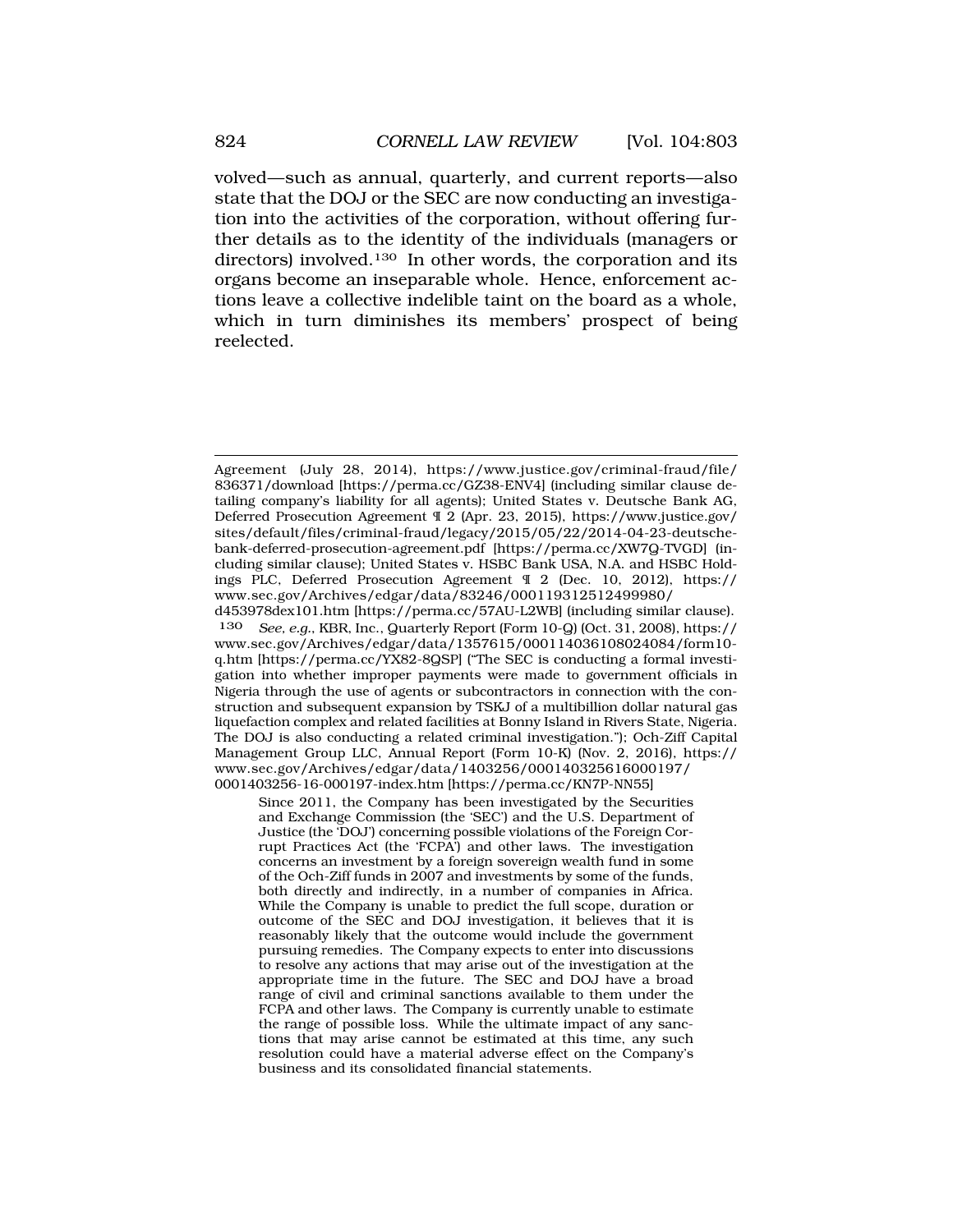volved—such as annual, quarterly, and current reports—also state that the DOJ or the SEC are now conducting an investigation into the activities of the corporation, without offering further details as to the identity of the individuals (managers or directors) involved.<sup>130</sup> In other words, the corporation and its organs become an inseparable whole. Hence, enforcement actions leave a collective indelible taint on the board as a whole, which in turn diminishes its members' prospect of being reelected.

Since 2011, the Company has been investigated by the Securities and Exchange Commission (the 'SEC') and the U.S. Department of Justice (the 'DOJ') concerning possible violations of the Foreign Corrupt Practices Act (the 'FCPA') and other laws. The investigation concerns an investment by a foreign sovereign wealth fund in some of the Och-Ziff funds in 2007 and investments by some of the funds, both directly and indirectly, in a number of companies in Africa. While the Company is unable to predict the full scope, duration or outcome of the SEC and DOJ investigation, it believes that it is reasonably likely that the outcome would include the government pursuing remedies. The Company expects to enter into discussions to resolve any actions that may arise out of the investigation at the appropriate time in the future. The SEC and DOJ have a broad range of civil and criminal sanctions available to them under the FCPA and other laws. The Company is currently unable to estimate the range of possible loss. While the ultimate impact of any sanctions that may arise cannot be estimated at this time, any such resolution could have a material adverse effect on the Company's business and its consolidated financial statements.

Agreement (July 28, 2014), https://www.justice.gov/criminal-fraud/file/ 836371/download [https://perma.cc/GZ38-ENV4] (including similar clause detailing company's liability for all agents); United States v. Deutsche Bank AG, Deferred Prosecution Agreement ¶ 2 (Apr. 23, 2015), https://www.justice.gov/ sites/default/files/criminal-fraud/legacy/2015/05/22/2014-04-23-deutschebank-deferred-prosecution-agreement.pdf [https://perma.cc/XW7Q-TVGD] (including similar clause); United States v. HSBC Bank USA, N.A. and HSBC Holdings PLC, Deferred Prosecution Agreement ¶ 2 (Dec. 10, 2012), https:// www.sec.gov/Archives/edgar/data/83246/000119312512499980/ d453978dex101.htm [https://perma.cc/57AU-L2WB] (including similar clause).

<sup>130</sup> *See, e.g.*, KBR, Inc., Quarterly Report (Form 10-Q) (Oct. 31, 2008), https:// www.sec.gov/Archives/edgar/data/1357615/000114036108024084/form10 q.htm [https://perma.cc/YX82-8QSP] ("The SEC is conducting a formal investigation into whether improper payments were made to government officials in Nigeria through the use of agents or subcontractors in connection with the construction and subsequent expansion by TSKJ of a multibillion dollar natural gas liquefaction complex and related facilities at Bonny Island in Rivers State, Nigeria. The DOJ is also conducting a related criminal investigation."); Och-Ziff Capital Management Group LLC, Annual Report (Form 10-K) (Nov. 2, 2016), https:// www.sec.gov/Archives/edgar/data/1403256/000140325616000197/ 0001403256-16-000197-index.htm [https://perma.cc/KN7P-NN55]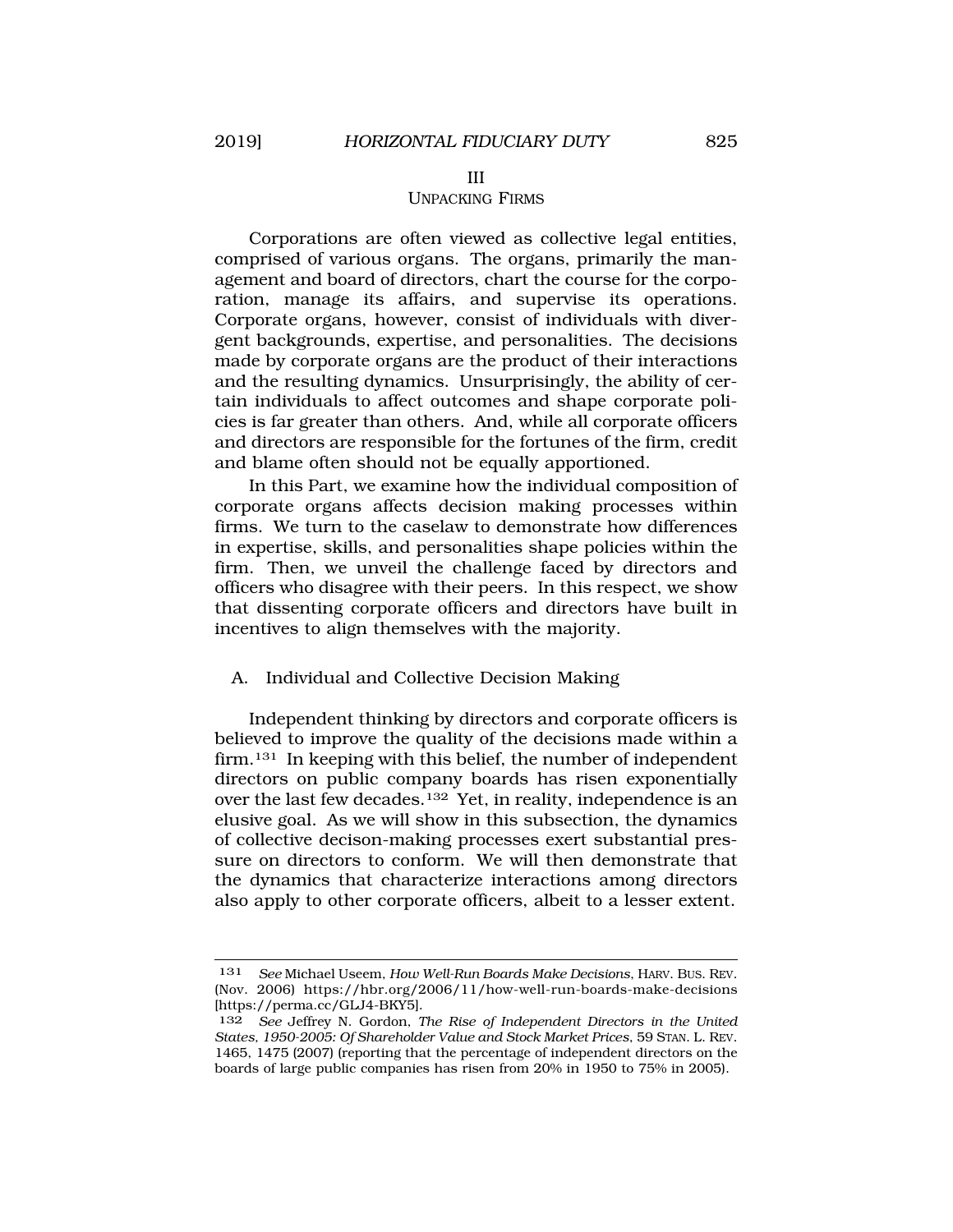#### III

#### UNPACKING FIRMS

Corporations are often viewed as collective legal entities, comprised of various organs. The organs, primarily the management and board of directors, chart the course for the corporation, manage its affairs, and supervise its operations. Corporate organs, however, consist of individuals with divergent backgrounds, expertise, and personalities. The decisions made by corporate organs are the product of their interactions and the resulting dynamics. Unsurprisingly, the ability of certain individuals to affect outcomes and shape corporate policies is far greater than others. And, while all corporate officers and directors are responsible for the fortunes of the firm, credit and blame often should not be equally apportioned.

In this Part, we examine how the individual composition of corporate organs affects decision making processes within firms. We turn to the caselaw to demonstrate how differences in expertise, skills, and personalities shape policies within the firm. Then, we unveil the challenge faced by directors and officers who disagree with their peers. In this respect, we show that dissenting corporate officers and directors have built in incentives to align themselves with the majority.

# A. Individual and Collective Decision Making

Independent thinking by directors and corporate officers is believed to improve the quality of the decisions made within a firm.<sup>131</sup> In keeping with this belief, the number of independent directors on public company boards has risen exponentially over the last few decades.132 Yet, in reality, independence is an elusive goal. As we will show in this subsection, the dynamics of collective decison-making processes exert substantial pressure on directors to conform. We will then demonstrate that the dynamics that characterize interactions among directors also apply to other corporate officers, albeit to a lesser extent.

<sup>131</sup> *See* Michael Useem, *How Well-Run Boards Make Decisions*, HARV. BUS. REV. (Nov. 2006) https://hbr.org/2006/11/how-well-run-boards-make-decisions [https://perma.cc/GLJ4-BKY5].

<sup>132</sup> *See* Jeffrey N. Gordon, *The Rise of Independent Directors in the United States, 1950-2005: Of Shareholder Value and Stock Market Prices*, 59 STAN. L. REV. 1465, 1475 (2007) (reporting that the percentage of independent directors on the boards of large public companies has risen from 20% in 1950 to 75% in 2005).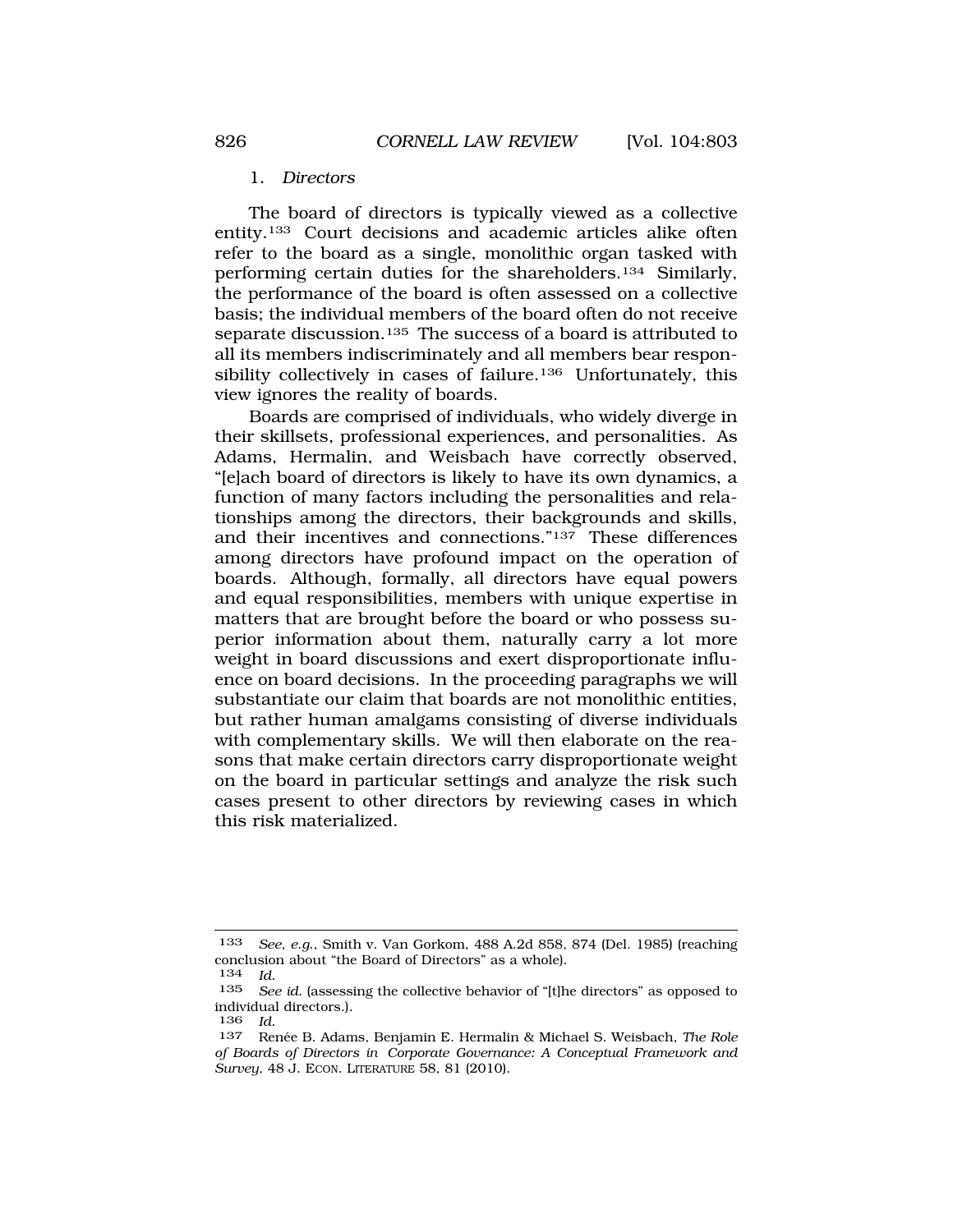#### 1. *Directors*

<span id="page-23-0"></span>The board of directors is typically viewed as a collective entity.133 Court decisions and academic articles alike often refer to the board as a single, monolithic organ tasked with performing certain duties for the shareholders.134 Similarly, the performance of the board is often assessed on a collective basis; the individual members of the board often do not receive separate discussion.<sup>135</sup> The success of a board is attributed to all its members indiscriminately and all members bear responsibility collectively in cases of failure.<sup>136</sup> Unfortunately, this view ignores the reality of boards.

Boards are comprised of individuals, who widely diverge in their skillsets, professional experiences, and personalities. As Adams, Hermalin, and Weisbach have correctly observed, "[e]ach board of directors is likely to have its own dynamics, a function of many factors including the personalities and relationships among the directors, their backgrounds and skills, and their incentives and connections."137 These differences among directors have profound impact on the operation of boards. Although, formally, all directors have equal powers and equal responsibilities, members with unique expertise in matters that are brought before the board or who possess superior information about them, naturally carry a lot more weight in board discussions and exert disproportionate influence on board decisions. In the proceeding paragraphs we will substantiate our claim that boards are not monolithic entities, but rather human amalgams consisting of diverse individuals with complementary skills. We will then elaborate on the reasons that make certain directors carry disproportionate weight on the board in particular settings and analyze the risk such cases present to other directors by reviewing cases in which this risk materialized.

<sup>133</sup> *See*, *e*.*g*., Smith v. Van Gorkom, 488 A.2d 858, 874 (Del. 1985) (reaching conclusion about "the Board of Directors" as a whole).

<sup>134</sup> *Id.* 

See id. (assessing the collective behavior of "[t]he directors" as opposed to individual directors.).

<sup>136</sup> *Id.* 

<sup>137</sup> Renée B. Adams, Benjamin E. Hermalin & Michael S. Weisbach, *The Role of Boards of Directors in Corporate Governance: A Conceptual Framework and Survey*, 48 J. ECON. LITERATURE 58, 81 (2010).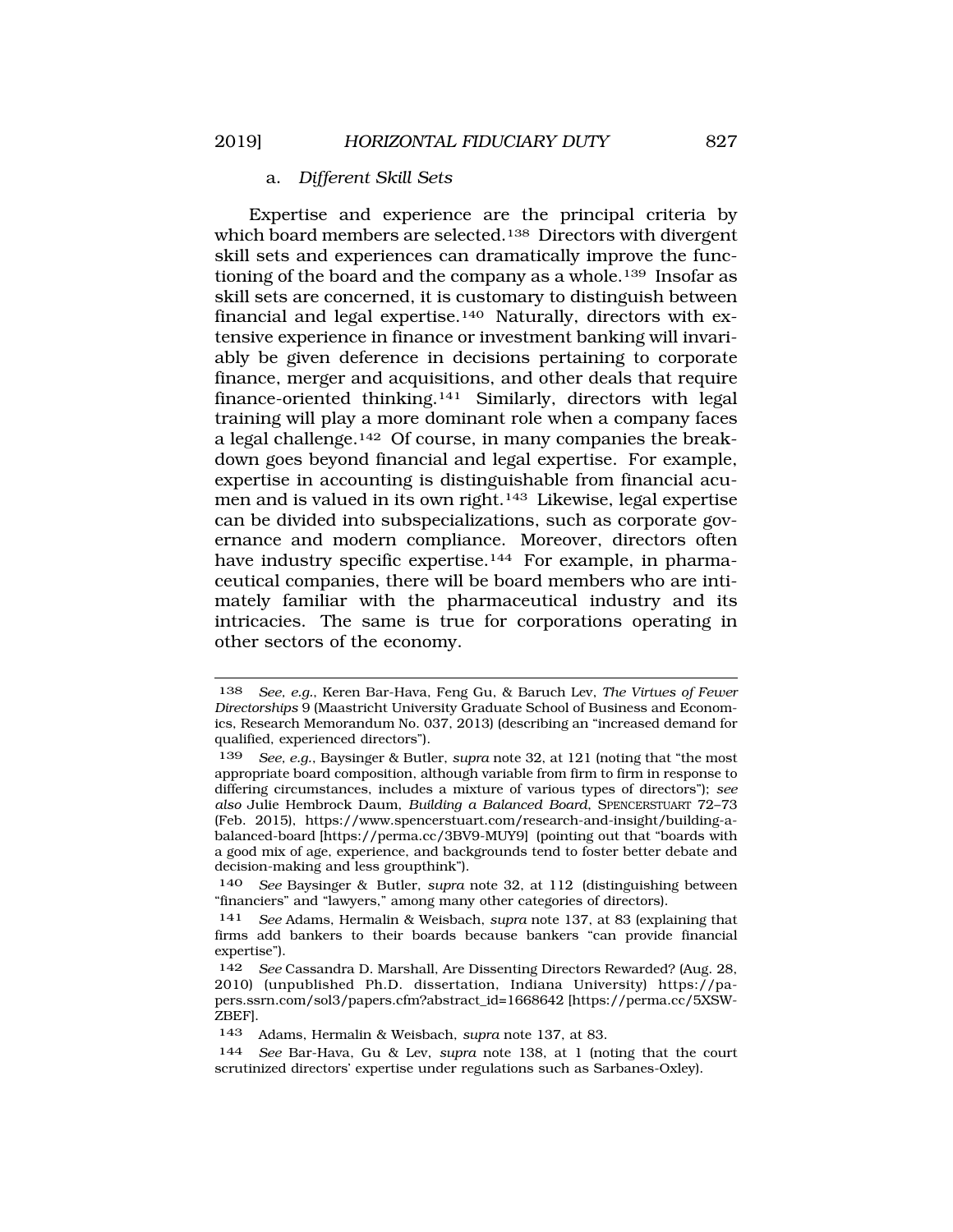#### a. *Different Skill Sets*

Expertise and experience are the principal criteria by which board members are selected.<sup>138</sup> Directors with divergent skill sets and experiences can dramatically improve the functioning of the board and the company as a whole.<sup>139</sup> Insofar as skill sets are concerned, it is customary to distinguish between financial and legal expertise.<sup>140</sup> Naturally, directors with extensive experience in finance or investment banking will invariably be given deference in decisions pertaining to corporate finance, merger and acquisitions, and other deals that require finance-oriented thinking.141 Similarly, directors with legal training will play a more dominant role when a company faces a legal challenge.142 Of course, in many companies the breakdown goes beyond financial and legal expertise. For example, expertise in accounting is distinguishable from financial acumen and is valued in its own right.143 Likewise, legal expertise can be divided into subspecializations, such as corporate governance and modern compliance. Moreover, directors often have industry specific expertise.<sup>144</sup> For example, in pharmaceutical companies, there will be board members who are intimately familiar with the pharmaceutical industry and its intricacies. The same is true for corporations operating in other sectors of the economy.

<sup>138</sup> *See, e.g.*, Keren Bar-Hava, Feng Gu, & Baruch Lev, *The Virtues of Fewer Directorships* 9 (Maastricht University Graduate School of Business and Economics, Research Memorandum No. 037, 2013) (describing an "increased demand for qualified, experienced directors").

<sup>139</sup> *See, e.g.*, Baysinger & Butler, *supra* note 32, at 121 (noting that "the most appropriate board composition, although variable from firm to firm in response to differing circumstances, includes a mixture of various types of directors"); *see also* Julie Hembrock Daum, *Building a Balanced Board*, SPENCERSTUART 72–73 (Feb. 2015), https://www.spencerstuart.com/research-and-insight/building-abalanced-board [https://perma.cc/3BV9-MUY9] (pointing out that "boards with a good mix of age, experience, and backgrounds tend to foster better debate and decision-making and less groupthink").

<sup>140</sup> *See* Baysinger & Butler, *supra* note 32, at 112 (distinguishing between "financiers" and "lawyers," among many other categories of directors).

<sup>141</sup> *See* Adams, Hermalin & Weisbach, *supra* note 137, at 83 (explaining that firms add bankers to their boards because bankers "can provide financial expertise").

<sup>142</sup> *See* Cassandra D. Marshall, Are Dissenting Directors Rewarded? (Aug. 28, 2010) (unpublished Ph.D. dissertation, Indiana University) https://papers.ssrn.com/sol3/papers.cfm?abstract\_id=1668642 [https://perma.cc/5XSW-ZBEF].

<sup>143</sup> Adams, Hermalin & Weisbach, *supra* note 137, at 83.

<sup>144</sup> *See* Bar-Hava, Gu & Lev, *supra* note 138, at 1 (noting that the court scrutinized directors' expertise under regulations such as Sarbanes-Oxley).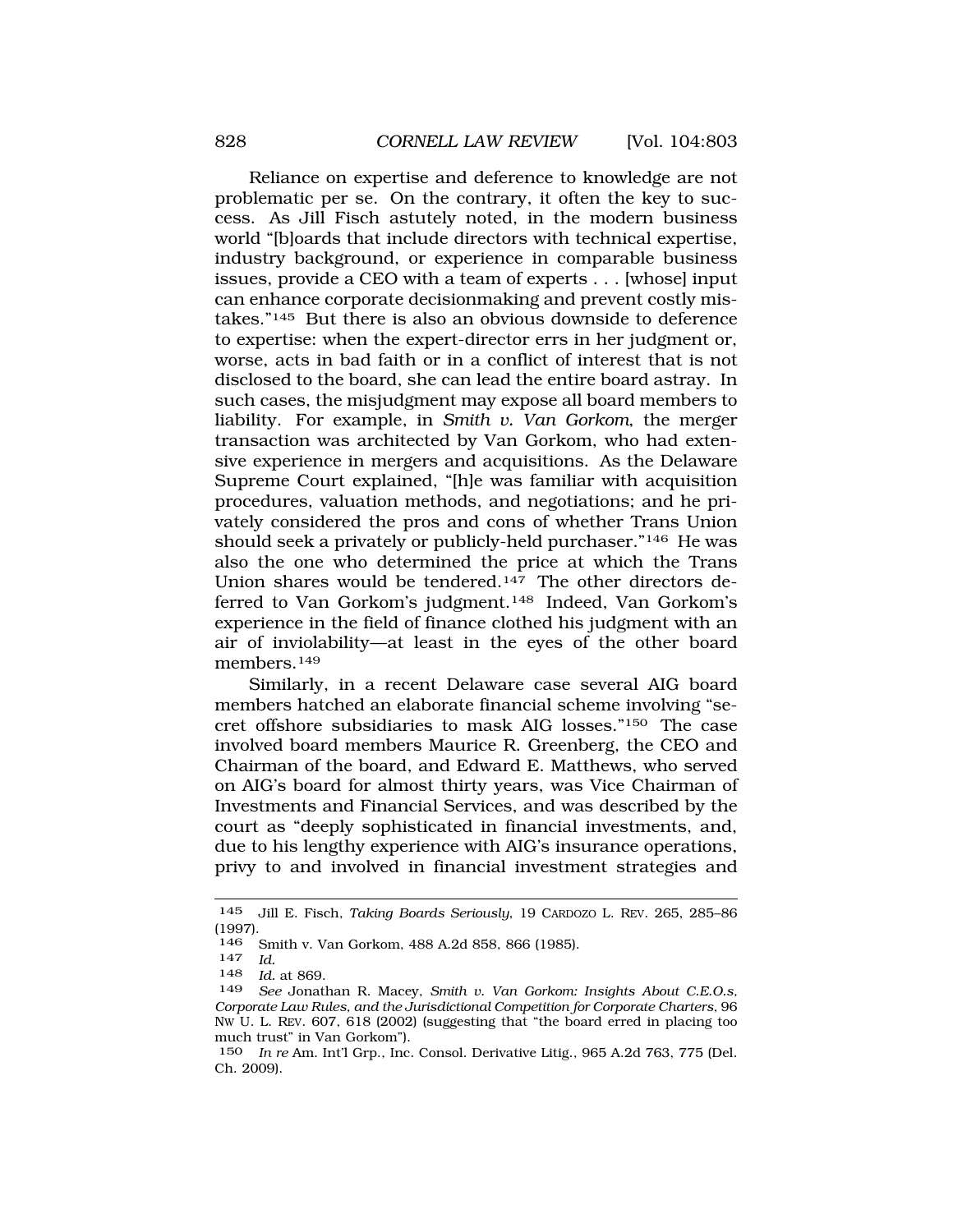Reliance on expertise and deference to knowledge are not problematic per se. On the contrary, it often the key to success. As Jill Fisch astutely noted, in the modern business world "[b]oards that include directors with technical expertise, industry background, or experience in comparable business issues, provide a CEO with a team of experts . . . [whose] input can enhance corporate decisionmaking and prevent costly mistakes."145 But there is also an obvious downside to deference to expertise: when the expert-director errs in her judgment or, worse, acts in bad faith or in a conflict of interest that is not disclosed to the board, she can lead the entire board astray. In such cases, the misjudgment may expose all board members to liability. For example, in *Smith v. Van Gorkom*, the merger transaction was architected by Van Gorkom, who had extensive experience in mergers and acquisitions. As the Delaware Supreme Court explained, "[h]e was familiar with acquisition procedures, valuation methods, and negotiations; and he privately considered the pros and cons of whether Trans Union should seek a privately or publicly-held purchaser."146 He was also the one who determined the price at which the Trans Union shares would be tendered.<sup>147</sup> The other directors deferred to Van Gorkom's judgment.148 Indeed, Van Gorkom's experience in the field of finance clothed his judgment with an air of inviolability—at least in the eyes of the other board members.149

Similarly, in a recent Delaware case several AIG board members hatched an elaborate financial scheme involving "secret offshore subsidiaries to mask AIG losses."150 The case involved board members Maurice R. Greenberg, the CEO and Chairman of the board, and Edward E. Matthews, who served on AIG's board for almost thirty years, was Vice Chairman of Investments and Financial Services, and was described by the court as "deeply sophisticated in financial investments, and, due to his lengthy experience with AIG's insurance operations, privy to and involved in financial investment strategies and

<sup>145</sup> Jill E. Fisch, *Taking Boards Seriously*, 19 CARDOZO L. REV. 265, 285–86 (1997).

<sup>146</sup> Smith v. Van Gorkom, 488 A.2d 858, 866 (1985). 147 *Id.* 

<sup>148</sup> *Id.* at 869.

See Jonathan R. Macey, *Smith v. Van Gorkom: Insights About C.E.O.s*, *Corporate Law Rules, and the Jurisdictional Competition for Corporate Charters*, 96 NW U. L. REV. 607, 618 (2002) (suggesting that "the board erred in placing too much trust" in Van Gorkom").

<sup>150</sup> *In re* Am. Int'l Grp., Inc. Consol. Derivative Litig., 965 A.2d 763, 775 (Del. Ch. 2009).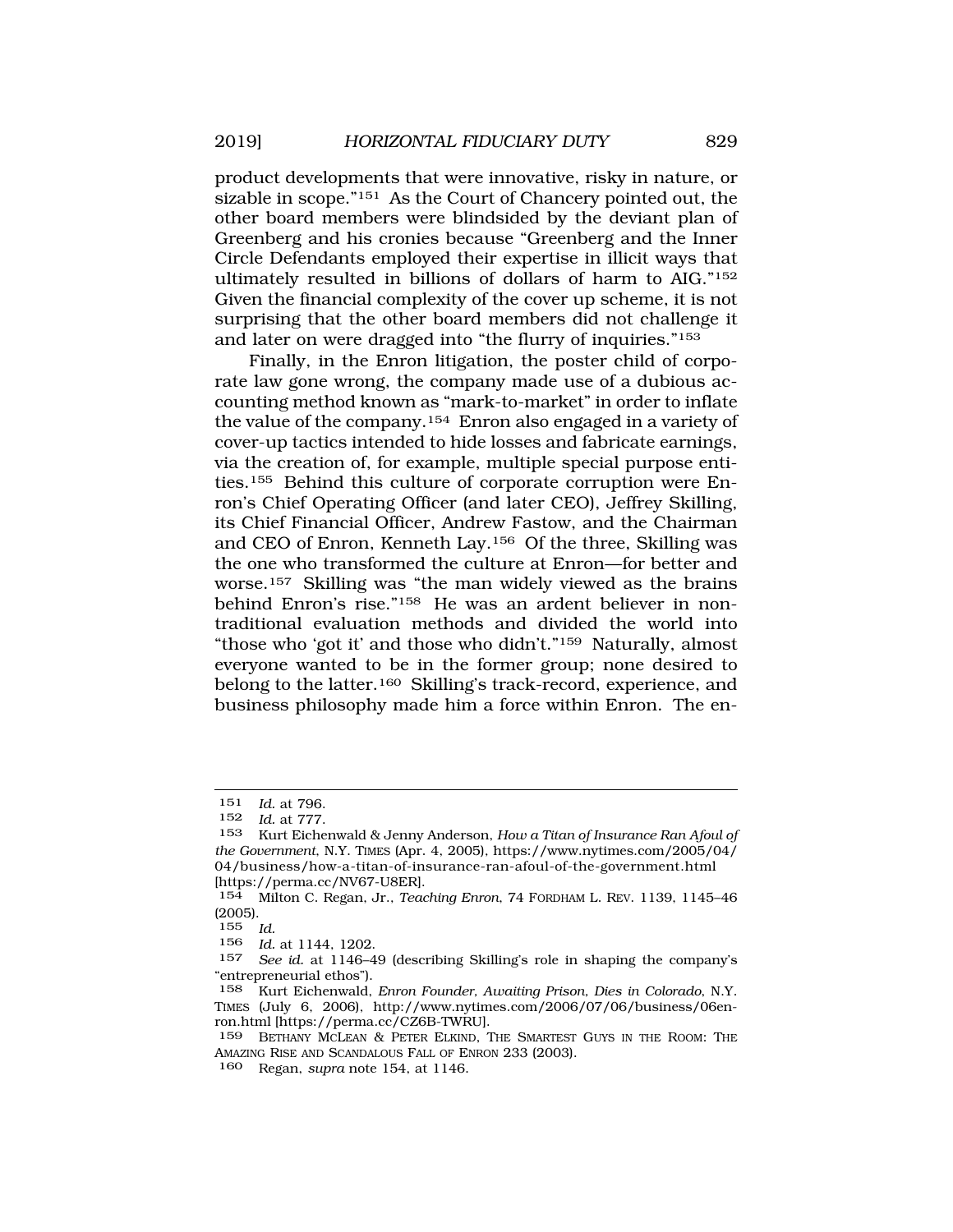product developments that were innovative, risky in nature, or sizable in scope."151 As the Court of Chancery pointed out, the other board members were blindsided by the deviant plan of Greenberg and his cronies because "Greenberg and the Inner Circle Defendants employed their expertise in illicit ways that ultimately resulted in billions of dollars of harm to AIG."152 Given the financial complexity of the cover up scheme, it is not surprising that the other board members did not challenge it and later on were dragged into "the flurry of inquiries."153

Finally, in the Enron litigation, the poster child of corporate law gone wrong, the company made use of a dubious accounting method known as "mark-to-market" in order to inflate the value of the company.154 Enron also engaged in a variety of cover-up tactics intended to hide losses and fabricate earnings, via the creation of, for example, multiple special purpose entities.155 Behind this culture of corporate corruption were Enron's Chief Operating Officer (and later CEO), Jeffrey Skilling, its Chief Financial Officer, Andrew Fastow, and the Chairman and CEO of Enron, Kenneth Lay.156 Of the three, Skilling was the one who transformed the culture at Enron—for better and worse.157 Skilling was "the man widely viewed as the brains behind Enron's rise."158 He was an ardent believer in nontraditional evaluation methods and divided the world into "those who 'got it' and those who didn't."159 Naturally, almost everyone wanted to be in the former group; none desired to belong to the latter.160 Skilling's track-record, experience, and business philosophy made him a force within Enron. The en-

<sup>151</sup> *Id.* at 796.

*Id.* at 777.

<sup>153</sup> Kurt Eichenwald & Jenny Anderson, *How a Titan of Insurance Ran Afoul of the Government*, N.Y. TIMES (Apr. 4, 2005), https://www.nytimes.com/2005/04/ 04/business/how-a-titan-of-insurance-ran-afoul-of-the-government.html [https://perma.cc/NV67-U8ER].

<sup>154</sup> Milton C. Regan, Jr., *Teaching Enron*, 74 FORDHAM L. REV. 1139, 1145–46 (2005).

<sup>155</sup> *Id.* 

<sup>156</sup> *Id.* at 1144, 1202.

<sup>157</sup> *See id.* at 1146–49 (describing Skilling's role in shaping the company's "entrepreneurial ethos").

<sup>158</sup> Kurt Eichenwald, *Enron Founder, Awaiting Prison, Dies in Colorado*, N.Y. TIMES (July 6, 2006), http://www.nytimes.com/2006/07/06/business/06enron.html [https://perma.cc/CZ6B-TWRU].

<sup>159</sup> BETHANY MCLEAN & PETER ELKIND, THE SMARTEST GUYS IN THE ROOM: THE AMAZING RISE AND SCANDALOUS FALL OF ENRON 233 (2003).

<sup>160</sup> Regan, *supra* note 154, at 1146.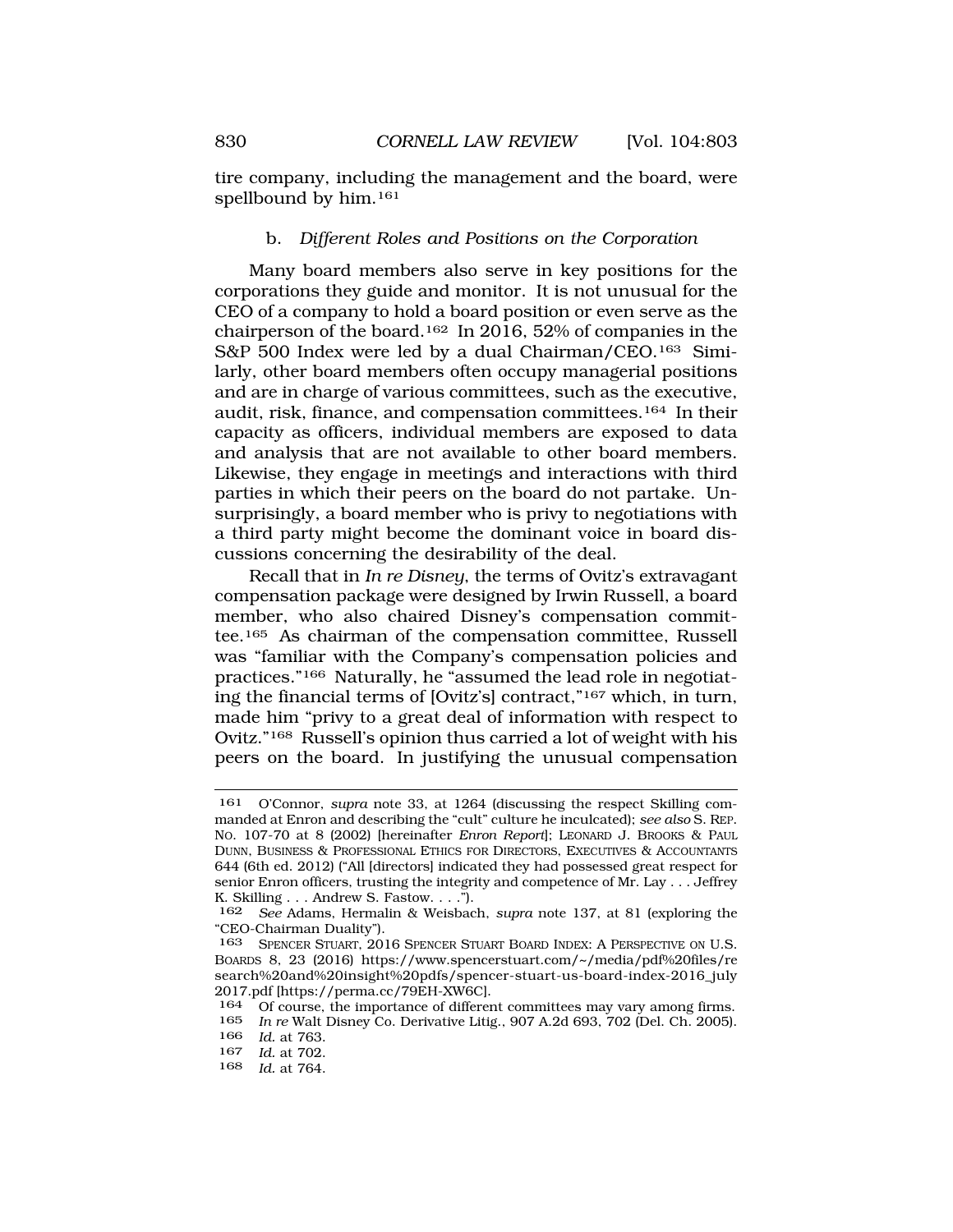<span id="page-27-0"></span>tire company, including the management and the board, were spellbound by him.<sup>161</sup>

# b. *Different Roles and Positions on the Corporation*

Many board members also serve in key positions for the corporations they guide and monitor. It is not unusual for the CEO of a company to hold a board position or even serve as the chairperson of the board.162 In 2016, 52% of companies in the S&P 500 Index were led by a dual Chairman/CEO.163 Similarly, other board members often occupy managerial positions and are in charge of various committees, such as the executive, audit, risk, finance, and compensation committees.164 In their capacity as officers, individual members are exposed to data and analysis that are not available to other board members. Likewise, they engage in meetings and interactions with third parties in which their peers on the board do not partake. Unsurprisingly, a board member who is privy to negotiations with a third party might become the dominant voice in board discussions concerning the desirability of the deal.

Recall that in *In re Disney*, the terms of Ovitz's extravagant compensation package were designed by Irwin Russell, a board member, who also chaired Disney's compensation committee.165 As chairman of the compensation committee, Russell was "familiar with the Company's compensation policies and practices."166 Naturally, he "assumed the lead role in negotiating the financial terms of [Ovitz's] contract,"167 which, in turn, made him "privy to a great deal of information with respect to Ovitz."168 Russell's opinion thus carried a lot of weight with his peers on the board. In justifying the unusual compensation

<sup>161</sup> O'Connor, *supra* note 33, at 1264 (discussing the respect Skilling commanded at Enron and describing the "cult" culture he inculcated); *see also* S. REP. NO. 107-70 at 8 (2002) [hereinafter *Enron Report*]; LEONARD J. BROOKS & PAUL DUNN, BUSINESS & PROFESSIONAL ETHICS FOR DIRECTORS, EXECUTIVES & ACCOUNTANTS 644 (6th ed. 2012) ("All [directors] indicated they had possessed great respect for senior Enron officers, trusting the integrity and competence of Mr. Lay . . . Jeffrey K. Skilling . . . Andrew S. Fastow. . . .").

<sup>162</sup> *See* Adams, Hermalin & Weisbach, *supra* note 137, at 81 (exploring the "CEO-Chairman Duality").

<sup>163</sup> SPENCER STUART, 2016 SPENCER STUART BOARD INDEX: A PERSPECTIVE ON U.S. BOARDS 8, 23 (2016) https://www.spencerstuart.com/~/media/pdf%20files/re search%20and%20insight%20pdfs/spencer-stuart-us-board-index-2016\_july 2017.pdf [https://perma.cc/79EH-XW6C].

<sup>164</sup> Of course, the importance of different committees may vary among firms.<br>165 In re Walt Disney Co, Derivative Litio, 907 A 2d 693, 702 (Del. Ch. 2005)

<sup>165</sup> *In re* Walt Disney Co. Derivative Litig., 907 A.2d 693, 702 (Del. Ch. 2005). 166 *Id.* at 763.

<sup>167</sup> *Id.* at 702.

<sup>168</sup> *Id.* at 764.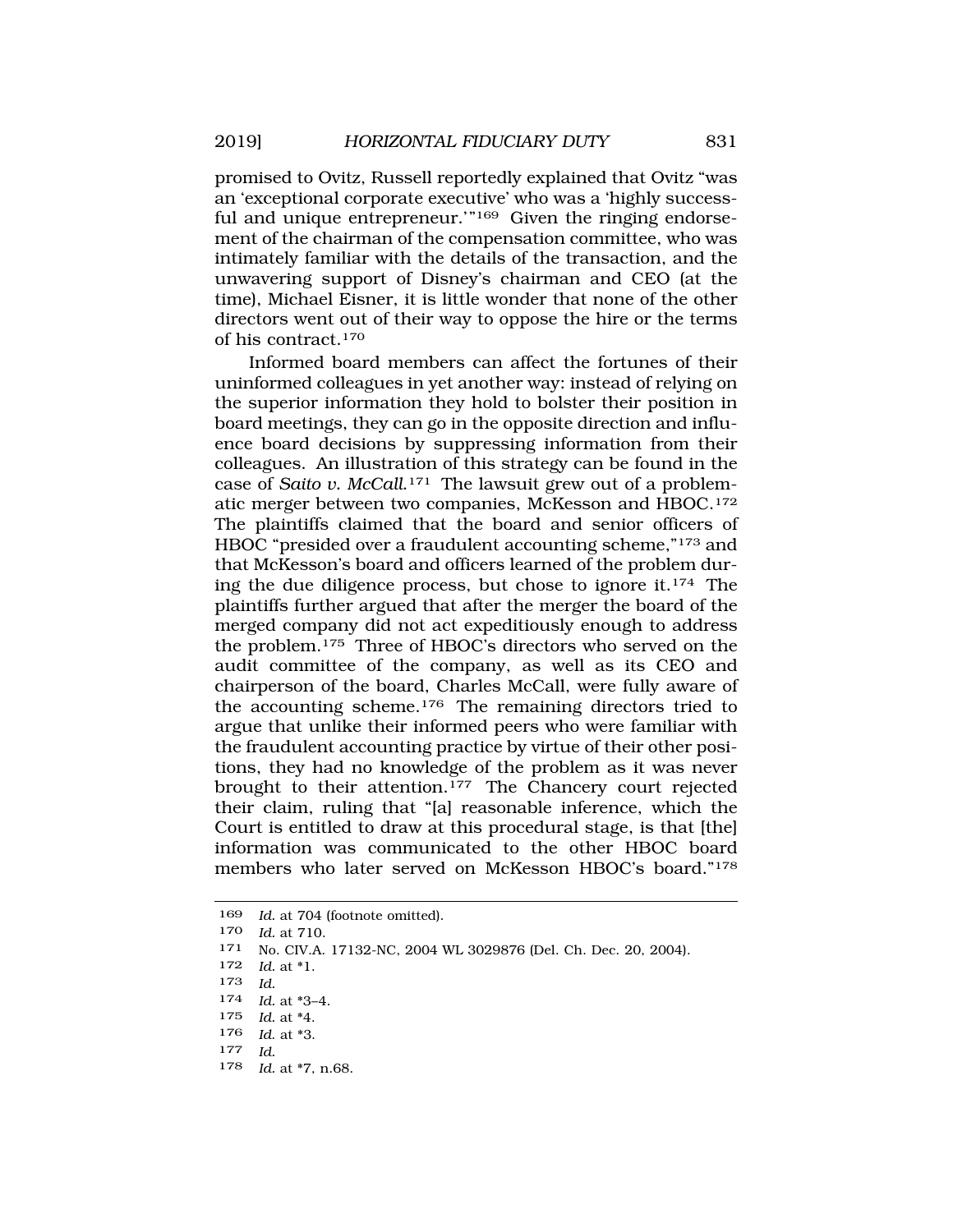promised to Ovitz, Russell reportedly explained that Ovitz "was an 'exceptional corporate executive' who was a 'highly successful and unique entrepreneur."<sup>169</sup> Given the ringing endorsement of the chairman of the compensation committee, who was intimately familiar with the details of the transaction, and the unwavering support of Disney's chairman and CEO (at the time), Michael Eisner, it is little wonder that none of the other directors went out of their way to oppose the hire or the terms of his contract.170

Informed board members can affect the fortunes of their uninformed colleagues in yet another way: instead of relying on the superior information they hold to bolster their position in board meetings, they can go in the opposite direction and influence board decisions by suppressing information from their colleagues. An illustration of this strategy can be found in the case of *Saito v. McCall*.171 The lawsuit grew out of a problematic merger between two companies, McKesson and HBOC.172 The plaintiffs claimed that the board and senior officers of HBOC "presided over a fraudulent accounting scheme,"173 and that McKesson's board and officers learned of the problem during the due diligence process, but chose to ignore it.174 The plaintiffs further argued that after the merger the board of the merged company did not act expeditiously enough to address the problem.175 Three of HBOC's directors who served on the audit committee of the company, as well as its CEO and chairperson of the board, Charles McCall, were fully aware of the accounting scheme.176 The remaining directors tried to argue that unlike their informed peers who were familiar with the fraudulent accounting practice by virtue of their other positions, they had no knowledge of the problem as it was never brought to their attention.<sup>177</sup> The Chancery court rejected their claim, ruling that "[a] reasonable inference, which the Court is entitled to draw at this procedural stage, is that [the] information was communicated to the other HBOC board members who later served on McKesson HBOC's board."178

178 *Id.* at \*7, n.68.

<sup>169</sup> *Id.* at 704 (footnote omitted).

<sup>170</sup> *Id.* at 710.

<sup>171</sup> No. CIV.A. 17132-NC, 2004 WL 3029876 (Del. Ch. Dec. 20, 2004).

<sup>172</sup> *Id.* at \*1.

<sup>173</sup> *Id.* 

<sup>174</sup> *Id.* at \*3–4.

<sup>175</sup> *Id.* at \*4.

<sup>176</sup> *Id*. at \*3.

<sup>177</sup> *Id.*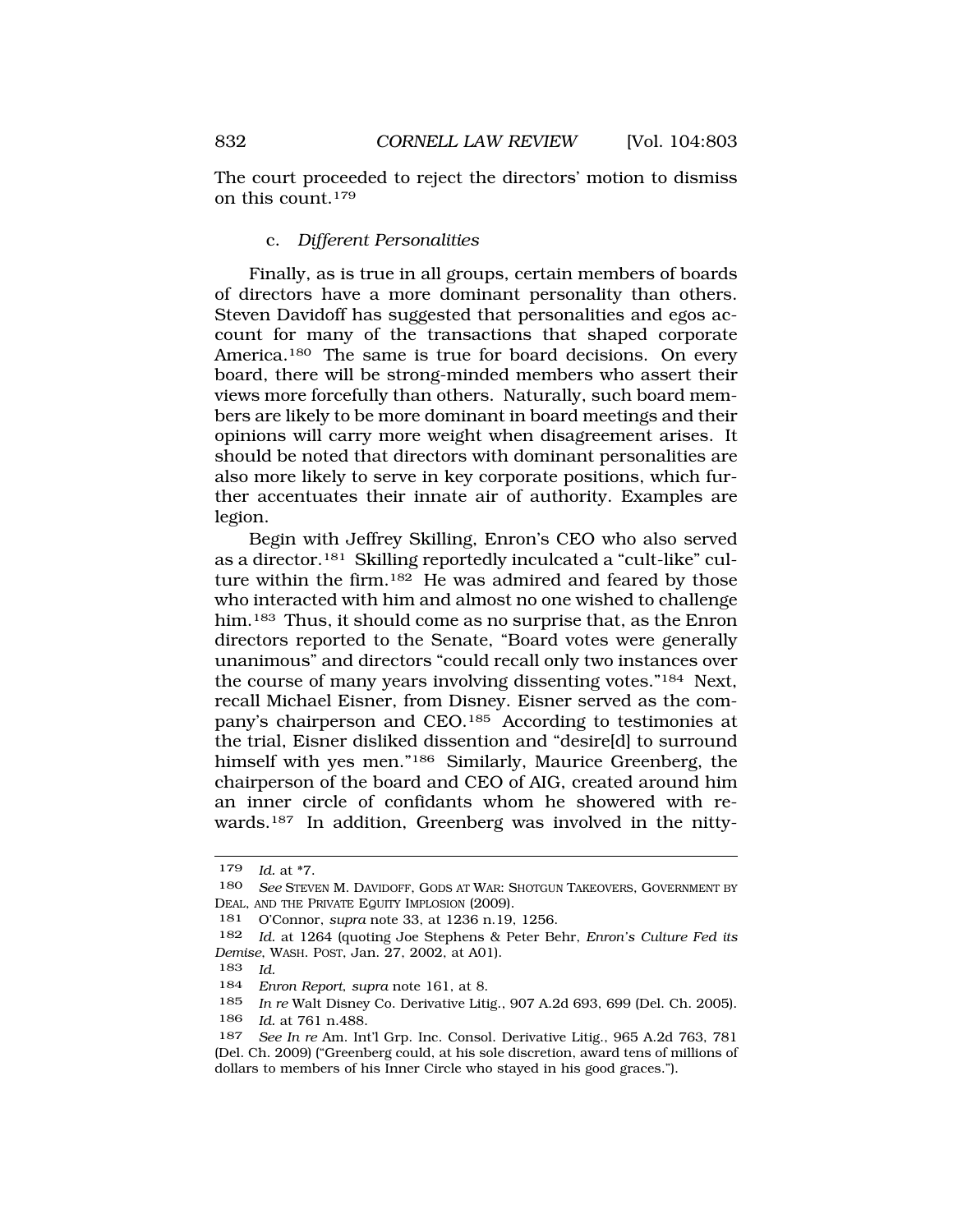<span id="page-29-0"></span>The court proceeded to reject the directors' motion to dismiss on this count.179

### c. *Different Personalities*

Finally, as is true in all groups, certain members of boards of directors have a more dominant personality than others. Steven Davidoff has suggested that personalities and egos account for many of the transactions that shaped corporate America.<sup>180</sup> The same is true for board decisions. On every board, there will be strong-minded members who assert their views more forcefully than others. Naturally, such board members are likely to be more dominant in board meetings and their opinions will carry more weight when disagreement arises. It should be noted that directors with dominant personalities are also more likely to serve in key corporate positions, which further accentuates their innate air of authority. Examples are legion.

Begin with Jeffrey Skilling, Enron's CEO who also served as a director.181 Skilling reportedly inculcated a "cult-like" culture within the firm.182 He was admired and feared by those who interacted with him and almost no one wished to challenge him.<sup>183</sup> Thus, it should come as no surprise that, as the Enron directors reported to the Senate, "Board votes were generally unanimous" and directors "could recall only two instances over the course of many years involving dissenting votes."184 Next, recall Michael Eisner, from Disney. Eisner served as the company's chairperson and CEO.185 According to testimonies at the trial, Eisner disliked dissention and "desire[d] to surround himself with yes men."186 Similarly, Maurice Greenberg, the chairperson of the board and CEO of AIG, created around him an inner circle of confidants whom he showered with rewards.187 In addition, Greenberg was involved in the nitty-

<sup>179</sup> *Id.* at \*7.

<sup>180</sup> *See* STEVEN M. DAVIDOFF, GODS AT WAR: SHOTGUN TAKEOVERS, GOVERNMENT BY DEAL, AND THE PRIVATE EQUITY IMPLOSION (2009).

<sup>181</sup> O'Connor, *supra* note 33, at 1236 n.19, 1256.

<sup>182</sup> *Id.* at 1264 (quoting Joe Stephens & Peter Behr, *Enron's Culture Fed its Demise*, WASH. POST, Jan. 27, 2002, at A01).

<sup>183</sup> *Id.* 

<sup>184</sup> *Enron Report*, *supra* note 161, at 8.

<sup>185</sup> *In re* Walt Disney Co. Derivative Litig., 907 A.2d 693, 699 (Del. Ch. 2005). 186 *Id.* at 761 n.488.

<sup>187</sup> *See In re* Am. Int'l Grp. Inc. Consol. Derivative Litig., 965 A.2d 763, 781 (Del. Ch. 2009) ("Greenberg could, at his sole discretion, award tens of millions of dollars to members of his Inner Circle who stayed in his good graces.").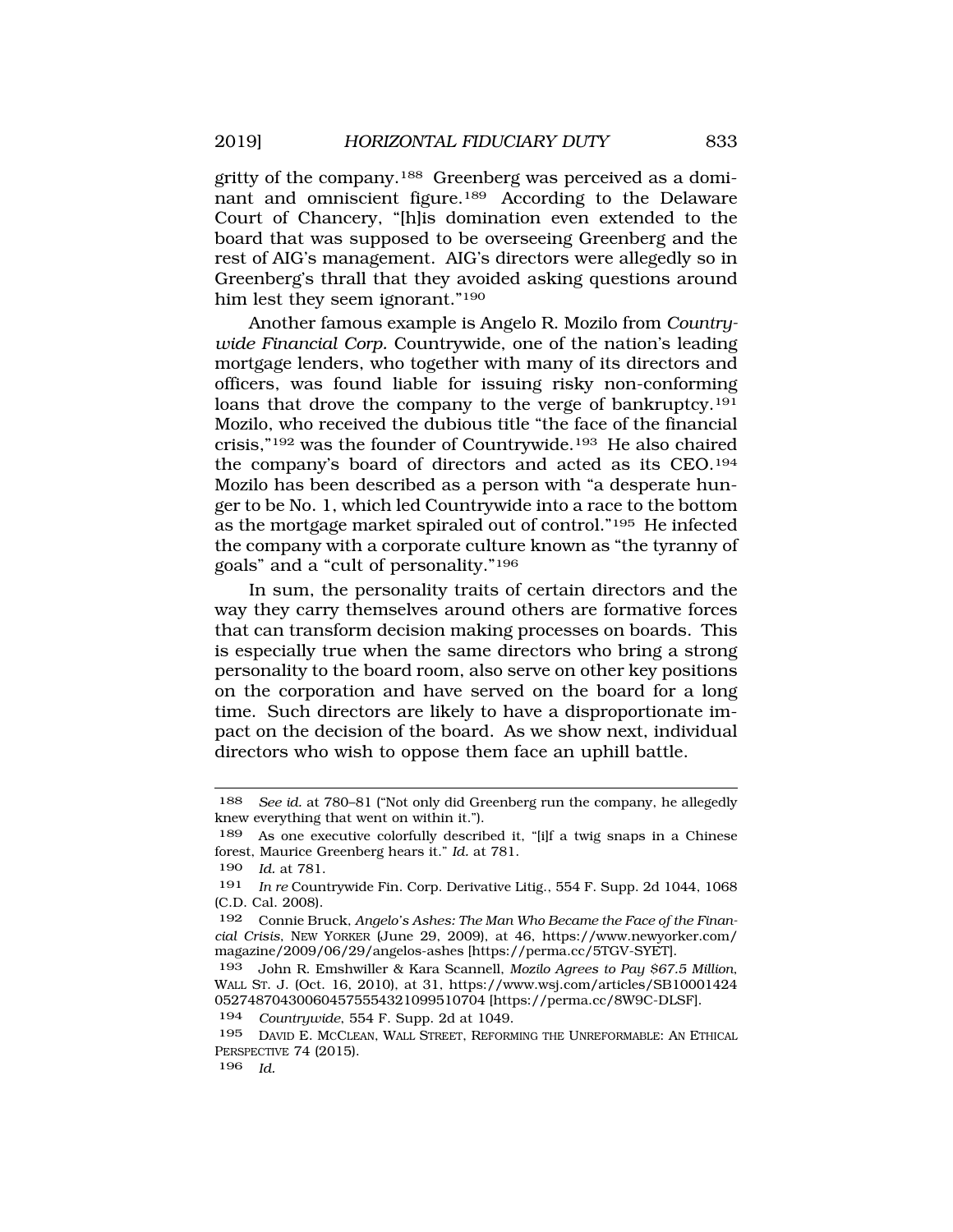gritty of the company.188 Greenberg was perceived as a dominant and omniscient figure.189 According to the Delaware Court of Chancery, "[h]is domination even extended to the board that was supposed to be overseeing Greenberg and the rest of AIG's management. AIG's directors were allegedly so in Greenberg's thrall that they avoided asking questions around him lest they seem ignorant."190

Another famous example is Angelo R. Mozilo from *Countrywide Financial Corp.* Countrywide, one of the nation's leading mortgage lenders, who together with many of its directors and officers, was found liable for issuing risky non-conforming loans that drove the company to the verge of bankruptcy.<sup>191</sup> Mozilo, who received the dubious title "the face of the financial crisis,"192 was the founder of Countrywide.193 He also chaired the company's board of directors and acted as its CEO.194 Mozilo has been described as a person with "a desperate hunger to be No. 1, which led Countrywide into a race to the bottom as the mortgage market spiraled out of control."195 He infected the company with a corporate culture known as "the tyranny of goals" and a "cult of personality."196

In sum, the personality traits of certain directors and the way they carry themselves around others are formative forces that can transform decision making processes on boards. This is especially true when the same directors who bring a strong personality to the board room, also serve on other key positions on the corporation and have served on the board for a long time. Such directors are likely to have a disproportionate impact on the decision of the board. As we show next, individual directors who wish to oppose them face an uphill battle.

<sup>188</sup> *See id.* at 780–81 ("Not only did Greenberg run the company, he allegedly knew everything that went on within it.").

<sup>189</sup> As one executive colorfully described it, "[i]f a twig snaps in a Chinese forest, Maurice Greenberg hears it." *Id.* at 781.

<sup>190</sup> *Id.* at 781.

<sup>191</sup> *In re* Countrywide Fin. Corp. Derivative Litig., 554 F. Supp. 2d 1044, 1068 (C.D. Cal. 2008).

<sup>192</sup> Connie Bruck, *Angelo's Ashes: The Man Who Became the Face of the Financial Crisis*, NEW YORKER (June 29, 2009), at 46, https://www.newyorker.com/ magazine/2009/06/29/angelos-ashes [https://perma.cc/5TGV-SYET].

<sup>193</sup> John R. Emshwiller & Kara Scannell, *Mozilo Agrees to Pay \$67.5 Million*, WALL ST. J. (Oct. 16, 2010), at 31, https://www.wsj.com/articles/SB10001424 052748704300604575554321099510704 [https://perma.cc/8W9C-DLSF].

<sup>194</sup> *Countrywide*, 554 F. Supp. 2d at 1049.

<sup>195</sup> DAVID E. MCCLEAN, WALL STREET, REFORMING THE UNREFORMABLE: AN ETHICAL PERSPECTIVE 74 (2015).

<sup>196</sup> *Id.*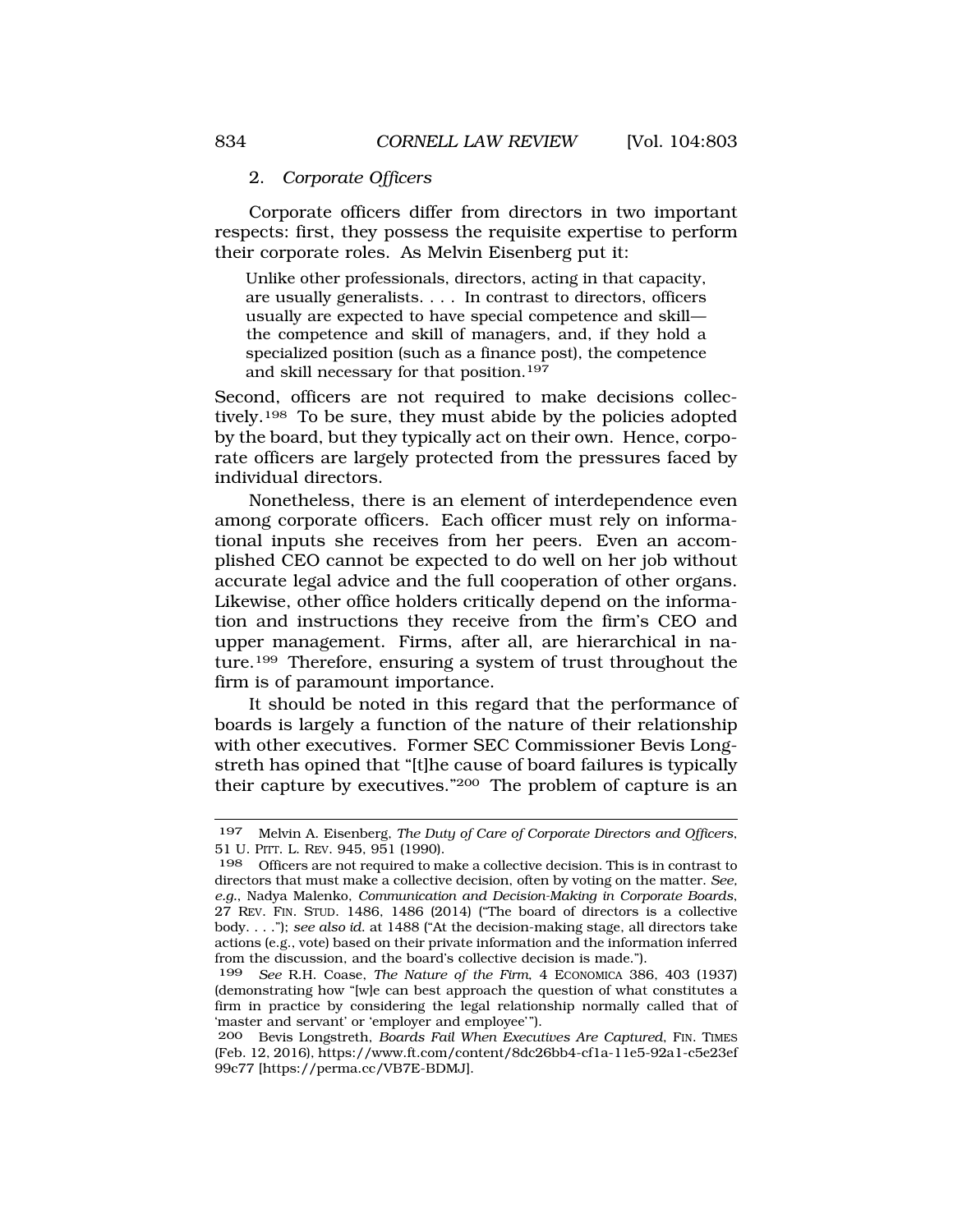### <span id="page-31-0"></span>2. *Corporate Officers*

Corporate officers differ from directors in two important respects: first, they possess the requisite expertise to perform their corporate roles. As Melvin Eisenberg put it:

Unlike other professionals, directors, acting in that capacity, are usually generalists. . . . In contrast to directors, officers usually are expected to have special competence and skill the competence and skill of managers, and, if they hold a specialized position (such as a finance post), the competence and skill necessary for that position.197

Second, officers are not required to make decisions collectively.<sup>198</sup> To be sure, they must abide by the policies adopted by the board, but they typically act on their own. Hence, corporate officers are largely protected from the pressures faced by individual directors.

Nonetheless, there is an element of interdependence even among corporate officers. Each officer must rely on informational inputs she receives from her peers. Even an accomplished CEO cannot be expected to do well on her job without accurate legal advice and the full cooperation of other organs. Likewise, other office holders critically depend on the information and instructions they receive from the firm's CEO and upper management. Firms, after all, are hierarchical in nature.199 Therefore, ensuring a system of trust throughout the firm is of paramount importance.

It should be noted in this regard that the performance of boards is largely a function of the nature of their relationship with other executives. Former SEC Commissioner Bevis Longstreth has opined that "[t]he cause of board failures is typically their capture by executives."200 The problem of capture is an

<sup>197</sup> Melvin A. Eisenberg, *The Duty of Care of Corporate Directors and Officers*, 51 U. PITT. L. REV. 945, 951 (1990).

<sup>198</sup> Officers are not required to make a collective decision. This is in contrast to directors that must make a collective decision, often by voting on the matter. *See, e.g.*, Nadya Malenko, *Communication and Decision-Making in Corporate Boards*, 27 REV. FIN. STUD. 1486, 1486 (2014) ("The board of directors is a collective body. . . ."); *see also id*. at 1488 ("At the decision-making stage, all directors take actions (e.g., vote) based on their private information and the information inferred from the discussion, and the board's collective decision is made.").

<sup>199</sup> *See* R.H. Coase, *The Nature of the Firm*, 4 ECONOMICA 386, 403 (1937) (demonstrating how "[w]e can best approach the question of what constitutes a firm in practice by considering the legal relationship normally called that of 'master and servant' or 'employer and employee'").

<sup>200</sup> Bevis Longstreth, *Boards Fail When Executives Are Captured*, FIN. TIMES (Feb. 12, 2016), https://www.ft.com/content/8dc26bb4-cf1a-11e5-92a1-c5e23ef 99c77 [https://perma.cc/VB7E-BDMJ].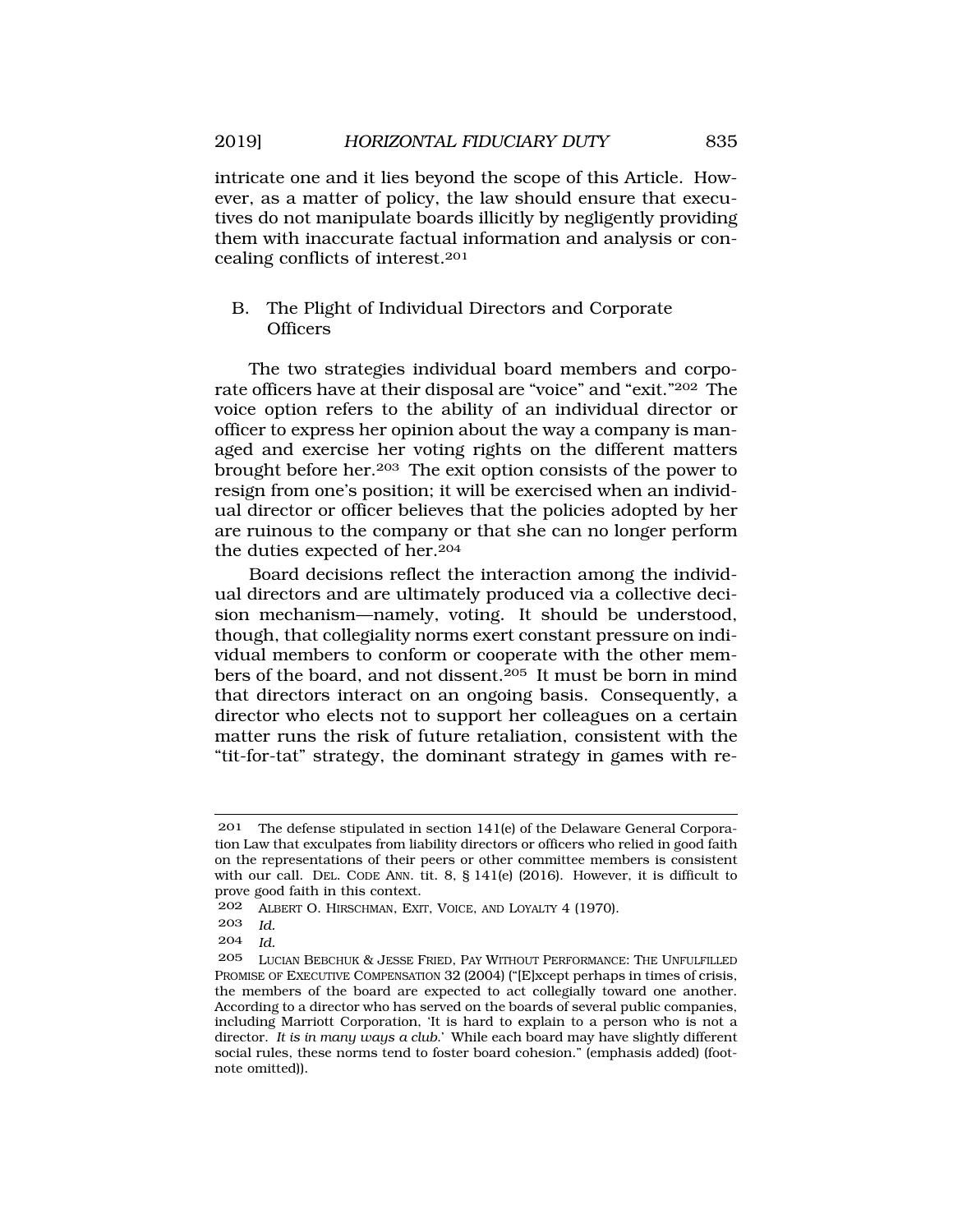intricate one and it lies beyond the scope of this Article. However, as a matter of policy, the law should ensure that executives do not manipulate boards illicitly by negligently providing them with inaccurate factual information and analysis or concealing conflicts of interest.201

# B. The Plight of Individual Directors and Corporate **Officers**

The two strategies individual board members and corporate officers have at their disposal are "voice" and "exit."202 The voice option refers to the ability of an individual director or officer to express her opinion about the way a company is managed and exercise her voting rights on the different matters brought before her.203 The exit option consists of the power to resign from one's position; it will be exercised when an individual director or officer believes that the policies adopted by her are ruinous to the company or that she can no longer perform the duties expected of her.204

Board decisions reflect the interaction among the individual directors and are ultimately produced via a collective decision mechanism—namely, voting. It should be understood, though, that collegiality norms exert constant pressure on individual members to conform or cooperate with the other members of the board, and not dissent.205 It must be born in mind that directors interact on an ongoing basis. Consequently, a director who elects not to support her colleagues on a certain matter runs the risk of future retaliation, consistent with the "tit-for-tat" strategy, the dominant strategy in games with re-

<sup>201</sup> The defense stipulated in section 141(e) of the Delaware General Corporation Law that exculpates from liability directors or officers who relied in good faith on the representations of their peers or other committee members is consistent with our call. DEL. CODE ANN. tit. 8, § 141(e) (2016). However, it is difficult to prove good faith in this context.

<sup>202</sup> ALBERT O. HIRSCHMAN, EXIT, VOICE, AND LOYALTY 4 (1970).

<sup>203</sup> *Id.* 

<sup>204</sup> *Id.* 

<sup>205</sup> LUCIAN BEBCHUK & JESSE FRIED, PAY WITHOUT PERFORMANCE: THE UNFULFILLED PROMISE OF EXECUTIVE COMPENSATION 32 (2004) ("[E]xcept perhaps in times of crisis, the members of the board are expected to act collegially toward one another. According to a director who has served on the boards of several public companies, including Marriott Corporation, 'It is hard to explain to a person who is not a director. *It is in many ways a club*.' While each board may have slightly different social rules, these norms tend to foster board cohesion." (emphasis added) (footnote omitted)).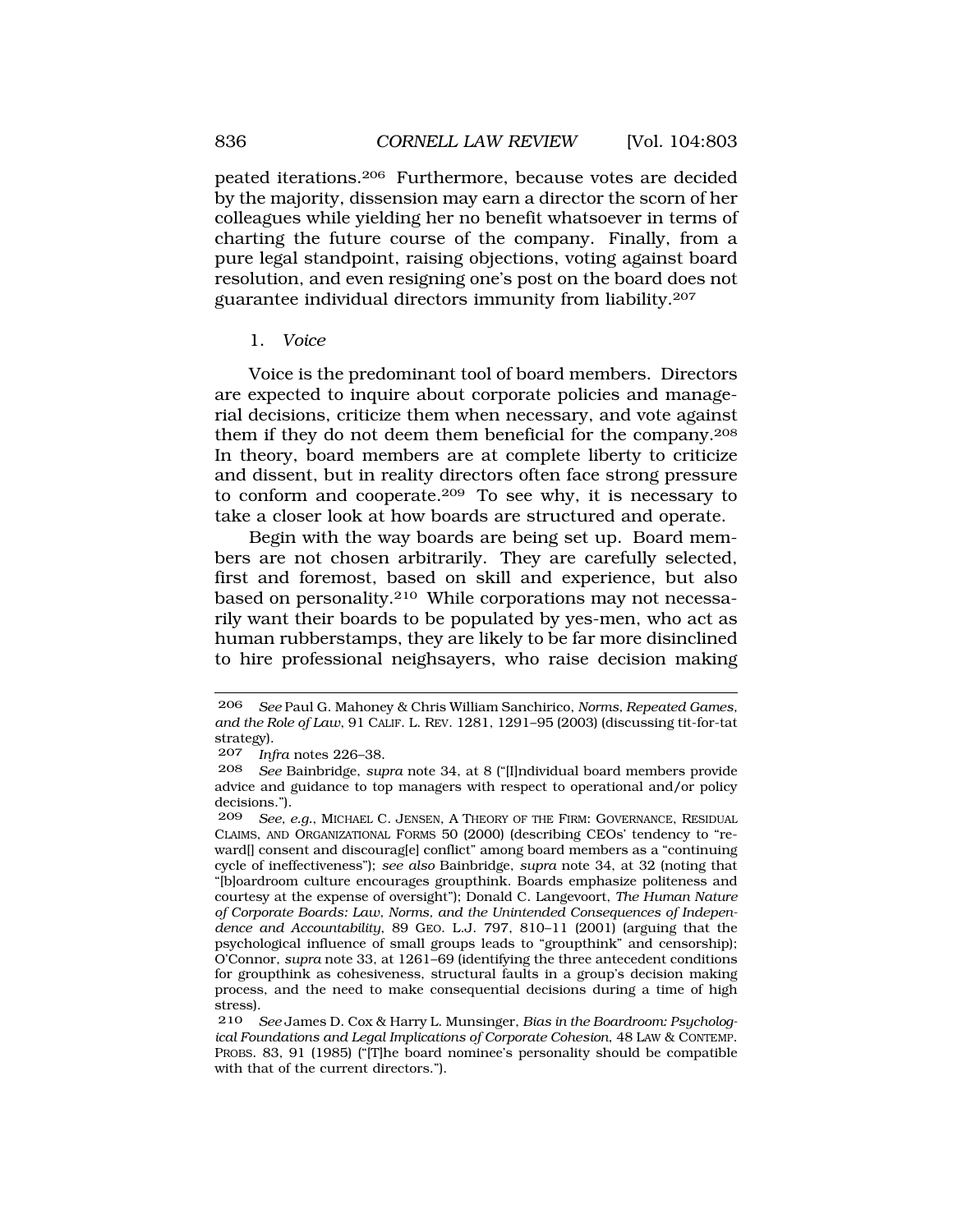<span id="page-33-0"></span>peated iterations.206 Furthermore, because votes are decided by the majority, dissension may earn a director the scorn of her colleagues while yielding her no benefit whatsoever in terms of charting the future course of the company. Finally, from a pure legal standpoint, raising objections, voting against board resolution, and even resigning one's post on the board does not guarantee individual directors immunity from liability.207

### 1. *Voice*

Voice is the predominant tool of board members. Directors are expected to inquire about corporate policies and managerial decisions, criticize them when necessary, and vote against them if they do not deem them beneficial for the company.208 In theory, board members are at complete liberty to criticize and dissent, but in reality directors often face strong pressure to conform and cooperate.209 To see why, it is necessary to take a closer look at how boards are structured and operate.

Begin with the way boards are being set up. Board members are not chosen arbitrarily. They are carefully selected, first and foremost, based on skill and experience, but also based on personality.210 While corporations may not necessarily want their boards to be populated by yes-men, who act as human rubberstamps, they are likely to be far more disinclined to hire professional neighsayers, who raise decision making

<sup>206</sup> *See* Paul G. Mahoney & Chris William Sanchirico, *Norms, Repeated Games, and the Role of Law*, 91 CALIF. L. REV. 1281, 1291–95 (2003) (discussing tit-for-tat strategy).

<sup>207</sup> *Infra* notes 226–38.

<sup>208</sup> *See* Bainbridge, *supra* note 34, at 8 ("[I]ndividual board members provide advice and guidance to top managers with respect to operational and/or policy decisions.").<br>209 See e

See, e.g., MICHAEL C. JENSEN, A THEORY OF THE FIRM: GOVERNANCE, RESIDUAL CLAIMS, AND ORGANIZATIONAL FORMS 50 (2000) (describing CEOs' tendency to "reward[] consent and discourag[e] conflict" among board members as a "continuing cycle of ineffectiveness"); *see also* Bainbridge, *supra* note 34, at 32 (noting that "[b]oardroom culture encourages groupthink. Boards emphasize politeness and courtesy at the expense of oversight"); Donald C. Langevoort, *The Human Nature of Corporate Boards: Law, Norms, and the Unintended Consequences of Independence and Accountability*, 89 GEO. L.J. 797, 810–11 (2001) (arguing that the psychological influence of small groups leads to "groupthink" and censorship); O'Connor, *supra* note 33, at 1261–69 (identifying the three antecedent conditions for groupthink as cohesiveness, structural faults in a group's decision making process, and the need to make consequential decisions during a time of high stress).<br> $210$ 

See James D. Cox & Harry L. Munsinger, *Bias in the Boardroom: Psychological Foundations and Legal Implications of Corporate Cohesion*, 48 LAW & CONTEMP. PROBS. 83, 91 (1985) ("[T]he board nominee's personality should be compatible with that of the current directors.").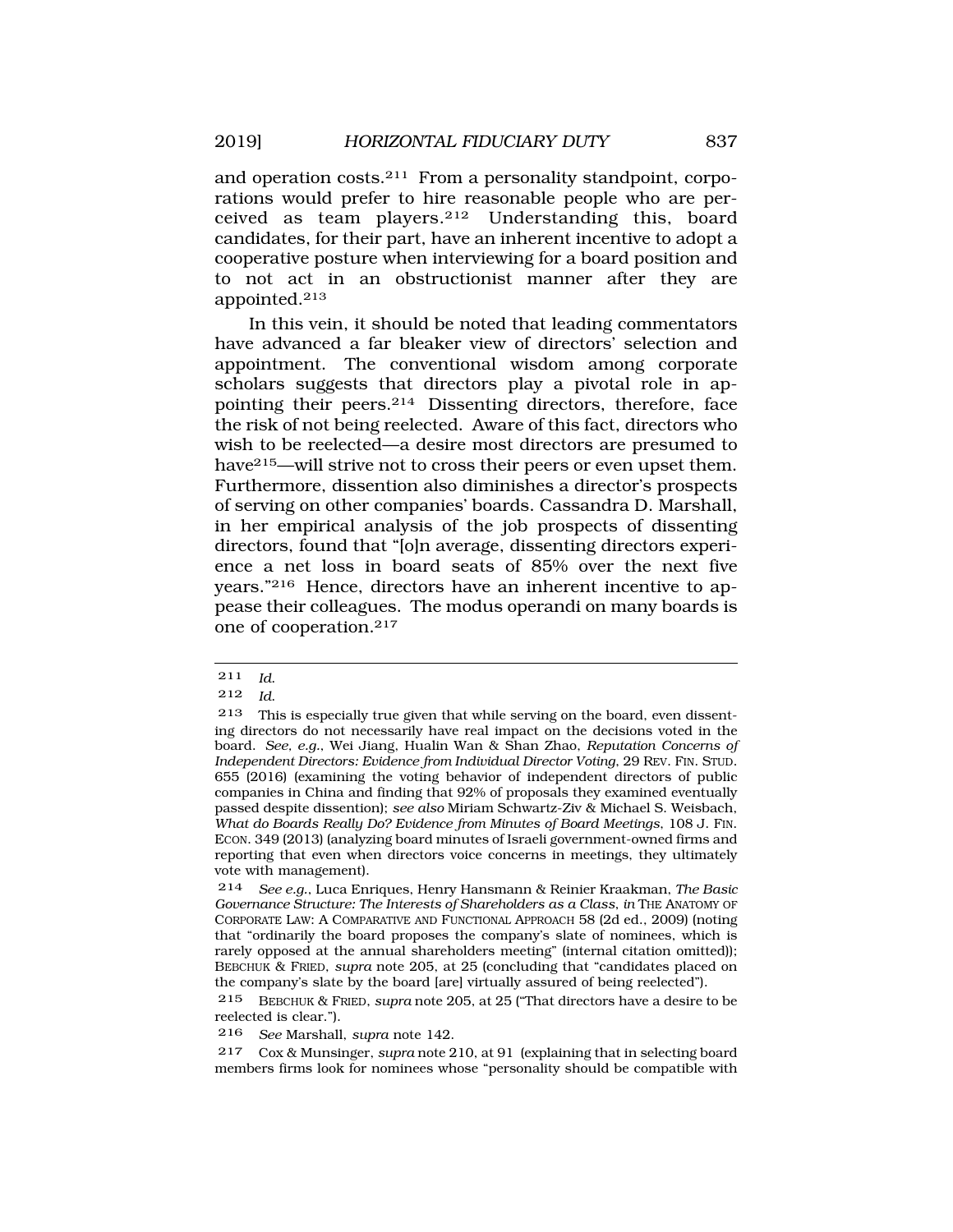and operation costs.211 From a personality standpoint, corporations would prefer to hire reasonable people who are perceived as team players.212 Understanding this, board candidates, for their part, have an inherent incentive to adopt a cooperative posture when interviewing for a board position and to not act in an obstructionist manner after they are appointed.213

In this vein, it should be noted that leading commentators have advanced a far bleaker view of directors' selection and appointment. The conventional wisdom among corporate scholars suggests that directors play a pivotal role in appointing their peers.214 Dissenting directors, therefore, face the risk of not being reelected. Aware of this fact, directors who wish to be reelected—a desire most directors are presumed to have<sup>215</sup>—will strive not to cross their peers or even upset them. Furthermore, dissention also diminishes a director's prospects of serving on other companies' boards. Cassandra D. Marshall, in her empirical analysis of the job prospects of dissenting directors, found that "[o]n average, dissenting directors experience a net loss in board seats of 85% over the next five years."216 Hence, directors have an inherent incentive to appease their colleagues. The modus operandi on many boards is one of cooperation.217

216 *See* Marshall, *supra* note 142.

217 Cox & Munsinger, *supra* note 210, at 91 (explaining that in selecting board members firms look for nominees whose "personality should be compatible with

<sup>211</sup> *Id*.

<sup>212</sup> *Id*.

<sup>213</sup> This is especially true given that while serving on the board, even dissenting directors do not necessarily have real impact on the decisions voted in the board. *See, e.g.*, Wei Jiang, Hualin Wan & Shan Zhao, *Reputation Concerns of Independent Directors: Evidence from Individual Director Voting*, 29 REV. FIN. STUD. 655 (2016) (examining the voting behavior of independent directors of public companies in China and finding that 92% of proposals they examined eventually passed despite dissention); *see also* Miriam Schwartz-Ziv & Michael S. Weisbach, *What do Boards Really Do? Evidence from Minutes of Board Meetings*, 108 J. FIN. ECON. 349 (2013) (analyzing board minutes of Israeli government-owned firms and reporting that even when directors voice concerns in meetings, they ultimately vote with management).

<sup>214</sup> *See e.g.*, Luca Enriques, Henry Hansmann & Reinier Kraakman, *The Basic Governance Structure: The Interests of Shareholders as a Class*, *in* THE ANATOMY OF CORPORATE LAW: A COMPARATIVE AND FUNCTIONAL APPROACH 58 (2d ed., 2009) (noting that "ordinarily the board proposes the company's slate of nominees, which is rarely opposed at the annual shareholders meeting" (internal citation omitted)); BEBCHUK & FRIED, *supra* note 205, at 25 (concluding that "candidates placed on the company's slate by the board [are] virtually assured of being reelected").

<sup>215</sup> BEBCHUK & FRIED, *supra* note 205, at 25 ("That directors have a desire to be reelected is clear.").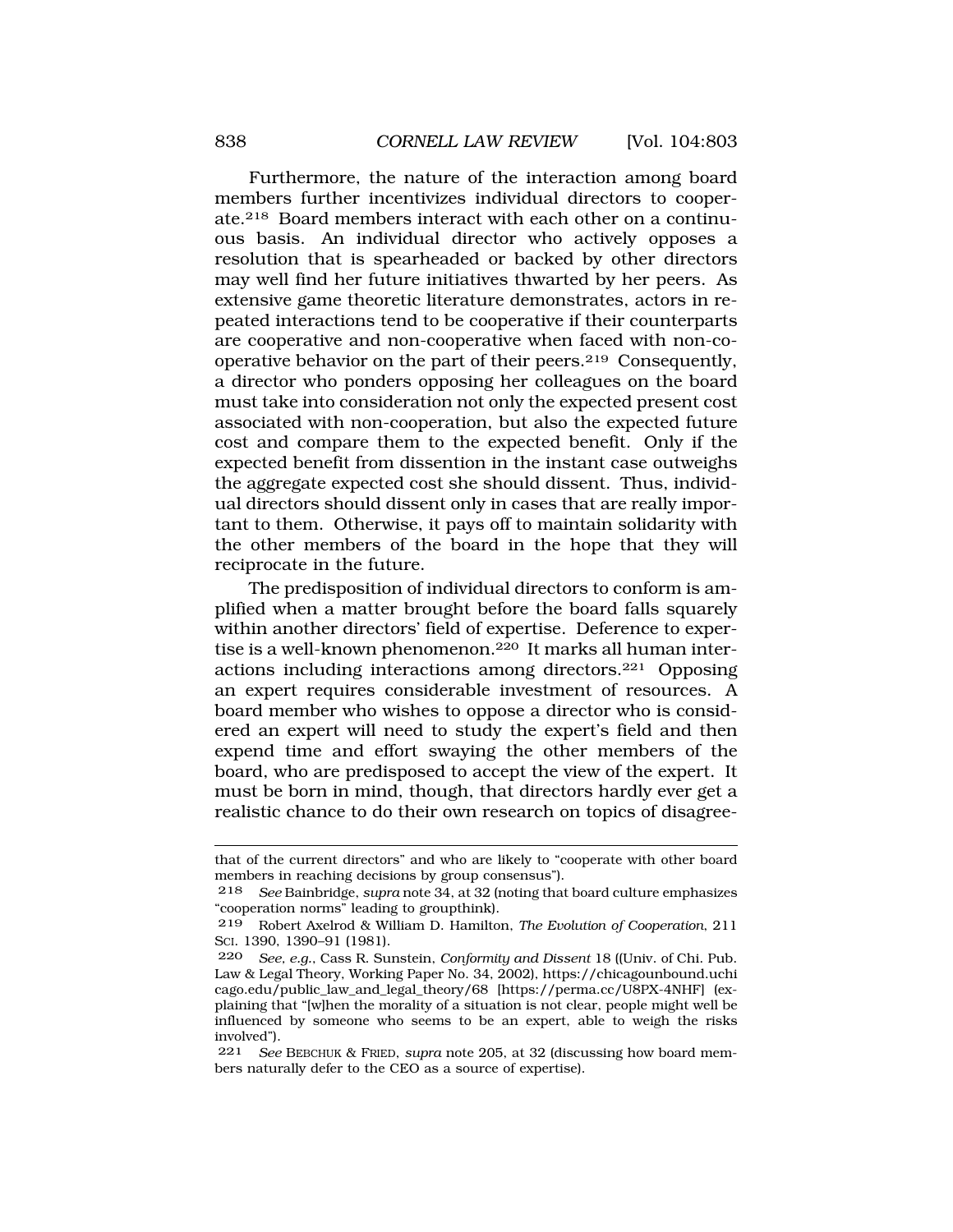Furthermore, the nature of the interaction among board members further incentivizes individual directors to cooperate.218 Board members interact with each other on a continuous basis. An individual director who actively opposes a resolution that is spearheaded or backed by other directors may well find her future initiatives thwarted by her peers. As extensive game theoretic literature demonstrates, actors in repeated interactions tend to be cooperative if their counterparts are cooperative and non-cooperative when faced with non-cooperative behavior on the part of their peers.219 Consequently, a director who ponders opposing her colleagues on the board must take into consideration not only the expected present cost associated with non-cooperation, but also the expected future cost and compare them to the expected benefit. Only if the expected benefit from dissention in the instant case outweighs the aggregate expected cost she should dissent. Thus, individual directors should dissent only in cases that are really important to them. Otherwise, it pays off to maintain solidarity with the other members of the board in the hope that they will reciprocate in the future.

The predisposition of individual directors to conform is amplified when a matter brought before the board falls squarely within another directors' field of expertise. Deference to expertise is a well-known phenomenon.220 It marks all human interactions including interactions among directors.221 Opposing an expert requires considerable investment of resources. A board member who wishes to oppose a director who is considered an expert will need to study the expert's field and then expend time and effort swaying the other members of the board, who are predisposed to accept the view of the expert. It must be born in mind, though, that directors hardly ever get a realistic chance to do their own research on topics of disagree-

that of the current directors" and who are likely to "cooperate with other board members in reaching decisions by group consensus").

<sup>218</sup> *See* Bainbridge, *supra* note 34, at 32 (noting that board culture emphasizes "cooperation norms" leading to groupthink).

<sup>219</sup> Robert Axelrod & William D. Hamilton, *The Evolution of Cooperation*, 211 SCI. 1390, 1390–91 (1981).

<sup>220</sup> *See, e.g.*, Cass R. Sunstein, *Conformity and Dissent* 18 ((Univ. of Chi. Pub. Law & Legal Theory, Working Paper No. 34, 2002), https://chicagounbound.uchi cago.edu/public\_law\_and\_legal\_theory/68 [https://perma.cc/U8PX-4NHF] (explaining that "[w]hen the morality of a situation is not clear, people might well be influenced by someone who seems to be an expert, able to weigh the risks involved").

<sup>221</sup> *See* BEBCHUK & FRIED, *supra* note 205, at 32 (discussing how board members naturally defer to the CEO as a source of expertise).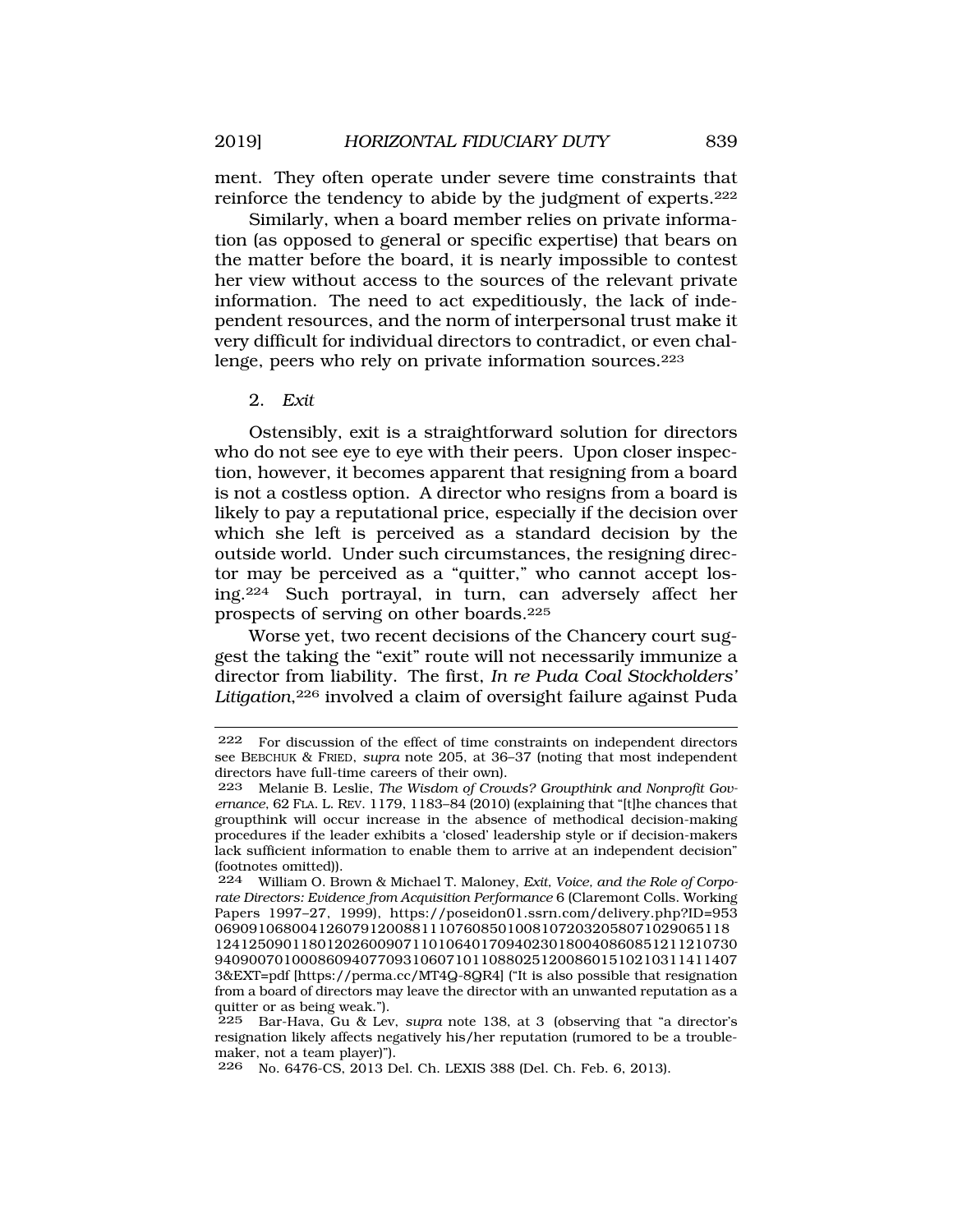ment. They often operate under severe time constraints that reinforce the tendency to abide by the judgment of experts.222

Similarly, when a board member relies on private information (as opposed to general or specific expertise) that bears on the matter before the board, it is nearly impossible to contest her view without access to the sources of the relevant private information. The need to act expeditiously, the lack of independent resources, and the norm of interpersonal trust make it very difficult for individual directors to contradict, or even challenge, peers who rely on private information sources.223

### 2. *Exit*

Ostensibly, exit is a straightforward solution for directors who do not see eye to eye with their peers. Upon closer inspection, however, it becomes apparent that resigning from a board is not a costless option. A director who resigns from a board is likely to pay a reputational price, especially if the decision over which she left is perceived as a standard decision by the outside world. Under such circumstances, the resigning director may be perceived as a "quitter," who cannot accept losing.224 Such portrayal, in turn, can adversely affect her prospects of serving on other boards.225

Worse yet, two recent decisions of the Chancery court suggest the taking the "exit" route will not necessarily immunize a director from liability. The first, *In re Puda Coal Stockholders'*  Litigation,<sup>226</sup> involved a claim of oversight failure against Puda

<sup>222</sup> For discussion of the effect of time constraints on independent directors see BEBCHUK & FRIED, *supra* note 205, at 36–37 (noting that most independent directors have full-time careers of their own).<br>223 Melanie B. Leslie, *The Wisdom of Crou* 

<sup>223</sup> Melanie B. Leslie, *The Wisdom of Crowds? Groupthink and Nonprofit Governance*, 62 FLA. L. REV. 1179, 1183–84 (2010) (explaining that "[t]he chances that groupthink will occur increase in the absence of methodical decision-making procedures if the leader exhibits a 'closed' leadership style or if decision-makers lack sufficient information to enable them to arrive at an independent decision" (footnotes omitted)).

<sup>224</sup> William O. Brown & Michael T. Maloney, *Exit, Voice, and the Role of Corporate Directors: Evidence from Acquisition Performance* 6 (Claremont Colls. Working Papers 1997–27, 1999), https://poseidon01.ssrn.com/delivery.php?ID=953 069091068004126079120088111076085010081072032058071029065118

<sup>1241250901180120260090711010640170940230180040860851211210730</sup>  9409007010008609407709310607101108802512008601510210311411407 3&EXT=pdf [https://perma.cc/MT4Q-8QR4] ("It is also possible that resignation from a board of directors may leave the director with an unwanted reputation as a quitter or as being weak.").

<sup>225</sup> Bar-Hava, Gu & Lev, *supra* note 138, at 3 (observing that "a director's resignation likely affects negatively his/her reputation (rumored to be a troublemaker, not a team player)").

<sup>226</sup> No. 6476-CS, 2013 Del. Ch. LEXIS 388 (Del. Ch. Feb. 6, 2013).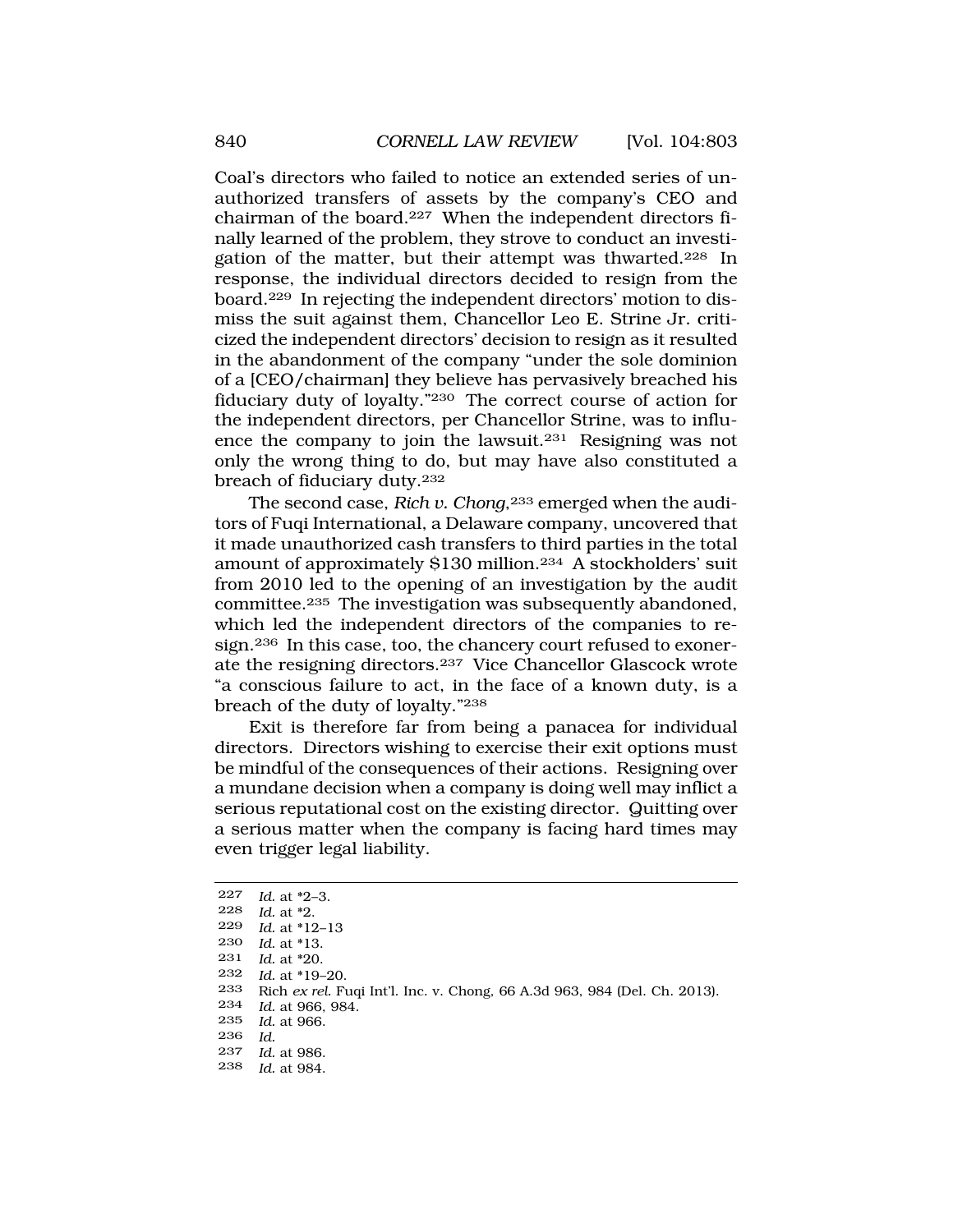Coal's directors who failed to notice an extended series of unauthorized transfers of assets by the company's CEO and chairman of the board.227 When the independent directors finally learned of the problem, they strove to conduct an investigation of the matter, but their attempt was thwarted.228 In response, the individual directors decided to resign from the board.229 In rejecting the independent directors' motion to dismiss the suit against them, Chancellor Leo E. Strine Jr. criticized the independent directors' decision to resign as it resulted in the abandonment of the company "under the sole dominion of a [CEO/chairman] they believe has pervasively breached his fiduciary duty of loyalty."230 The correct course of action for the independent directors, per Chancellor Strine, was to influence the company to join the lawsuit.231 Resigning was not only the wrong thing to do, but may have also constituted a breach of fiduciary duty.<sup>232</sup>

The second case, *Rich v. Chong*,<sup>233</sup> emerged when the auditors of Fuqi International, a Delaware company, uncovered that it made unauthorized cash transfers to third parties in the total amount of approximately \$130 million.234 A stockholders' suit from 2010 led to the opening of an investigation by the audit committee.235 The investigation was subsequently abandoned, which led the independent directors of the companies to resign.236 In this case, too, the chancery court refused to exonerate the resigning directors.237 Vice Chancellor Glascock wrote "a conscious failure to act, in the face of a known duty, is a breach of the duty of loyalty."238

Exit is therefore far from being a panacea for individual directors. Directors wishing to exercise their exit options must be mindful of the consequences of their actions. Resigning over a mundane decision when a company is doing well may inflict a serious reputational cost on the existing director. Quitting over a serious matter when the company is facing hard times may even trigger legal liability.

| 227 | Id. at $*2-3$ .                                                           |
|-----|---------------------------------------------------------------------------|
| 228 | Id. at $*2$ .                                                             |
| 229 | <i>Id.</i> at $*12-13$                                                    |
| 230 | <i>Id.</i> at *13.                                                        |
| 231 | <i>Id.</i> at *20.                                                        |
| 232 | <i>Id.</i> at *19–20.                                                     |
| 233 | Rich ex rel. Fuqi Int'l. Inc. v. Chong, 66 A.3d 963, 984 (Del. Ch. 2013). |
| 234 | <i>Id.</i> at 966, 984.                                                   |
| 235 | <i>Id.</i> at 966.                                                        |
| 236 | Id.                                                                       |
| 237 | <i>Id.</i> at 986.                                                        |
| 238 | <i>Id.</i> at 984.                                                        |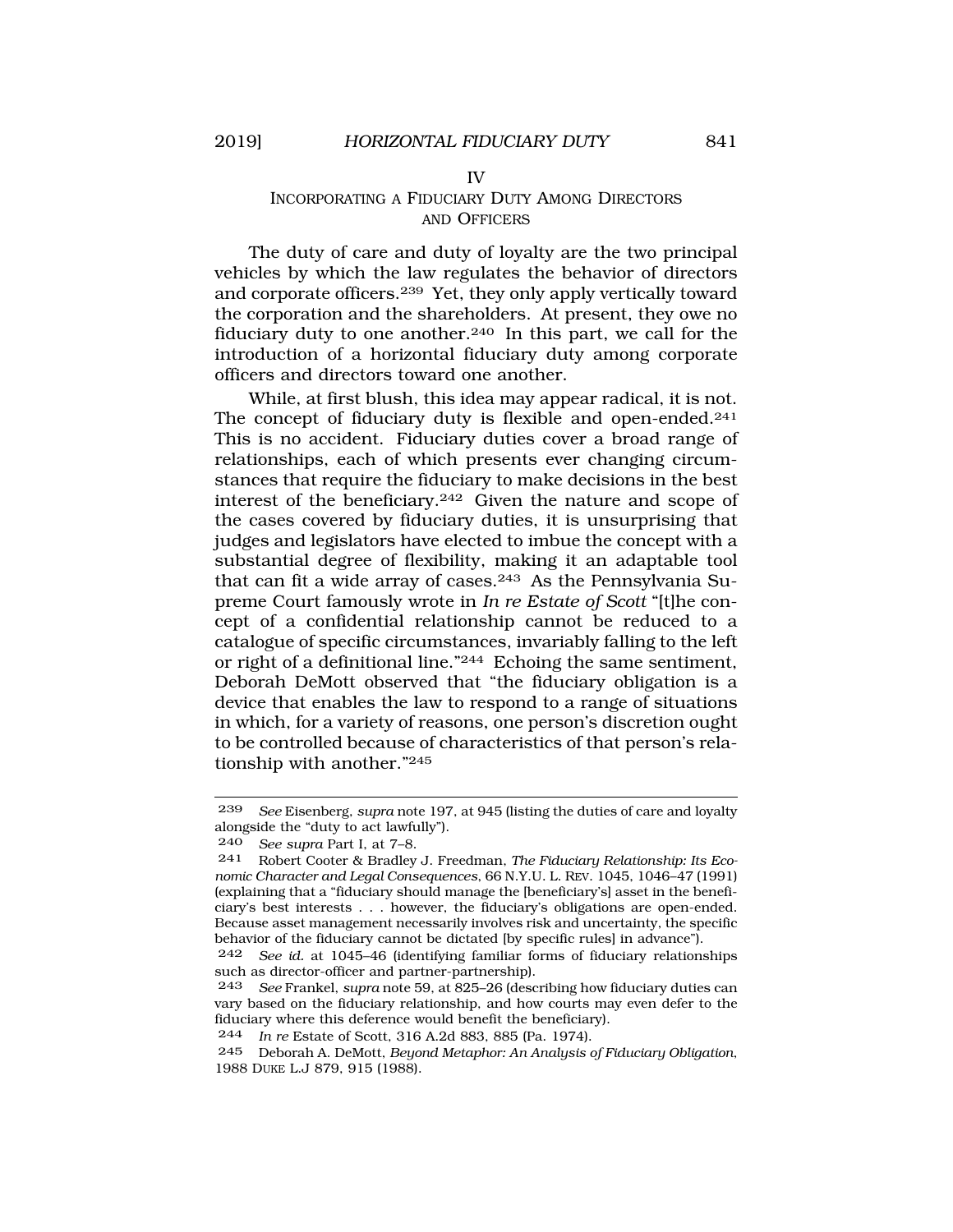#### IV

# INCORPORATING A FIDUCIARY DUTY AMONG DIRECTORS AND OFFICERS

The duty of care and duty of loyalty are the two principal vehicles by which the law regulates the behavior of directors and corporate officers.239 Yet, they only apply vertically toward the corporation and the shareholders. At present, they owe no fiduciary duty to one another.240 In this part, we call for the introduction of a horizontal fiduciary duty among corporate officers and directors toward one another.

While, at first blush, this idea may appear radical, it is not. The concept of fiduciary duty is flexible and open-ended.<sup>241</sup> This is no accident. Fiduciary duties cover a broad range of relationships, each of which presents ever changing circumstances that require the fiduciary to make decisions in the best interest of the beneficiary.242 Given the nature and scope of the cases covered by fiduciary duties, it is unsurprising that judges and legislators have elected to imbue the concept with a substantial degree of flexibility, making it an adaptable tool that can fit a wide array of cases.243 As the Pennsylvania Supreme Court famously wrote in *In re Estate of Scott* "[t]he concept of a confidential relationship cannot be reduced to a catalogue of specific circumstances, invariably falling to the left or right of a definitional line."244 Echoing the same sentiment, Deborah DeMott observed that "the fiduciary obligation is a device that enables the law to respond to a range of situations in which, for a variety of reasons, one person's discretion ought to be controlled because of characteristics of that person's relationship with another."245

<sup>239</sup> *See* Eisenberg, *supra* note 197, at 945 (listing the duties of care and loyalty alongside the "duty to act lawfully").

<sup>240</sup> *See supra* Part I, at 7–8.

<sup>241</sup> Robert Cooter & Bradley J. Freedman, *The Fiduciary Relationship: Its Economic Character and Legal Consequences*, 66 N.Y.U. L. REV. 1045, 1046–47 (1991) (explaining that a "fiduciary should manage the [beneficiary's] asset in the beneficiary's best interests . . . however, the fiduciary's obligations are open-ended. Because asset management necessarily involves risk and uncertainty, the specific behavior of the fiduciary cannot be dictated [by specific rules] in advance").

<sup>242</sup> *See id.* at 1045–46 (identifying familiar forms of fiduciary relationships such as director-officer and partner-partnership).

<sup>243</sup> *See* Frankel, *supra* note 59, at 825–26 (describing how fiduciary duties can vary based on the fiduciary relationship, and how courts may even defer to the fiduciary where this deference would benefit the beneficiary).

<sup>244</sup> *In re* Estate of Scott, 316 A.2d 883, 885 (Pa. 1974).

<sup>245</sup> Deborah A. DeMott, *Beyond Metaphor: An Analysis of Fiduciary Obligation*, 1988 DUKE L.J 879, 915 (1988).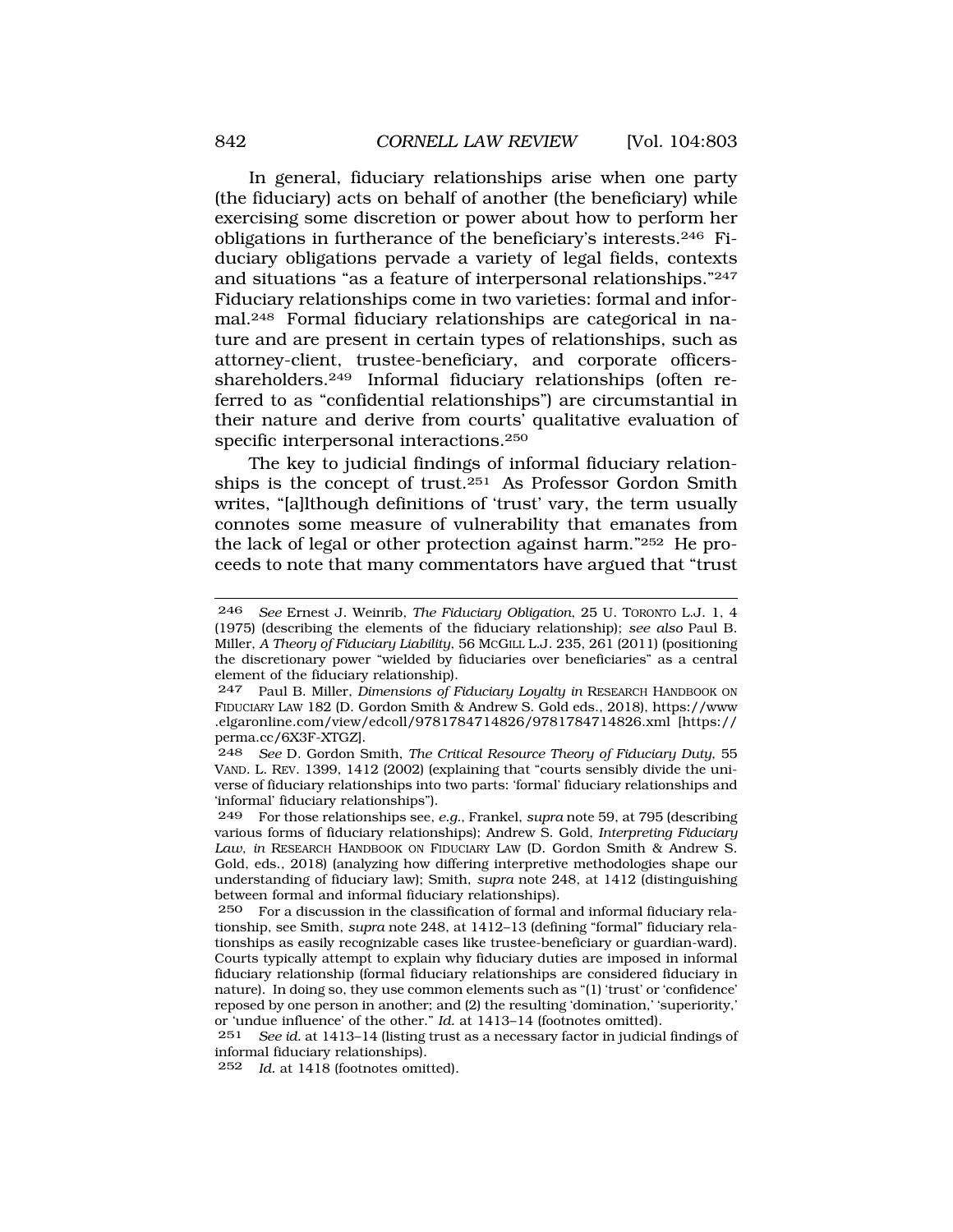In general, fiduciary relationships arise when one party (the fiduciary) acts on behalf of another (the beneficiary) while exercising some discretion or power about how to perform her obligations in furtherance of the beneficiary's interests.246 Fiduciary obligations pervade a variety of legal fields, contexts and situations "as a feature of interpersonal relationships."247 Fiduciary relationships come in two varieties: formal and informal.248 Formal fiduciary relationships are categorical in nature and are present in certain types of relationships, such as attorney-client, trustee-beneficiary, and corporate officersshareholders.249 Informal fiduciary relationships (often referred to as "confidential relationships") are circumstantial in their nature and derive from courts' qualitative evaluation of specific interpersonal interactions.250

The key to judicial findings of informal fiduciary relationships is the concept of trust.251 As Professor Gordon Smith writes, "[a]lthough definitions of 'trust' vary, the term usually connotes some measure of vulnerability that emanates from the lack of legal or other protection against harm."252 He proceeds to note that many commentators have argued that "trust

248 *See* D. Gordon Smith, *The Critical Resource Theory of Fiduciary Duty*, 55 VAND. L. REV. 1399, 1412 (2002) (explaining that "courts sensibly divide the universe of fiduciary relationships into two parts: 'formal' fiduciary relationships and 'informal' fiduciary relationships").

252 *Id.* at 1418 (footnotes omitted).

<sup>246</sup> *See* Ernest J. Weinrib, *The Fiduciary Obligation*, 25 U. TORONTO L.J. 1, 4 (1975) (describing the elements of the fiduciary relationship); *see also* Paul B. Miller, *A Theory of Fiduciary Liability*, 56 MCGILL L.J. 235, 261 (2011) (positioning the discretionary power "wielded by fiduciaries over beneficiaries" as a central element of the fiduciary relationship).

<sup>247</sup> Paul B. Miller, *Dimensions of Fiduciary Loyalty in* RESEARCH HANDBOOK ON FIDUCIARY LAW 182 (D. Gordon Smith & Andrew S. Gold eds., 2018), https://www .elgaronline.com/view/edcoll/9781784714826/9781784714826.xml [https:// perma.cc/6X3F-XTGZ].

<sup>249</sup> For those relationships see, *e.g.*, Frankel, *supra* note 59, at 795 (describing various forms of fiduciary relationships); Andrew S. Gold, *Interpreting Fiduciary Law*, *in* RESEARCH HANDBOOK ON FIDUCIARY LAW (D. Gordon Smith & Andrew S. Gold, eds., 2018) (analyzing how differing interpretive methodologies shape our understanding of fiduciary law); Smith, *supra* note 248, at 1412 (distinguishing between formal and informal fiduciary relationships).

<sup>250</sup> For a discussion in the classification of formal and informal fiduciary relationship, see Smith, *supra* note 248, at 1412–13 (defining "formal" fiduciary relationships as easily recognizable cases like trustee-beneficiary or guardian-ward). Courts typically attempt to explain why fiduciary duties are imposed in informal fiduciary relationship (formal fiduciary relationships are considered fiduciary in nature). In doing so, they use common elements such as "(1) 'trust' or 'confidence' reposed by one person in another; and (2) the resulting 'domination,' 'superiority,' or 'undue influence' of the other." *Id.* at 1413–14 (footnotes omitted).

<sup>251</sup> *See id.* at 1413–14 (listing trust as a necessary factor in judicial findings of informal fiduciary relationships).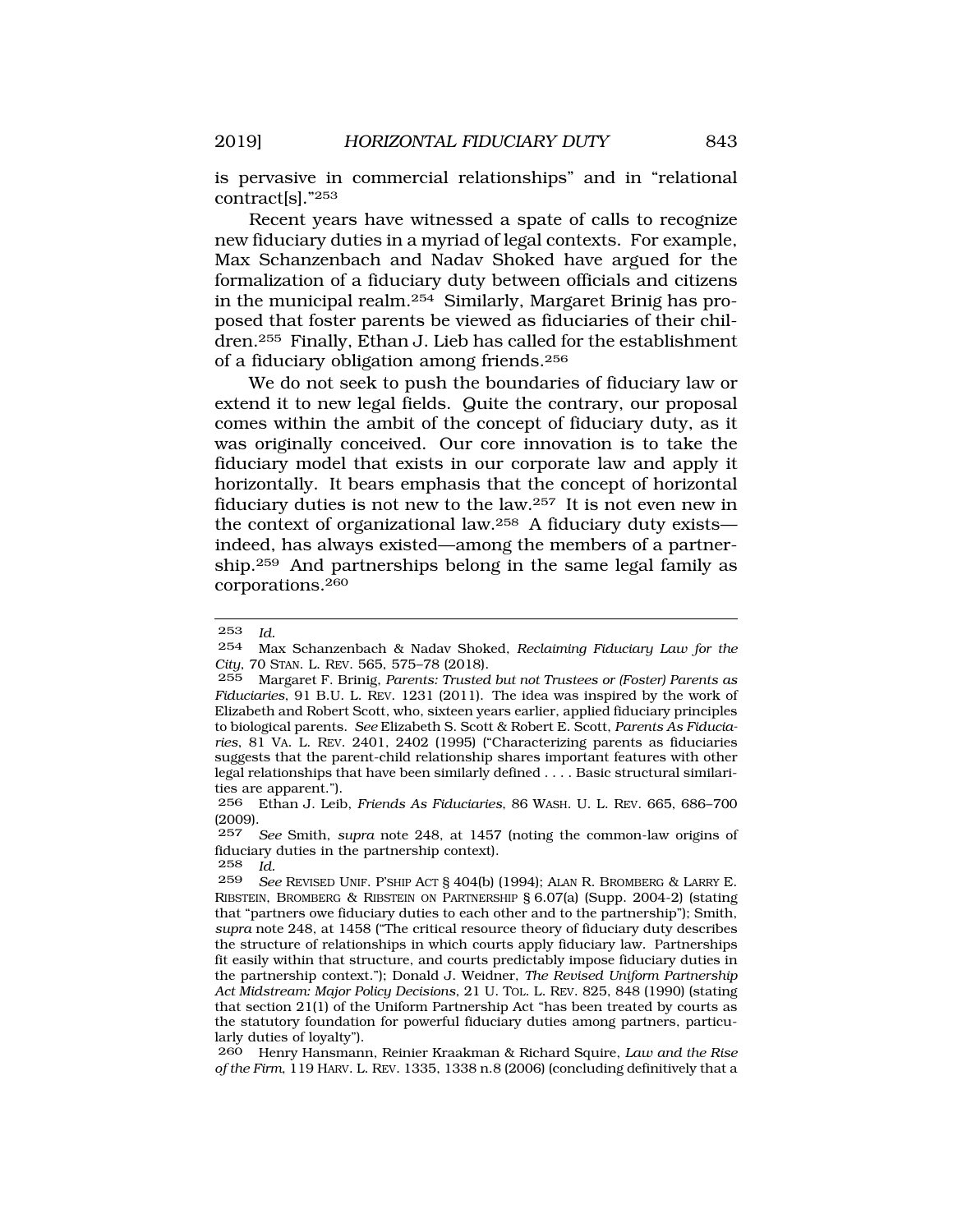is pervasive in commercial relationships" and in "relational contract[s]."253

Recent years have witnessed a spate of calls to recognize new fiduciary duties in a myriad of legal contexts. For example, Max Schanzenbach and Nadav Shoked have argued for the formalization of a fiduciary duty between officials and citizens in the municipal realm.254 Similarly, Margaret Brinig has proposed that foster parents be viewed as fiduciaries of their children.255 Finally, Ethan J. Lieb has called for the establishment of a fiduciary obligation among friends.256

We do not seek to push the boundaries of fiduciary law or extend it to new legal fields. Quite the contrary, our proposal comes within the ambit of the concept of fiduciary duty, as it was originally conceived. Our core innovation is to take the fiduciary model that exists in our corporate law and apply it horizontally. It bears emphasis that the concept of horizontal fiduciary duties is not new to the law.257 It is not even new in the context of organizational law.258 A fiduciary duty exists indeed, has always existed—among the members of a partnership.259 And partnerships belong in the same legal family as corporations.260

253 *Id.* 

<sup>254</sup> Max Schanzenbach & Nadav Shoked, *Reclaiming Fiduciary Law for the City*, 70 STAN. L. REV. 565, 575–78 (2018).

<sup>255</sup> Margaret F. Brinig, *Parents: Trusted but not Trustees or (Foster) Parents as Fiduciaries*, 91 B.U. L. REV. 1231 (2011). The idea was inspired by the work of Elizabeth and Robert Scott, who, sixteen years earlier, applied fiduciary principles to biological parents. *See* Elizabeth S. Scott & Robert E. Scott, *Parents As Fiduciaries*, 81 VA. L. REV. 2401, 2402 (1995) ("Characterizing parents as fiduciaries suggests that the parent-child relationship shares important features with other legal relationships that have been similarly defined . . . . Basic structural similarities are apparent.").

<sup>256</sup> Ethan J. Leib, *Friends As Fiduciaries*, 86 WASH. U. L. REV. 665, 686–700  $(2009)$ .<br>257

<sup>257</sup> *See* Smith, *supra* note 248, at 1457 (noting the common-law origins of fiduciary duties in the partnership context).

<sup>258</sup> *Id.* 

<sup>259</sup> *See* REVISED UNIF. P'SHIP ACT § 404(b) (1994); ALAN R. BROMBERG & LARRY E. RIBSTEIN, BROMBERG & RIBSTEIN ON PARTNERSHIP § 6.07(a) (Supp. 2004-2) (stating that "partners owe fiduciary duties to each other and to the partnership"); Smith, *supra* note 248, at 1458 ("The critical resource theory of fiduciary duty describes the structure of relationships in which courts apply fiduciary law. Partnerships fit easily within that structure, and courts predictably impose fiduciary duties in the partnership context."); Donald J. Weidner, *The Revised Uniform Partnership Act Midstream: Major Policy Decisions*, 21 U. TOL. L. REV. 825, 848 (1990) (stating that section 21(1) of the Uniform Partnership Act "has been treated by courts as the statutory foundation for powerful fiduciary duties among partners, particularly duties of loyalty").

<sup>260</sup> Henry Hansmann, Reinier Kraakman & Richard Squire, *Law and the Rise of the Firm*, 119 HARV. L. REV. 1335, 1338 n.8 (2006) (concluding definitively that a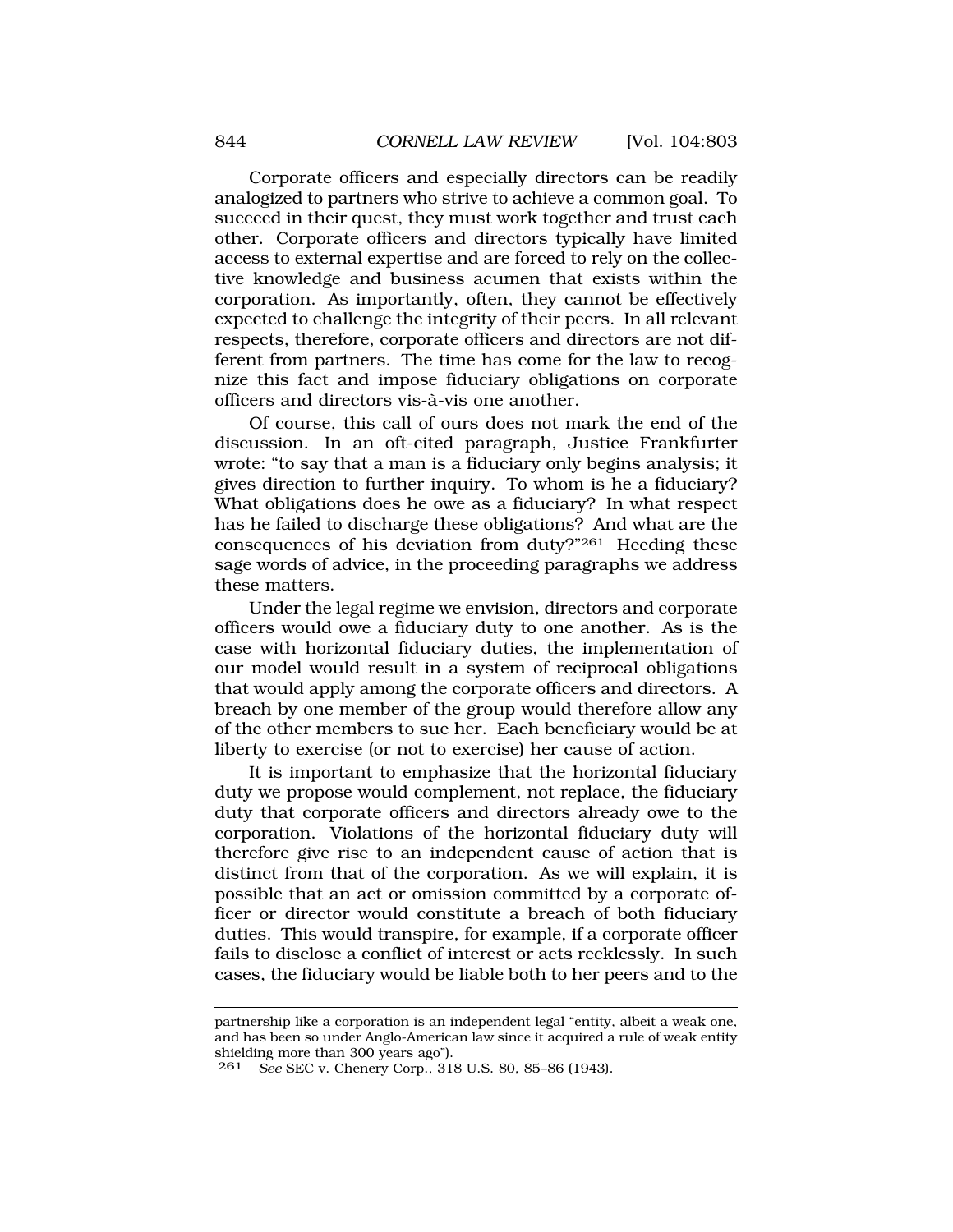Corporate officers and especially directors can be readily analogized to partners who strive to achieve a common goal. To succeed in their quest, they must work together and trust each other. Corporate officers and directors typically have limited access to external expertise and are forced to rely on the collective knowledge and business acumen that exists within the corporation. As importantly, often, they cannot be effectively expected to challenge the integrity of their peers. In all relevant respects, therefore, corporate officers and directors are not different from partners. The time has come for the law to recognize this fact and impose fiduciary obligations on corporate officers and directors vis-à-vis one another.

Of course, this call of ours does not mark the end of the discussion. In an oft-cited paragraph, Justice Frankfurter wrote: "to say that a man is a fiduciary only begins analysis; it gives direction to further inquiry. To whom is he a fiduciary? What obligations does he owe as a fiduciary? In what respect has he failed to discharge these obligations? And what are the consequences of his deviation from duty?"261 Heeding these sage words of advice, in the proceeding paragraphs we address these matters.

Under the legal regime we envision, directors and corporate officers would owe a fiduciary duty to one another. As is the case with horizontal fiduciary duties, the implementation of our model would result in a system of reciprocal obligations that would apply among the corporate officers and directors. A breach by one member of the group would therefore allow any of the other members to sue her. Each beneficiary would be at liberty to exercise (or not to exercise) her cause of action.

It is important to emphasize that the horizontal fiduciary duty we propose would complement, not replace, the fiduciary duty that corporate officers and directors already owe to the corporation. Violations of the horizontal fiduciary duty will therefore give rise to an independent cause of action that is distinct from that of the corporation. As we will explain, it is possible that an act or omission committed by a corporate officer or director would constitute a breach of both fiduciary duties. This would transpire, for example, if a corporate officer fails to disclose a conflict of interest or acts recklessly. In such cases, the fiduciary would be liable both to her peers and to the

partnership like a corporation is an independent legal "entity, albeit a weak one, and has been so under Anglo-American law since it acquired a rule of weak entity shielding more than 300 years ago").

<sup>261</sup> *See* SEC v. Chenery Corp., 318 U.S. 80, 85–86 (1943).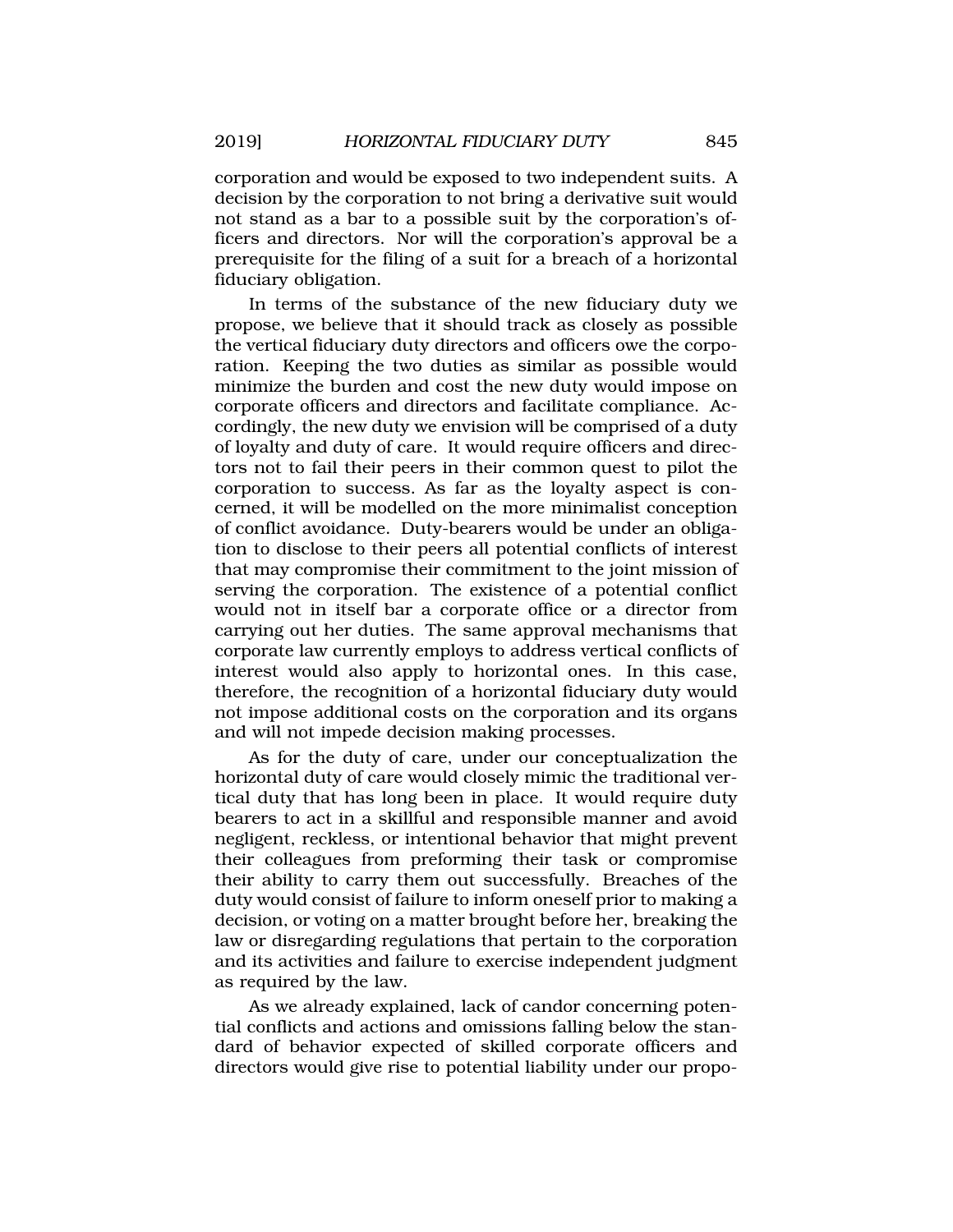corporation and would be exposed to two independent suits. A decision by the corporation to not bring a derivative suit would not stand as a bar to a possible suit by the corporation's officers and directors. Nor will the corporation's approval be a prerequisite for the filing of a suit for a breach of a horizontal fiduciary obligation.

In terms of the substance of the new fiduciary duty we propose, we believe that it should track as closely as possible the vertical fiduciary duty directors and officers owe the corporation. Keeping the two duties as similar as possible would minimize the burden and cost the new duty would impose on corporate officers and directors and facilitate compliance. Accordingly, the new duty we envision will be comprised of a duty of loyalty and duty of care. It would require officers and directors not to fail their peers in their common quest to pilot the corporation to success. As far as the loyalty aspect is concerned, it will be modelled on the more minimalist conception of conflict avoidance. Duty-bearers would be under an obligation to disclose to their peers all potential conflicts of interest that may compromise their commitment to the joint mission of serving the corporation. The existence of a potential conflict would not in itself bar a corporate office or a director from carrying out her duties. The same approval mechanisms that corporate law currently employs to address vertical conflicts of interest would also apply to horizontal ones. In this case, therefore, the recognition of a horizontal fiduciary duty would not impose additional costs on the corporation and its organs and will not impede decision making processes.

As for the duty of care, under our conceptualization the horizontal duty of care would closely mimic the traditional vertical duty that has long been in place. It would require duty bearers to act in a skillful and responsible manner and avoid negligent, reckless, or intentional behavior that might prevent their colleagues from preforming their task or compromise their ability to carry them out successfully. Breaches of the duty would consist of failure to inform oneself prior to making a decision, or voting on a matter brought before her, breaking the law or disregarding regulations that pertain to the corporation and its activities and failure to exercise independent judgment as required by the law.

As we already explained, lack of candor concerning potential conflicts and actions and omissions falling below the standard of behavior expected of skilled corporate officers and directors would give rise to potential liability under our propo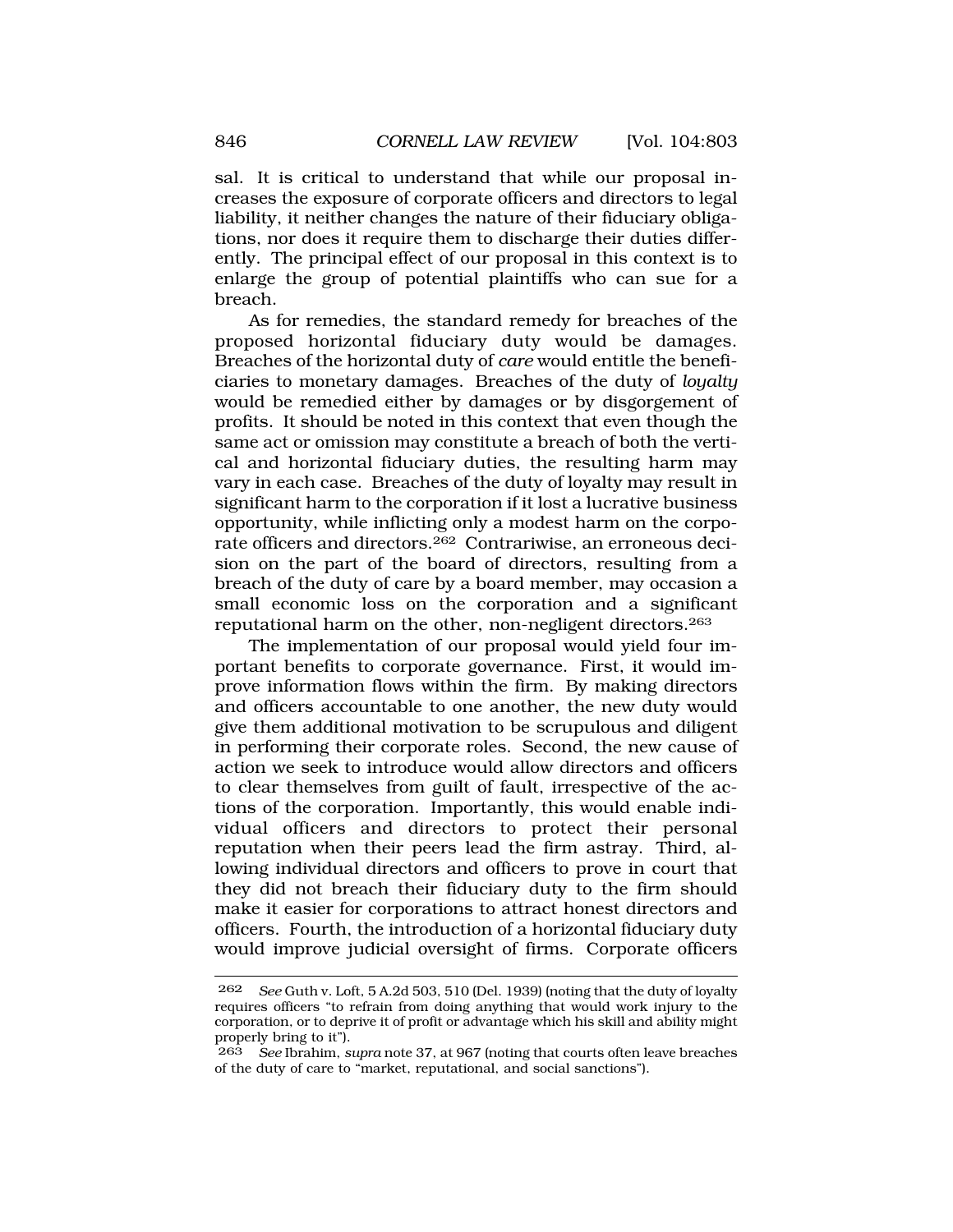sal. It is critical to understand that while our proposal increases the exposure of corporate officers and directors to legal liability, it neither changes the nature of their fiduciary obligations, nor does it require them to discharge their duties differently. The principal effect of our proposal in this context is to enlarge the group of potential plaintiffs who can sue for a breach.

As for remedies, the standard remedy for breaches of the proposed horizontal fiduciary duty would be damages. Breaches of the horizontal duty of *care* would entitle the beneficiaries to monetary damages. Breaches of the duty of *loyalty*  would be remedied either by damages or by disgorgement of profits. It should be noted in this context that even though the same act or omission may constitute a breach of both the vertical and horizontal fiduciary duties, the resulting harm may vary in each case. Breaches of the duty of loyalty may result in significant harm to the corporation if it lost a lucrative business opportunity, while inflicting only a modest harm on the corporate officers and directors.262 Contrariwise, an erroneous decision on the part of the board of directors, resulting from a breach of the duty of care by a board member, may occasion a small economic loss on the corporation and a significant reputational harm on the other, non-negligent directors.263

The implementation of our proposal would yield four important benefits to corporate governance. First, it would improve information flows within the firm. By making directors and officers accountable to one another, the new duty would give them additional motivation to be scrupulous and diligent in performing their corporate roles. Second, the new cause of action we seek to introduce would allow directors and officers to clear themselves from guilt of fault, irrespective of the actions of the corporation. Importantly, this would enable individual officers and directors to protect their personal reputation when their peers lead the firm astray. Third, allowing individual directors and officers to prove in court that they did not breach their fiduciary duty to the firm should make it easier for corporations to attract honest directors and officers. Fourth, the introduction of a horizontal fiduciary duty would improve judicial oversight of firms. Corporate officers

<sup>262</sup> *See* Guth v. Loft, 5 A.2d 503, 510 (Del. 1939) (noting that the duty of loyalty requires officers "to refrain from doing anything that would work injury to the corporation, or to deprive it of profit or advantage which his skill and ability might properly bring to it").

<sup>263</sup> *See* Ibrahim, *supra* note 37, at 967 (noting that courts often leave breaches of the duty of care to "market, reputational, and social sanctions").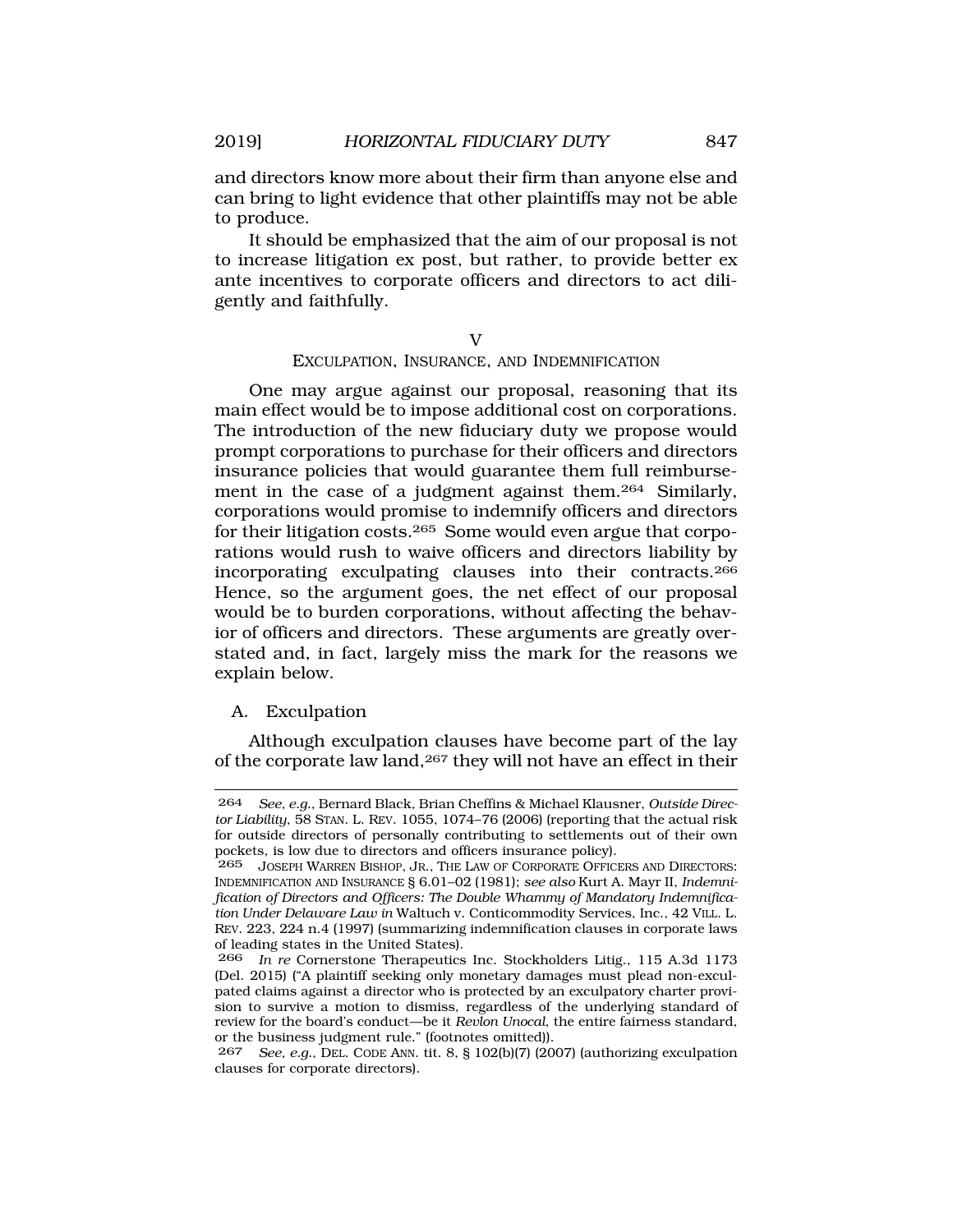and directors know more about their firm than anyone else and can bring to light evidence that other plaintiffs may not be able to produce.

It should be emphasized that the aim of our proposal is not to increase litigation ex post, but rather, to provide better ex ante incentives to corporate officers and directors to act diligently and faithfully.

# $\overline{V}$ EXCULPATION, INSURANCE, AND INDEMNIFICATION

One may argue against our proposal, reasoning that its main effect would be to impose additional cost on corporations. The introduction of the new fiduciary duty we propose would prompt corporations to purchase for their officers and directors insurance policies that would guarantee them full reimbursement in the case of a judgment against them.264 Similarly, corporations would promise to indemnify officers and directors for their litigation costs.265 Some would even argue that corporations would rush to waive officers and directors liability by incorporating exculpating clauses into their contracts.266 Hence, so the argument goes, the net effect of our proposal would be to burden corporations, without affecting the behavior of officers and directors. These arguments are greatly overstated and, in fact, largely miss the mark for the reasons we explain below.

# A. Exculpation

Although exculpation clauses have become part of the lay of the corporate law land,267 they will not have an effect in their

267 *See, e.g.*, DEL. CODE ANN. tit. 8, § 102(b)(7) (2007) (authorizing exculpation clauses for corporate directors).

<sup>264</sup> *See, e.g.*, Bernard Black, Brian Cheffins & Michael Klausner, *Outside Director Liability*, 58 STAN. L. REV. 1055, 1074–76 (2006) (reporting that the actual risk for outside directors of personally contributing to settlements out of their own pockets, is low due to directors and officers insurance policy).

<sup>265</sup> JOSEPH WARREN BISHOP, JR., THE LAW OF CORPORATE OFFICERS AND DIRECTORS: INDEMNIFICATION AND INSURANCE § 6.01–02 (1981); *see also* Kurt A. Mayr II, *Indemnification of Directors and Officers: The Double Whammy of Mandatory Indemnification Under Delaware Law in* Waltuch v. Conticommodity Services, Inc., 42 VILL. L. REV. 223, 224 n.4 (1997) (summarizing indemnification clauses in corporate laws of leading states in the United States).

<sup>266</sup> *In re* Cornerstone Therapeutics Inc. Stockholders Litig., 115 A.3d 1173 (Del. 2015) ("A plaintiff seeking only monetary damages must plead non-exculpated claims against a director who is protected by an exculpatory charter provision to survive a motion to dismiss, regardless of the underlying standard of review for the board's conduct—be it *Revlon Unocal*, the entire fairness standard, or the business judgment rule." (footnotes omitted)).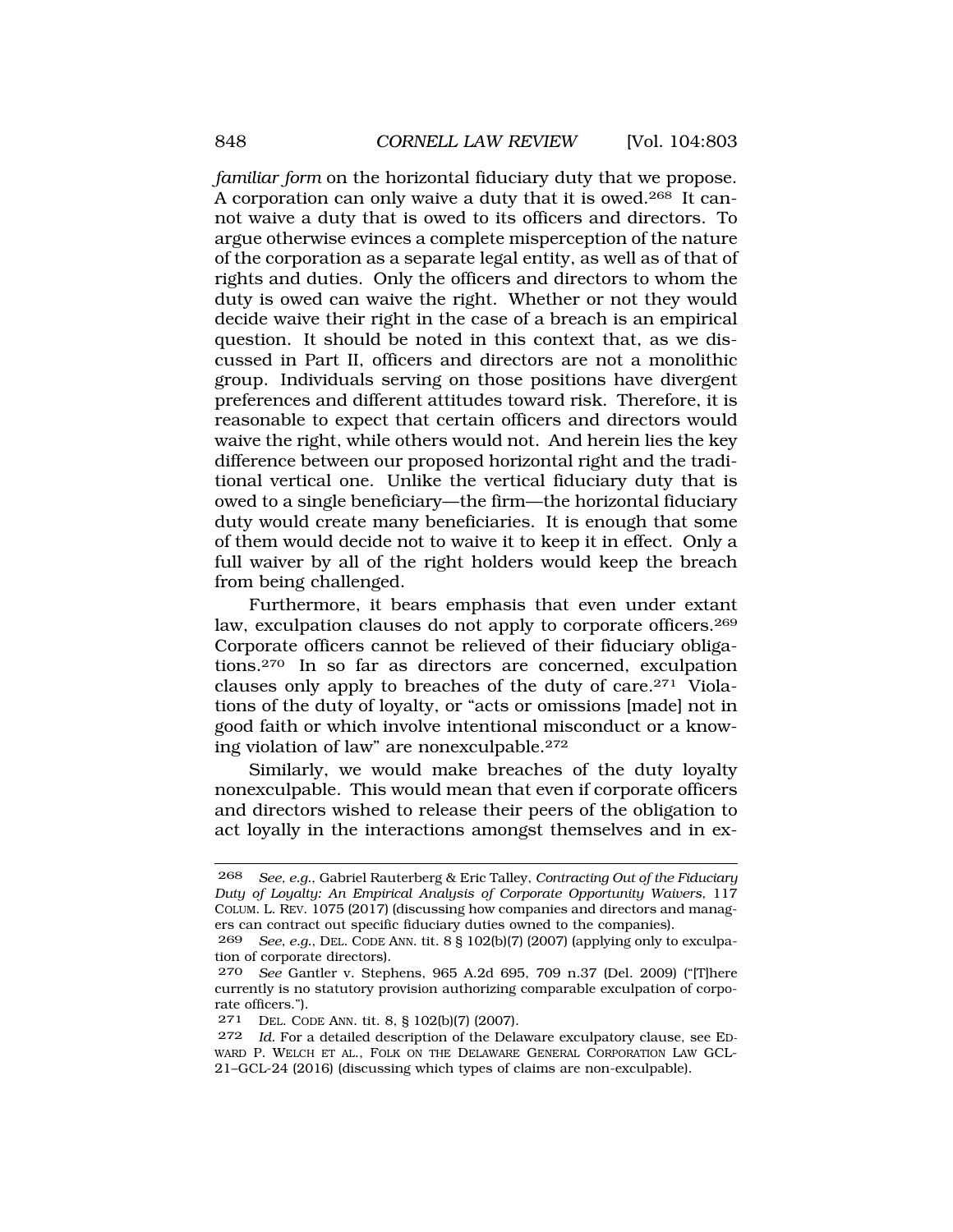*familiar form* on the horizontal fiduciary duty that we propose. A corporation can only waive a duty that it is owed.268 It cannot waive a duty that is owed to its officers and directors. To argue otherwise evinces a complete misperception of the nature of the corporation as a separate legal entity, as well as of that of rights and duties. Only the officers and directors to whom the duty is owed can waive the right. Whether or not they would decide waive their right in the case of a breach is an empirical question. It should be noted in this context that, as we discussed in Part II, officers and directors are not a monolithic group. Individuals serving on those positions have divergent preferences and different attitudes toward risk. Therefore, it is reasonable to expect that certain officers and directors would waive the right, while others would not. And herein lies the key difference between our proposed horizontal right and the traditional vertical one. Unlike the vertical fiduciary duty that is owed to a single beneficiary—the firm—the horizontal fiduciary duty would create many beneficiaries. It is enough that some of them would decide not to waive it to keep it in effect. Only a full waiver by all of the right holders would keep the breach from being challenged.

Furthermore, it bears emphasis that even under extant law, exculpation clauses do not apply to corporate officers.<sup>269</sup> Corporate officers cannot be relieved of their fiduciary obligations.270 In so far as directors are concerned, exculpation clauses only apply to breaches of the duty of care.271 Violations of the duty of loyalty, or "acts or omissions [made] not in good faith or which involve intentional misconduct or a knowing violation of law" are nonexculpable.272

Similarly, we would make breaches of the duty loyalty nonexculpable. This would mean that even if corporate officers and directors wished to release their peers of the obligation to act loyally in the interactions amongst themselves and in ex-

<sup>268</sup> *See, e.g.*, Gabriel Rauterberg & Eric Talley, *Contracting Out of the Fiduciary Duty of Loyalty: An Empirical Analysis of Corporate Opportunity Waivers*, 117 COLUM. L. REV. 1075 (2017) (discussing how companies and directors and managers can contract out specific fiduciary duties owned to the companies).

<sup>269</sup> *See, e.g.*, DEL. CODE ANN. tit. 8 § 102(b)(7) (2007) (applying only to exculpation of corporate directors).

<sup>270</sup> *See* Gantler v. Stephens, 965 A.2d 695, 709 n.37 (Del. 2009) ("[T]here currently is no statutory provision authorizing comparable exculpation of corporate officers.").

<sup>271</sup> DEL. CODE ANN. tit. 8, § 102(b)(7) (2007).

<sup>272</sup> *Id.* For a detailed description of the Delaware exculpatory clause, see ED-WARD P. WELCH ET AL., FOLK ON THE DELAWARE GENERAL CORPORATION LAW GCL-21–GCL-24 (2016) (discussing which types of claims are non-exculpable).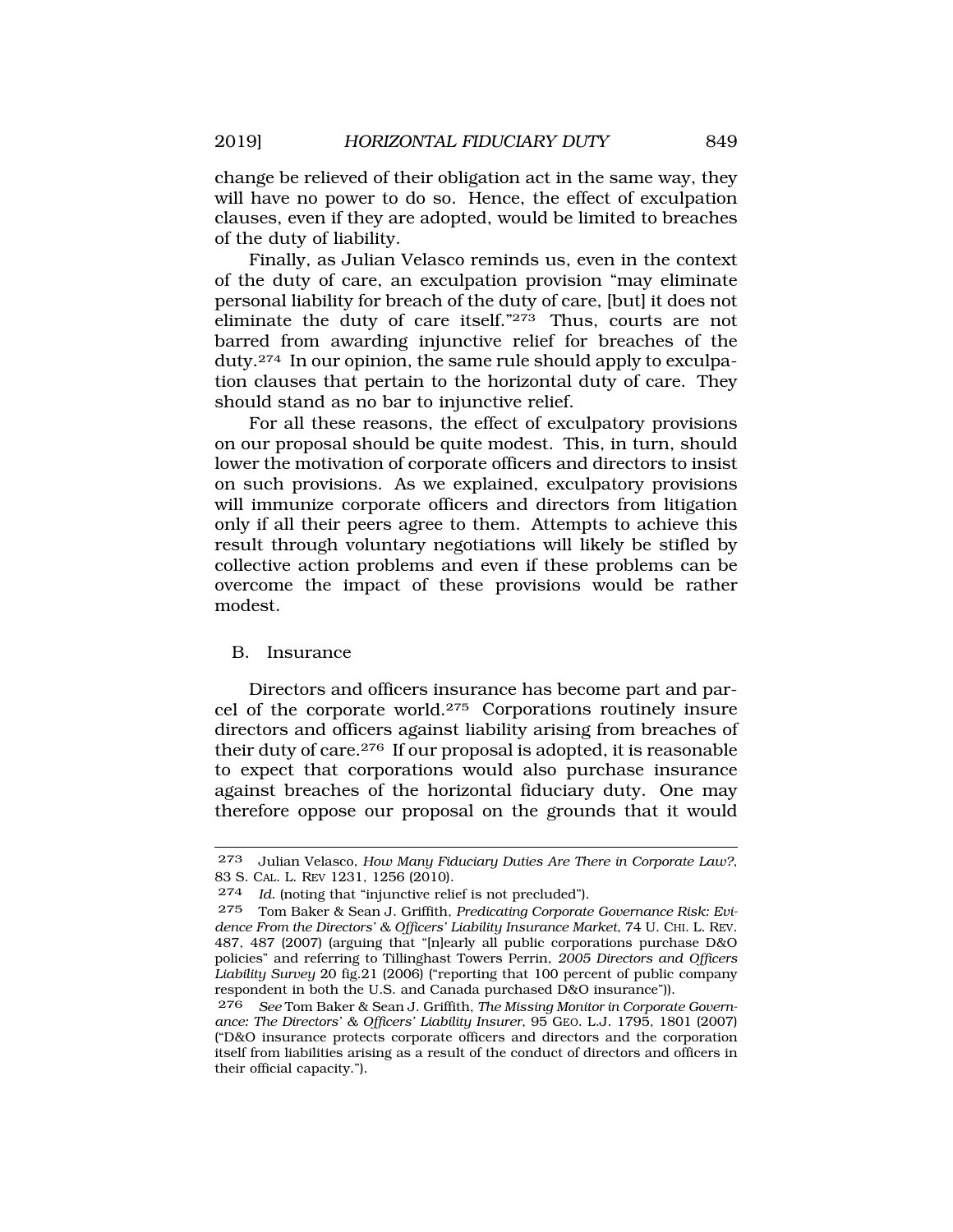change be relieved of their obligation act in the same way, they will have no power to do so. Hence, the effect of exculpation clauses, even if they are adopted, would be limited to breaches of the duty of liability.

Finally, as Julian Velasco reminds us, even in the context of the duty of care, an exculpation provision "may eliminate personal liability for breach of the duty of care, [but] it does not eliminate the duty of care itself."273 Thus, courts are not barred from awarding injunctive relief for breaches of the duty.274 In our opinion, the same rule should apply to exculpation clauses that pertain to the horizontal duty of care. They should stand as no bar to injunctive relief.

For all these reasons, the effect of exculpatory provisions on our proposal should be quite modest. This, in turn, should lower the motivation of corporate officers and directors to insist on such provisions. As we explained, exculpatory provisions will immunize corporate officers and directors from litigation only if all their peers agree to them. Attempts to achieve this result through voluntary negotiations will likely be stifled by collective action problems and even if these problems can be overcome the impact of these provisions would be rather modest.

### B. Insurance

Directors and officers insurance has become part and parcel of the corporate world.275 Corporations routinely insure directors and officers against liability arising from breaches of their duty of care.276 If our proposal is adopted, it is reasonable to expect that corporations would also purchase insurance against breaches of the horizontal fiduciary duty. One may therefore oppose our proposal on the grounds that it would

<sup>273</sup> Julian Velasco, *How Many Fiduciary Duties Are There in Corporate Law?*, 83 S. CAL. L. REV 1231, 1256 (2010).

<sup>274</sup> *Id.* (noting that "injunctive relief is not precluded").

<sup>275</sup> Tom Baker & Sean J. Griffith, *Predicating Corporate Governance Risk: Evidence From the Directors' & Officers' Liability Insurance Market*, 74 U. CHI. L. REV. 487, 487 (2007) (arguing that "[n]early all public corporations purchase D&O policies" and referring to Tillinghast Towers Perrin, *2005 Directors and Officers Liability Survey* 20 fig.21 (2006) ("reporting that 100 percent of public company respondent in both the U.S. and Canada purchased D&O insurance")).

<sup>276</sup> *See* Tom Baker & Sean J. Griffith, *The Missing Monitor in Corporate Governance: The Directors' & Officers' Liability Insurer*, 95 GEO. L.J. 1795, 1801 (2007) ("D&O insurance protects corporate officers and directors and the corporation itself from liabilities arising as a result of the conduct of directors and officers in their official capacity.").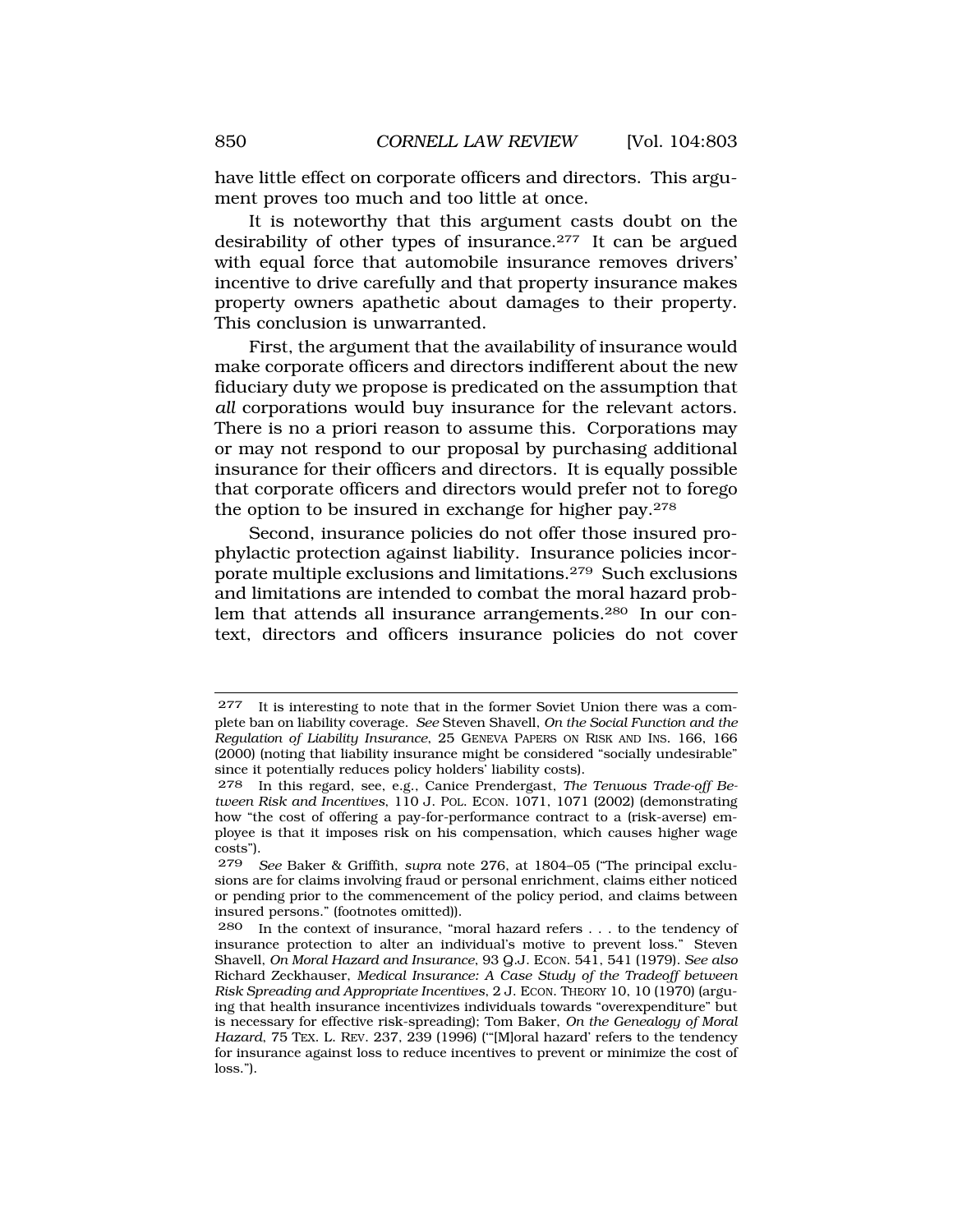have little effect on corporate officers and directors. This argument proves too much and too little at once.

It is noteworthy that this argument casts doubt on the desirability of other types of insurance.277 It can be argued with equal force that automobile insurance removes drivers' incentive to drive carefully and that property insurance makes property owners apathetic about damages to their property. This conclusion is unwarranted.

First, the argument that the availability of insurance would make corporate officers and directors indifferent about the new fiduciary duty we propose is predicated on the assumption that *all* corporations would buy insurance for the relevant actors. There is no a priori reason to assume this. Corporations may or may not respond to our proposal by purchasing additional insurance for their officers and directors. It is equally possible that corporate officers and directors would prefer not to forego the option to be insured in exchange for higher pay.278

Second, insurance policies do not offer those insured prophylactic protection against liability. Insurance policies incorporate multiple exclusions and limitations.279 Such exclusions and limitations are intended to combat the moral hazard problem that attends all insurance arrangements.280 In our context, directors and officers insurance policies do not cover

<sup>277</sup> It is interesting to note that in the former Soviet Union there was a complete ban on liability coverage. *See* Steven Shavell, *On the Social Function and the Regulation of Liability Insurance*, 25 GENEVA PAPERS ON RISK AND INS. 166, 166 (2000) (noting that liability insurance might be considered "socially undesirable" since it potentially reduces policy holders' liability costs).

<sup>278</sup> In this regard, see, e.g., Canice Prendergast, *The Tenuous Trade-off Between Risk and Incentives*, 110 J. POL. ECON. 1071, 1071 (2002) (demonstrating how "the cost of offering a pay-for-performance contract to a (risk-averse) employee is that it imposes risk on his compensation, which causes higher wage costs").

<sup>279</sup> *See* Baker & Griffith, *supra* note 276, at 1804–05 ("The principal exclusions are for claims involving fraud or personal enrichment, claims either noticed or pending prior to the commencement of the policy period, and claims between insured persons." (footnotes omitted)).

<sup>280</sup> In the context of insurance, "moral hazard refers . . . to the tendency of insurance protection to alter an individual's motive to prevent loss." Steven Shavell, *On Moral Hazard and Insurance*, 93 Q.J. ECON. 541, 541 (1979). *See also*  Richard Zeckhauser, *Medical Insurance: A Case Study of the Tradeoff between Risk Spreading and Appropriate Incentives*, 2 J. ECON. THEORY 10, 10 (1970) (arguing that health insurance incentivizes individuals towards "overexpenditure" but is necessary for effective risk-spreading); Tom Baker, *On the Genealogy of Moral Hazard*, 75 TEX. L. REV. 237, 239 (1996) ('"[M]oral hazard' refers to the tendency for insurance against loss to reduce incentives to prevent or minimize the cost of loss.").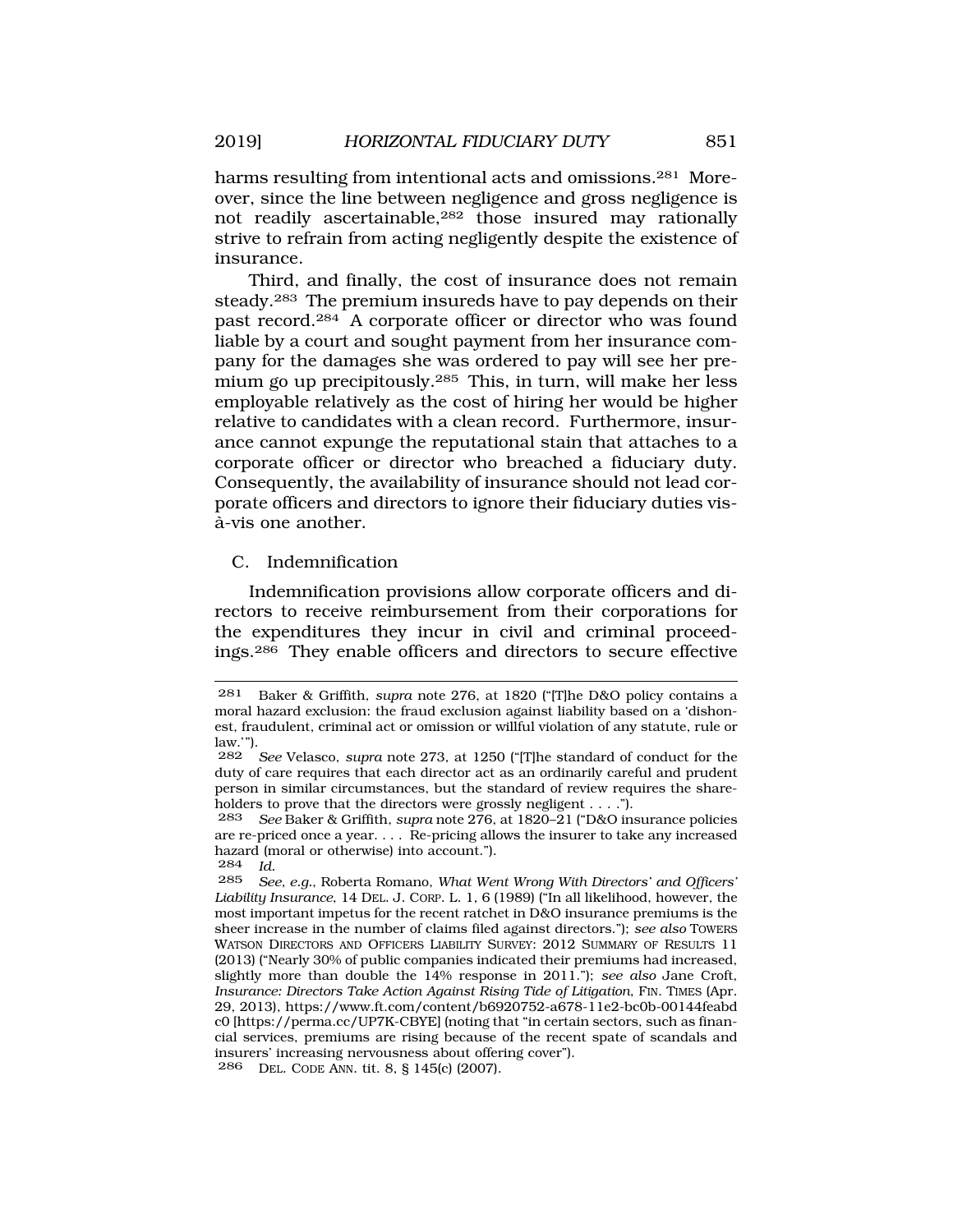harms resulting from intentional acts and omissions.<sup>281</sup> Moreover, since the line between negligence and gross negligence is not readily ascertainable,282 those insured may rationally strive to refrain from acting negligently despite the existence of insurance.

Third, and finally, the cost of insurance does not remain steady.283 The premium insureds have to pay depends on their past record.284 A corporate officer or director who was found liable by a court and sought payment from her insurance company for the damages she was ordered to pay will see her premium go up precipitously.285 This, in turn, will make her less employable relatively as the cost of hiring her would be higher relative to candidates with a clean record. Furthermore, insurance cannot expunge the reputational stain that attaches to a corporate officer or director who breached a fiduciary duty. Consequently, the availability of insurance should not lead corporate officers and directors to ignore their fiduciary duties visa-vis one another. `

C. Indemnification

Indemnification provisions allow corporate officers and directors to receive reimbursement from their corporations for the expenditures they incur in civil and criminal proceedings.286 They enable officers and directors to secure effective

<sup>281</sup> Baker & Griffith, *supra* note 276, at 1820 ("[T]he D&O policy contains a moral hazard exclusion: the fraud exclusion against liability based on a 'dishonest, fraudulent, criminal act or omission or willful violation of any statute, rule or law.'").

<sup>282</sup> *See* Velasco, *supra* note 273, at 1250 ("[T]he standard of conduct for the duty of care requires that each director act as an ordinarily careful and prudent person in similar circumstances, but the standard of review requires the shareholders to prove that the directors were grossly negligent . . . .").<br>283 See Baker & Griffith, supra note 276, at 1820–21 ("D&O in

<sup>283</sup> *See* Baker & Griffith, *supra* note 276, at 1820–21 ("D&O insurance policies are re-priced once a year. . . . Re-pricing allows the insurer to take any increased hazard (moral or otherwise) into account.").

<sup>284</sup> *Id.* 

<sup>285</sup> *See, e.g.*, Roberta Romano, *What Went Wrong With Directors' and Officers' Liability Insurance*, 14 DEL. J. CORP. L. 1, 6 (1989) ("In all likelihood, however, the most important impetus for the recent ratchet in D&O insurance premiums is the sheer increase in the number of claims filed against directors."); *see also* TOWERS WATSON DIRECTORS AND OFFICERS LIABILITY SURVEY: 2012 SUMMARY OF RESULTS 11 (2013) ("Nearly 30% of public companies indicated their premiums had increased, slightly more than double the 14% response in 2011."); *see also* Jane Croft, *Insurance: Directors Take Action Against Rising Tide of Litigation*, FIN. TIMES (Apr. 29, 2013), https://www.ft.com/content/b6920752-a678-11e2-bc0b-00144feabd c0 [https://perma.cc/UP7K-CBYE] (noting that "in certain sectors, such as financial services, premiums are rising because of the recent spate of scandals and insurers' increasing nervousness about offering cover"). 286 DEL. CODE ANN. tit. 8, § 145(c) (2007).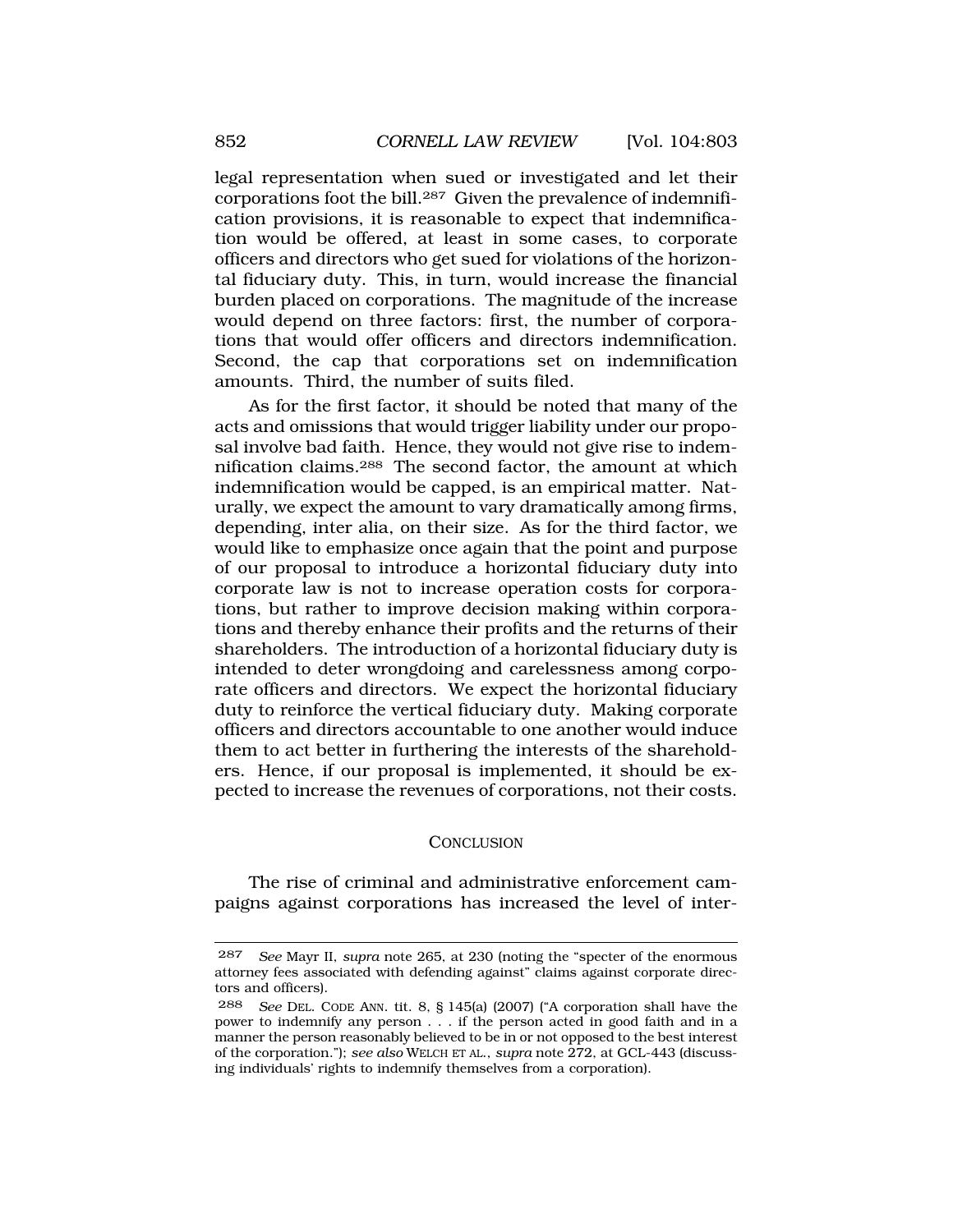<span id="page-49-0"></span>legal representation when sued or investigated and let their corporations foot the bill.287 Given the prevalence of indemnification provisions, it is reasonable to expect that indemnification would be offered, at least in some cases, to corporate officers and directors who get sued for violations of the horizontal fiduciary duty. This, in turn, would increase the financial burden placed on corporations. The magnitude of the increase would depend on three factors: first, the number of corporations that would offer officers and directors indemnification. Second, the cap that corporations set on indemnification amounts. Third, the number of suits filed.

As for the first factor, it should be noted that many of the acts and omissions that would trigger liability under our proposal involve bad faith. Hence, they would not give rise to indemnification claims.288 The second factor, the amount at which indemnification would be capped, is an empirical matter. Naturally, we expect the amount to vary dramatically among firms, depending, inter alia, on their size. As for the third factor, we would like to emphasize once again that the point and purpose of our proposal to introduce a horizontal fiduciary duty into corporate law is not to increase operation costs for corporations, but rather to improve decision making within corporations and thereby enhance their profits and the returns of their shareholders. The introduction of a horizontal fiduciary duty is intended to deter wrongdoing and carelessness among corporate officers and directors. We expect the horizontal fiduciary duty to reinforce the vertical fiduciary duty. Making corporate officers and directors accountable to one another would induce them to act better in furthering the interests of the shareholders. Hence, if our proposal is implemented, it should be expected to increase the revenues of corporations, not their costs.

#### **CONCLUSION**

The rise of criminal and administrative enforcement campaigns against corporations has increased the level of inter-

<sup>287</sup> *See* Mayr II, *supra* note 265, at 230 (noting the "specter of the enormous attorney fees associated with defending against" claims against corporate directors and officers).

<sup>288</sup> *See* DEL. CODE ANN. tit. 8, § 145(a) (2007) ("A corporation shall have the power to indemnify any person . . . if the person acted in good faith and in a manner the person reasonably believed to be in or not opposed to the best interest of the corporation."); *see also* WELCH ET AL., *supra* note 272, at GCL-443 (discussing individuals' rights to indemnify themselves from a corporation).